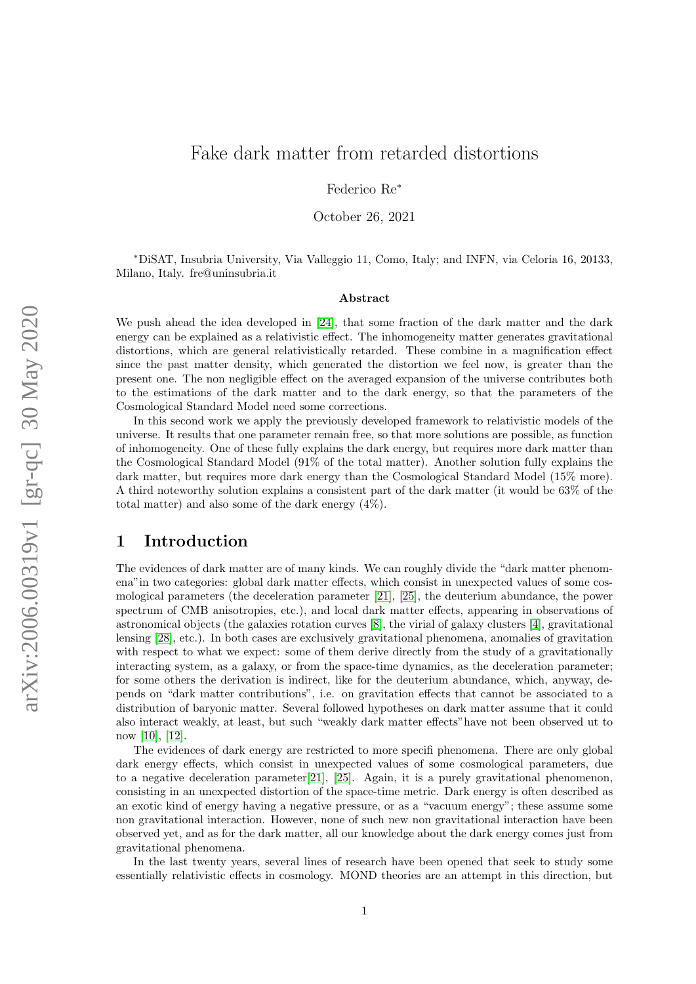# Fake dark matter from retarded distortions

Federico Re<sup>∗</sup>

October 26, 2021

<sup>∗</sup>DiSAT, Insubria University, Via Valleggio 11, Como, Italy; and INFN, via Celoria 16, 20133, Milano, Italy. fre@uninsubria.it

#### Abstract

We push ahead the idea developed in [\[24\]](#page-34-0), that some fraction of the dark matter and the dark energy can be explained as a relativistic effect. The inhomogeneity matter generates gravitational distortions, which are general relativistically retarded. These combine in a magnification effect since the past matter density, which generated the distortion we feel now, is greater than the present one. The non negligible effect on the averaged expansion of the universe contributes both to the estimations of the dark matter and to the dark energy, so that the parameters of the Cosmological Standard Model need some corrections.

In this second work we apply the previously developed framework to relativistic models of the universe. It results that one parameter remain free, so that more solutions are possible, as function of inhomogeneity. One of these fully explains the dark energy, but requires more dark matter than the Cosmological Standard Model (91% of the total matter). Another solution fully explains the dark matter, but requires more dark energy than the Cosmological Standard Model (15% more). A third noteworthy solution explains a consistent part of the dark matter (it would be 63% of the total matter) and also some of the dark energy (4%).

# 1 Introduction

The evidences of dark matter are of many kinds. We can roughly divide the "dark matter phenomena"in two categories: global dark matter effects, which consist in unexpected values of some cosmological parameters (the deceleration parameter [\[21\]](#page-34-1), [\[25\]](#page-34-2), the deuterium abundance, the power spectrum of CMB anisotropies, etc.), and local dark matter effects, appearing in observations of astronomical objects (the galaxies rotation curves [\[8\]](#page-33-0), the virial of galaxy clusters [\[4\]](#page-33-1), gravitational lensing [\[28\]](#page-34-3), etc.). In both cases are exclusively gravitational phenomena, anomalies of gravitation with respect to what we expect: some of them derive directly from the study of a gravitationally interacting system, as a galaxy, or from the space-time dynamics, as the deceleration parameter; for some others the derivation is indirect, like for the deuterium abundance, which, anyway, depends on "dark matter contributions", i.e. on gravitation effects that cannot be associated to a distribution of baryonic matter. Several followed hypotheses on dark matter assume that it could also interact weakly, at least, but such "weakly dark matter effects"have not been observed ut to now [\[10\]](#page-33-2), [\[12\]](#page-33-3).

The evidences of dark energy are restricted to more specifi phenomena. There are only global dark energy effects, which consist in unexpected values of some cosmological parameters, due to a negative deceleration parameter[\[21\]](#page-34-1), [\[25\]](#page-34-2). Again, it is a purely gravitational phenomenon, consisting in an unexpected distortion of the space-time metric. Dark energy is often described as an exotic kind of energy having a negative pressure, or as a "vacuum energy"; these assume some non gravitational interaction. However, none of such new non gravitational interaction have been observed yet, and as for the dark matter, all our knowledge about the dark energy comes just from gravitational phenomena.

In the last twenty years, several lines of research have been opened that seek to study some essentially relativistic effects in cosmology. MOND theories are an attempt in this direction, but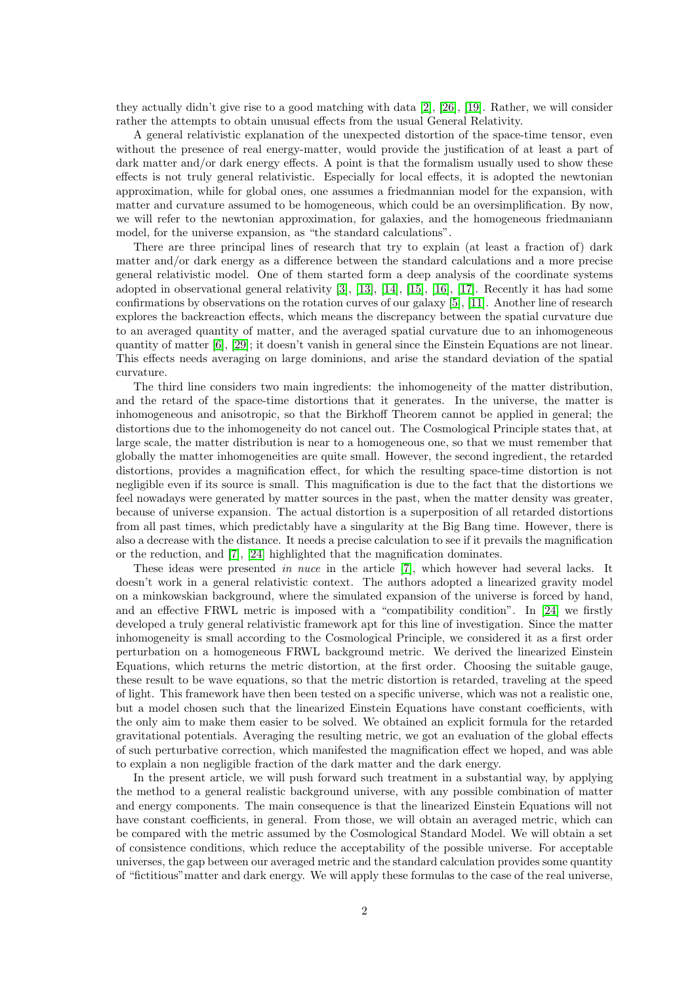they actually didn't give rise to a good matching with data [\[2\]](#page-33-4), [\[26\]](#page-34-4), [\[19\]](#page-33-5). Rather, we will consider rather the attempts to obtain unusual effects from the usual General Relativity.

A general relativistic explanation of the unexpected distortion of the space-time tensor, even without the presence of real energy-matter, would provide the justification of at least a part of dark matter and/or dark energy effects. A point is that the formalism usually used to show these effects is not truly general relativistic. Especially for local effects, it is adopted the newtonian approximation, while for global ones, one assumes a friedmannian model for the expansion, with matter and curvature assumed to be homogeneous, which could be an oversimplification. By now, we will refer to the newtonian approximation, for galaxies, and the homogeneous friedmaniann model, for the universe expansion, as "the standard calculations".

There are three principal lines of research that try to explain (at least a fraction of) dark matter and/or dark energy as a difference between the standard calculations and a more precise general relativistic model. One of them started form a deep analysis of the coordinate systems adopted in observational general relativity [\[3\]](#page-33-6), [\[13\]](#page-33-7), [\[14\]](#page-33-8), [\[15\]](#page-33-9), [\[16\]](#page-33-10), [\[17\]](#page-33-11). Recently it has had some confirmations by observations on the rotation curves of our galaxy [\[5\]](#page-33-12), [\[11\]](#page-33-13). Another line of research explores the backreaction effects, which means the discrepancy between the spatial curvature due to an averaged quantity of matter, and the averaged spatial curvature due to an inhomogeneous quantity of matter [\[6\]](#page-33-14), [\[29\]](#page-34-5); it doesn't vanish in general since the Einstein Equations are not linear. This effects needs averaging on large dominions, and arise the standard deviation of the spatial curvature.

The third line considers two main ingredients: the inhomogeneity of the matter distribution, and the retard of the space-time distortions that it generates. In the universe, the matter is inhomogeneous and anisotropic, so that the Birkhoff Theorem cannot be applied in general; the distortions due to the inhomogeneity do not cancel out. The Cosmological Principle states that, at large scale, the matter distribution is near to a homogeneous one, so that we must remember that globally the matter inhomogeneities are quite small. However, the second ingredient, the retarded distortions, provides a magnification effect, for which the resulting space-time distortion is not negligible even if its source is small. This magnification is due to the fact that the distortions we feel nowadays were generated by matter sources in the past, when the matter density was greater, because of universe expansion. The actual distortion is a superposition of all retarded distortions from all past times, which predictably have a singularity at the Big Bang time. However, there is also a decrease with the distance. It needs a precise calculation to see if it prevails the magnification or the reduction, and [\[7\]](#page-33-15), [\[24\]](#page-34-0) highlighted that the magnification dominates.

These ideas were presented in nuce in the article [\[7\]](#page-33-15), which however had several lacks. It doesn't work in a general relativistic context. The authors adopted a linearized gravity model on a minkowskian background, where the simulated expansion of the universe is forced by hand, and an effective FRWL metric is imposed with a "compatibility condition". In [\[24\]](#page-34-0) we firstly developed a truly general relativistic framework apt for this line of investigation. Since the matter inhomogeneity is small according to the Cosmological Principle, we considered it as a first order perturbation on a homogeneous FRWL background metric. We derived the linearized Einstein Equations, which returns the metric distortion, at the first order. Choosing the suitable gauge, these result to be wave equations, so that the metric distortion is retarded, traveling at the speed of light. This framework have then been tested on a specific universe, which was not a realistic one, but a model chosen such that the linearized Einstein Equations have constant coefficients, with the only aim to make them easier to be solved. We obtained an explicit formula for the retarded gravitational potentials. Averaging the resulting metric, we got an evaluation of the global effects of such perturbative correction, which manifested the magnification effect we hoped, and was able to explain a non negligible fraction of the dark matter and the dark energy.

In the present article, we will push forward such treatment in a substantial way, by applying the method to a general realistic background universe, with any possible combination of matter and energy components. The main consequence is that the linearized Einstein Equations will not have constant coefficients, in general. From those, we will obtain an averaged metric, which can be compared with the metric assumed by the Cosmological Standard Model. We will obtain a set of consistence conditions, which reduce the acceptability of the possible universe. For acceptable universes, the gap between our averaged metric and the standard calculation provides some quantity of "fictitious"matter and dark energy. We will apply these formulas to the case of the real universe,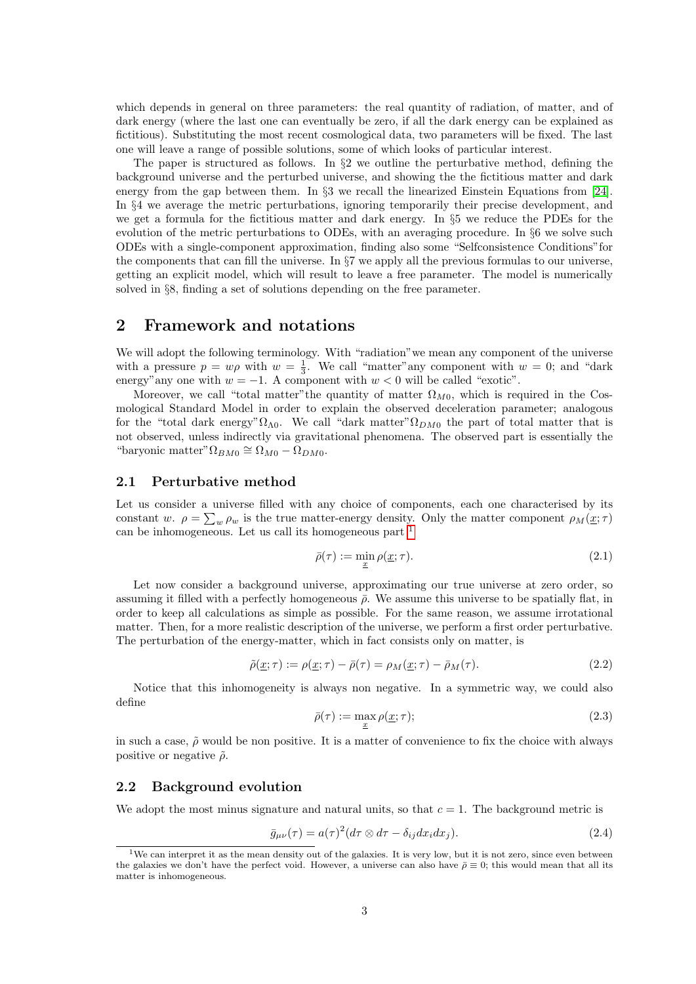which depends in general on three parameters: the real quantity of radiation, of matter, and of dark energy (where the last one can eventually be zero, if all the dark energy can be explained as fictitious). Substituting the most recent cosmological data, two parameters will be fixed. The last one will leave a range of possible solutions, some of which looks of particular interest.

The paper is structured as follows. In  $\S2$  we outline the perturbative method, defining the background universe and the perturbed universe, and showing the the fictitious matter and dark energy from the gap between them. In §3 we recall the linearized Einstein Equations from [\[24\]](#page-34-0). In §4 we average the metric perturbations, ignoring temporarily their precise development, and we get a formula for the fictitious matter and dark energy. In §5 we reduce the PDEs for the evolution of the metric perturbations to ODEs, with an averaging procedure. In §6 we solve such ODEs with a single-component approximation, finding also some "Selfconsistence Conditions"for the components that can fill the universe. In §7 we apply all the previous formulas to our universe, getting an explicit model, which will result to leave a free parameter. The model is numerically solved in §8, finding a set of solutions depending on the free parameter.

# 2 Framework and notations

We will adopt the following terminology. With "radiation"we mean any component of the universe with a pressure  $p = w\rho$  with  $w = \frac{1}{3}$ . We call "matter" any component with  $w = 0$ ; and "dark" energy"any one with  $w = -1$ . A component with  $w < 0$  will be called "exotic".

Moreover, we call "total matter"the quantity of matter  $\Omega_{M0}$ , which is required in the Cosmological Standard Model in order to explain the observed deceleration parameter; analogous for the "total dark energy" $\Omega_{\Lambda 0}$ . We call "dark matter" $\Omega_{DM0}$  the part of total matter that is not observed, unless indirectly via gravitational phenomena. The observed part is essentially the "baryonic matter" $\Omega_{BM0} \cong \Omega_{M0} - \Omega_{DM0}$ .

#### 2.1 Perturbative method

Let us consider a universe filled with any choice of components, each one characterised by its constant w.  $\rho = \sum_{w} \rho_w$  is the true matter-energy density. Only the matter component  $\rho_M(\underline{x}; \tau)$ can be inhomogeneous. Let us call its homogeneous part [1](#page-2-0)

$$
\bar{\rho}(\tau) := \min_{\underline{x}} \rho(\underline{x}; \tau). \tag{2.1}
$$

Let now consider a background universe, approximating our true universe at zero order, so assuming it filled with a perfectly homogeneous  $\bar{\rho}$ . We assume this universe to be spatially flat, in order to keep all calculations as simple as possible. For the same reason, we assume irrotational matter. Then, for a more realistic description of the universe, we perform a first order perturbative. The perturbation of the energy-matter, which in fact consists only on matter, is

$$
\tilde{\rho}(\underline{x};\tau) := \rho(\underline{x};\tau) - \bar{\rho}(\tau) = \rho_M(\underline{x};\tau) - \bar{\rho}_M(\tau). \tag{2.2}
$$

Notice that this inhomogeneity is always non negative. In a symmetric way, we could also define

$$
\bar{\rho}(\tau) := \max_{\underline{x}} \rho(\underline{x}; \tau); \tag{2.3}
$$

in such a case,  $\tilde{\rho}$  would be non positive. It is a matter of convenience to fix the choice with always positive or negative  $\tilde{\rho}$ .

#### 2.2 Background evolution

We adopt the most minus signature and natural units, so that  $c = 1$ . The background metric is

$$
\bar{g}_{\mu\nu}(\tau) = a(\tau)^2 (d\tau \otimes d\tau - \delta_{ij} dx_i dx_j). \tag{2.4}
$$

<span id="page-2-0"></span><sup>1</sup>We can interpret it as the mean density out of the galaxies. It is very low, but it is not zero, since even between the galaxies we don't have the perfect void. However, a universe can also have  $\bar{\rho} \equiv 0$ ; this would mean that all its matter is inhomogeneous.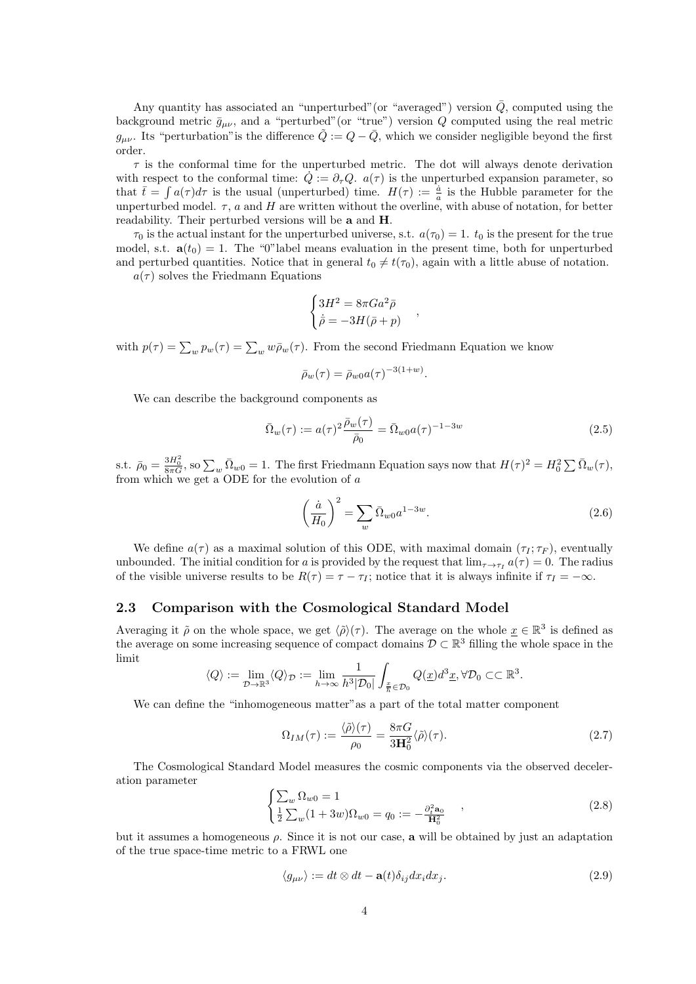Any quantity has associated an "unperturbed" (or "averaged") version  $\overline{Q}$ , computed using the background metric  $\bar{g}_{\mu\nu}$ , and a "perturbed" (or "true") version Q computed using the real metric  $g_{\mu\nu}$ . Its "perturbation" is the difference  $\tilde{Q} := Q - \bar{Q}$ , which we consider negligible beyond the first order.

 $\tau$  is the conformal time for the unperturbed metric. The dot will always denote derivation with respect to the conformal time:  $\dot{Q} = \partial_{\tau} Q$ .  $a(\tau)$  is the unperturbed expansion parameter, so that  $\bar{t} = \int a(\tau) d\tau$  is the usual (unperturbed) time.  $H(\tau) := \frac{\dot{a}}{a}$  is the Hubble parameter for the unperturbed model.  $\tau$ , a and H are written without the overline, with abuse of notation, for better readability. Their perturbed versions will be a and H.

 $\tau_0$  is the actual instant for the unperturbed universe, s.t.  $a(\tau_0) = 1$ .  $t_0$  is the present for the true model, s.t.  $\mathbf{a}(t_0) = 1$ . The "0" label means evaluation in the present time, both for unperturbed and perturbed quantities. Notice that in general  $t_0 \neq t(\tau_0)$ , again with a little abuse of notation.

 $a(\tau)$  solves the Friedmann Equations

$$
\begin{cases} 3H^2 = 8\pi Ga^2\bar{\rho} \\ \dot{\bar{\rho}} = -3H(\bar{\rho} + p) \end{cases}
$$

with  $p(\tau) = \sum_{w} p_w(\tau) = \sum_{w} w \bar{p}_w(\tau)$ . From the second Friedmann Equation we know

$$
\bar{\rho}_w(\tau) = \bar{\rho}_{w0} a(\tau)^{-3(1+w)}.
$$

We can describe the background components as

<span id="page-3-1"></span>
$$
\bar{\Omega}_w(\tau) := a(\tau)^2 \frac{\bar{\rho}_w(\tau)}{\bar{\rho}_0} = \bar{\Omega}_{w0} a(\tau)^{-1-3w}
$$
\n(2.5)

,

s.t.  $\bar{\rho}_0 = \frac{3H_0^2}{8\pi G}$ , so  $\sum_w \bar{\Omega}_{w0} = 1$ . The first Friedmann Equation says now that  $H(\tau)^2 = H_0^2 \sum \bar{\Omega}_w(\tau)$ , from which we get a ODE for the evolution of a

<span id="page-3-2"></span>
$$
\left(\frac{\dot{a}}{H_0}\right)^2 = \sum_w \bar{\Omega}_{w0} a^{1-3w}.\tag{2.6}
$$

We define  $a(\tau)$  as a maximal solution of this ODE, with maximal domain  $(\tau_I; \tau_F)$ , eventually unbounded. The initial condition for a is provided by the request that  $\lim_{\tau \to \tau_I} a(\tau) = 0$ . The radius of the visible universe results to be  $R(\tau) = \tau - \tau_I$ ; notice that it is always infinite if  $\tau_I = -\infty$ .

### 2.3 Comparison with the Cosmological Standard Model

Averaging it  $\tilde{\rho}$  on the whole space, we get  $\langle \tilde{\rho} \rangle(\tau)$ . The average on the whole  $x \in \mathbb{R}^3$  is defined as the average on some increasing sequence of compact domains  $\mathcal{D} \subset \mathbb{R}^3$  filling the whole space in the limit

$$
\langle Q\rangle:=\lim_{\mathcal{D}\to\mathbb{R}^3}\langle Q\rangle_{\mathcal{D}}:=\lim_{h\to\infty}\frac{1}{h^3|\mathcal{D}_0|}\int_{\frac{x}{h}\in\mathcal{D}_0}Q(\underline{x})d^3\underline{x},\forall\mathcal{D}_0\subset\subset\mathbb{R}^3.
$$

We can define the "inhomogeneous matter"as a part of the total matter component

$$
\Omega_{IM}(\tau) := \frac{\langle \tilde{\rho} \rangle(\tau)}{\rho_0} = \frac{8\pi G}{3H_0^2} \langle \tilde{\rho} \rangle(\tau). \tag{2.7}
$$

The Cosmological Standard Model measures the cosmic components via the observed deceleration parameter

<span id="page-3-0"></span>
$$
\begin{cases} \sum_{w} \Omega_{w0} = 1\\ \frac{1}{2} \sum_{w} (1 + 3w) \Omega_{w0} = q_0 := -\frac{\partial_t^2 \mathbf{a}_0}{\mathbf{H}_0^2} \end{cases} , \tag{2.8}
$$

but it assumes a homogeneous  $\rho$ . Since it is not our case, a will be obtained by just an adaptation of the true space-time metric to a FRWL one

$$
\langle g_{\mu\nu} \rangle := dt \otimes dt - \mathbf{a}(t) \delta_{ij} dx_i dx_j. \tag{2.9}
$$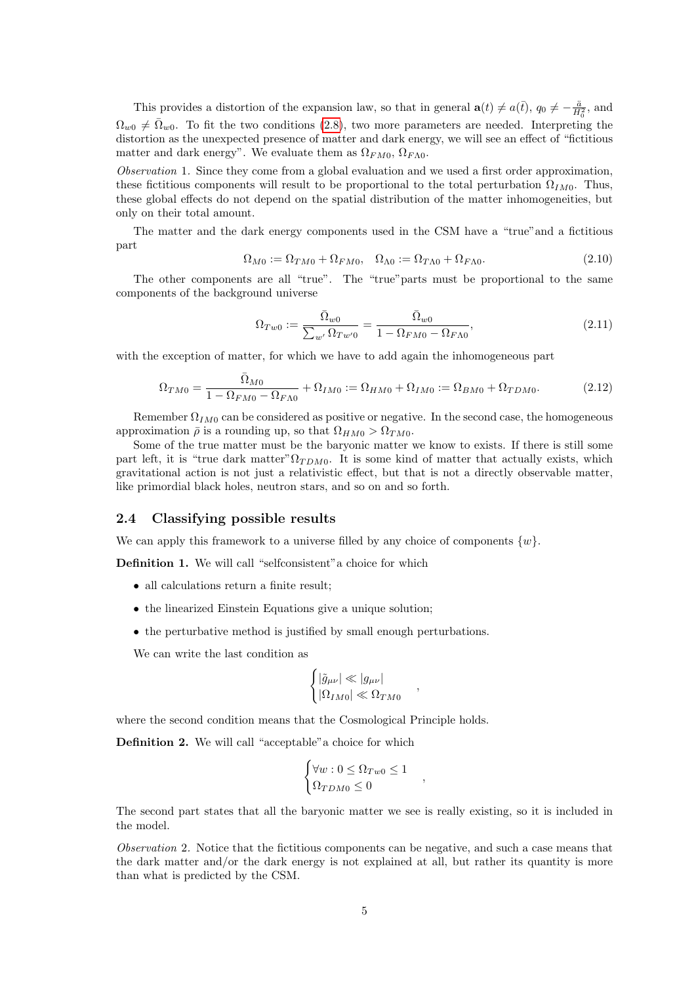This provides a distortion of the expansion law, so that in general  $\mathbf{a}(t) \neq a(\bar{t})$ ,  $q_0 \neq -\frac{\ddot{a}}{H_0^2}$ , and  $\Omega_{w0} \neq \overline{\Omega}_{w0}$ . To fit the two conditions [\(2.8\)](#page-3-0), two more parameters are needed. Interpreting the distortion as the unexpected presence of matter and dark energy, we will see an effect of "fictitious matter and dark energy". We evaluate them as  $\Omega_{FM0}, \Omega_{FA0}$ .

Observation 1. Since they come from a global evaluation and we used a first order approximation, these fictitious components will result to be proportional to the total perturbation  $\Omega_{IM0}$ . Thus, these global effects do not depend on the spatial distribution of the matter inhomogeneities, but only on their total amount.

The matter and the dark energy components used in the CSM have a "true"and a fictitious part

$$
\Omega_{M0} := \Omega_{TM0} + \Omega_{FM0}, \quad \Omega_{\Lambda0} := \Omega_{T\Lambda0} + \Omega_{F\Lambda0}.
$$
\n(2.10)

The other components are all "true". The "true"parts must be proportional to the same components of the background universe

$$
\Omega_{Tw0} := \frac{\bar{\Omega}_{w0}}{\sum_{w'} \Omega_{Tw'0}} = \frac{\bar{\Omega}_{w0}}{1 - \Omega_{FM0} - \Omega_{F\Lambda0}},\tag{2.11}
$$

with the exception of matter, for which we have to add again the inhomogeneous part

$$
\Omega_{TM0} = \frac{\overline{\Omega}_{M0}}{1 - \Omega_{FM0} - \Omega_{FA0}} + \Omega_{IM0} := \Omega_{HM0} + \Omega_{IM0} := \Omega_{BM0} + \Omega_{TDM0}.
$$
\n(2.12)

Remember  $\Omega_{IM0}$  can be considered as positive or negative. In the second case, the homogeneous approximation  $\bar{\rho}$  is a rounding up, so that  $\Omega_{HMO} > \Omega_{TM0}$ .

Some of the true matter must be the baryonic matter we know to exists. If there is still some part left, it is "true dark matter" $\Omega_{TDM0}$ . It is some kind of matter that actually exists, which gravitational action is not just a relativistic effect, but that is not a directly observable matter, like primordial black holes, neutron stars, and so on and so forth.

#### 2.4 Classifying possible results

We can apply this framework to a universe filled by any choice of components  $\{w\}$ .

Definition 1. We will call "selfconsistent"a choice for which

- all calculations return a finite result;
- the linearized Einstein Equations give a unique solution;
- the perturbative method is justified by small enough perturbations.

We can write the last condition as

$$
\begin{cases} |\tilde{g}_{\mu\nu}| \ll |g_{\mu\nu}|\\ |\Omega_{IM0}| \ll \Omega_{TM0} \end{cases}
$$

,

,

where the second condition means that the Cosmological Principle holds.

Definition 2. We will call "acceptable"a choice for which

$$
\begin{cases} \forall w: 0 \le \Omega_{Tw0} \le 1\\ \Omega_{TDM0} \le 0 \end{cases}
$$

The second part states that all the baryonic matter we see is really existing, so it is included in the model.

Observation 2. Notice that the fictitious components can be negative, and such a case means that the dark matter and/or the dark energy is not explained at all, but rather its quantity is more than what is predicted by the CSM.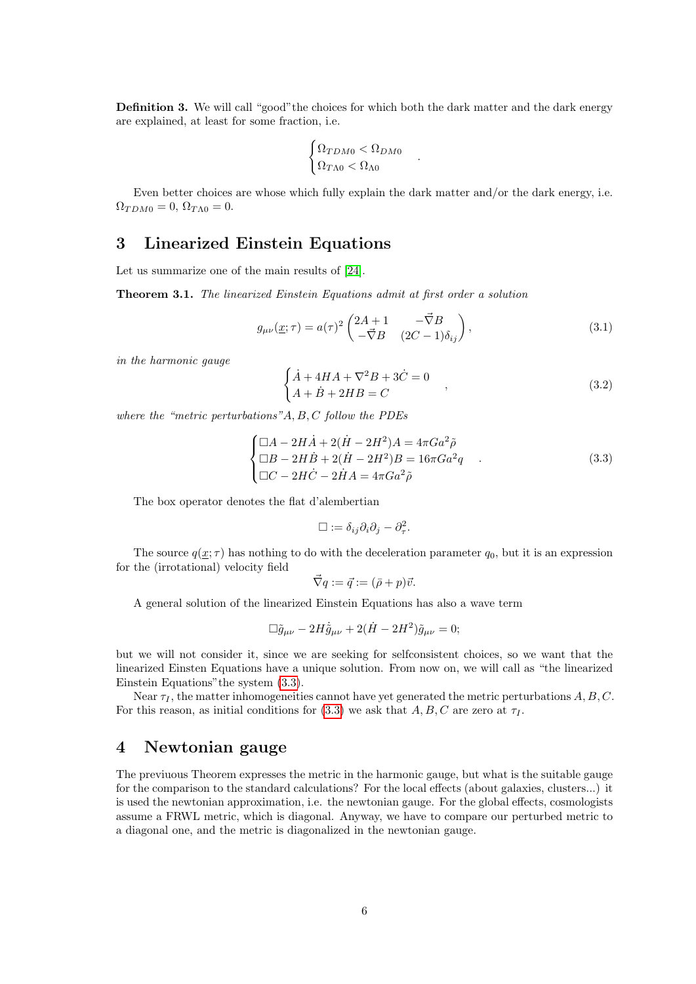Definition 3. We will call "good"the choices for which both the dark matter and the dark energy are explained, at least for some fraction, i.e.

$$
\begin{cases} \Omega_{TDM0} < \Omega_{DM0} \\ \Omega_{T\Lambda0} < \Omega_{\Lambda0} \end{cases}
$$

Even better choices are whose which fully explain the dark matter and/or the dark energy, i.e.  $\Omega_{TDM0} = 0, \, \Omega_{TAD} = 0.$ 

# 3 Linearized Einstein Equations

Let us summarize one of the main results of [\[24\]](#page-34-0).

Theorem 3.1. The linearized Einstein Equations admit at first order a solution

$$
g_{\mu\nu}(\underline{x};\tau) = a(\tau)^2 \begin{pmatrix} 2A+1 & -\vec{\nabla}B \\ -\vec{\nabla}B & (2C-1)\delta_{ij} \end{pmatrix},\tag{3.1}
$$

.

in the harmonic gauge

<span id="page-5-1"></span>
$$
\begin{cases} \dot{A} + 4HA + \nabla^2 B + 3\dot{C} = 0 \\ A + \dot{B} + 2HB = C \end{cases}
$$
\n(3.2)

where the "metric perturbations"A, B, C follow the PDEs

<span id="page-5-0"></span>
$$
\begin{cases} \Box A - 2H\dot{A} + 2(\dot{H} - 2H^2)A = 4\pi Ga^2\tilde{\rho} \\ \Box B - 2H\dot{B} + 2(\dot{H} - 2H^2)B = 16\pi Ga^2q \\ \Box C - 2H\dot{C} - 2\dot{H}A = 4\pi Ga^2\tilde{\rho} \end{cases} .
$$
 (3.3)

The box operator denotes the flat d'alembertian

$$
\Box := \delta_{ij}\partial_i\partial_j - \partial_{\tau}^2.
$$

The source  $q(\underline{x}; \tau)$  has nothing to do with the deceleration parameter  $q_0$ , but it is an expression for the (irrotational) velocity field

$$
\vec{\nabla}q := \vec{q} := (\bar{\rho} + p)\vec{v}.
$$

A general solution of the linearized Einstein Equations has also a wave term

$$
\Box \tilde{g}_{\mu\nu} - 2H \dot{\tilde{g}}_{\mu\nu} + 2(\dot{H} - 2H^2)\tilde{g}_{\mu\nu} = 0;
$$

but we will not consider it, since we are seeking for selfconsistent choices, so we want that the linearized Einsten Equations have a unique solution. From now on, we will call as "the linearized Einstein Equations"the system [\(3.3\)](#page-5-0).

Near  $\tau_I$ , the matter inhomogeneities cannot have yet generated the metric perturbations  $A, B, C$ . For this reason, as initial conditions for [\(3.3\)](#page-5-0) we ask that  $A, B, C$  are zero at  $\tau_I$ .

# 4 Newtonian gauge

The previuous Theorem expresses the metric in the harmonic gauge, but what is the suitable gauge for the comparison to the standard calculations? For the local effects (about galaxies, clusters...) it is used the newtonian approximation, i.e. the newtonian gauge. For the global effects, cosmologists assume a FRWL metric, which is diagonal. Anyway, we have to compare our perturbed metric to a diagonal one, and the metric is diagonalized in the newtonian gauge.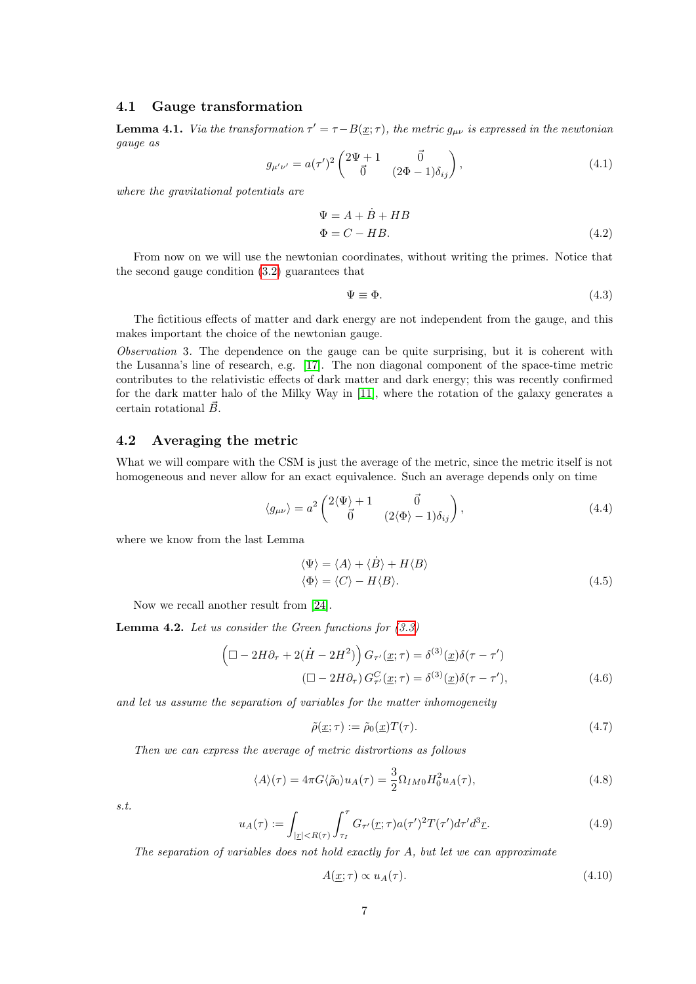### 4.1 Gauge transformation

**Lemma 4.1.** Via the transformation  $\tau' = \tau - B(\underline{x}; \tau)$ , the metric  $g_{\mu\nu}$  is expressed in the newtonian gauge as

$$
g_{\mu'\nu'} = a(\tau')^2 \begin{pmatrix} 2\Psi + 1 & \vec{0} \\ \vec{0} & (2\Phi - 1)\delta_{ij} \end{pmatrix},
$$
(4.1)

where the gravitational potentials are

$$
\Psi = A + \dot{B} + HB
$$
  
\n
$$
\Phi = C - HB.
$$
\n(4.2)

From now on we will use the newtonian coordinates, without writing the primes. Notice that the second gauge condition [\(3.2\)](#page-5-1) guarantees that

$$
\Psi \equiv \Phi. \tag{4.3}
$$

The fictitious effects of matter and dark energy are not independent from the gauge, and this makes important the choice of the newtonian gauge.

Observation 3. The dependence on the gauge can be quite surprising, but it is coherent with the Lusanna's line of research, e.g. [\[17\]](#page-33-11). The non diagonal component of the space-time metric contributes to the relativistic effects of dark matter and dark energy; this was recently confirmed for the dark matter halo of the Milky Way in [\[11\]](#page-33-13), where the rotation of the galaxy generates a certain rotational  $\vec{B}$ .

### 4.2 Averaging the metric

What we will compare with the CSM is just the average of the metric, since the metric itself is not homogeneous and never allow for an exact equivalence. Such an average depends only on time

<span id="page-6-1"></span>
$$
\langle g_{\mu\nu}\rangle = a^2 \begin{pmatrix} 2\langle \Psi \rangle + 1 & \vec{0} \\ \vec{0} & (2\langle \Phi \rangle - 1)\delta_{ij} \end{pmatrix},
$$
(4.4)

where we know from the last Lemma

$$
\langle \Psi \rangle = \langle A \rangle + \langle \dot{B} \rangle + H \langle B \rangle
$$
  

$$
\langle \Phi \rangle = \langle C \rangle - H \langle B \rangle.
$$
 (4.5)

Now we recall another result from [\[24\]](#page-34-0).

<span id="page-6-0"></span>**Lemma 4.2.** Let us consider the Green functions for  $(3.3)$ 

$$
\left(\Box - 2H\partial_{\tau} + 2(\dot{H} - 2H^2)\right)G_{\tau'}(\underline{x}; \tau) = \delta^{(3)}(\underline{x})\delta(\tau - \tau')
$$

$$
\left(\Box - 2H\partial_{\tau}\right)G_{\tau'}^C(\underline{x}; \tau) = \delta^{(3)}(\underline{x})\delta(\tau - \tau'),\tag{4.6}
$$

and let us assume the separation of variables for the matter inhomogeneity

$$
\tilde{\rho}(\underline{x};\tau) := \tilde{\rho}_0(\underline{x})T(\tau). \tag{4.7}
$$

Then we can express the average of metric distrortions as follows

$$
\langle A \rangle(\tau) = 4\pi G \langle \tilde{\rho}_0 \rangle u_A(\tau) = \frac{3}{2} \Omega_{IM0} H_0^2 u_A(\tau), \tag{4.8}
$$

s.t.

$$
u_A(\tau) := \int_{|\underline{r}| < R(\tau)} \int_{\tau_I}^{\tau} G_{\tau'}(\underline{r}; \tau) a(\tau')^2 T(\tau') d\tau' d^3 \underline{r}.\tag{4.9}
$$

The separation of variables does not hold exactly for  $A$ , but let we can approximate

$$
A(\underline{x};\tau) \propto u_A(\tau). \tag{4.10}
$$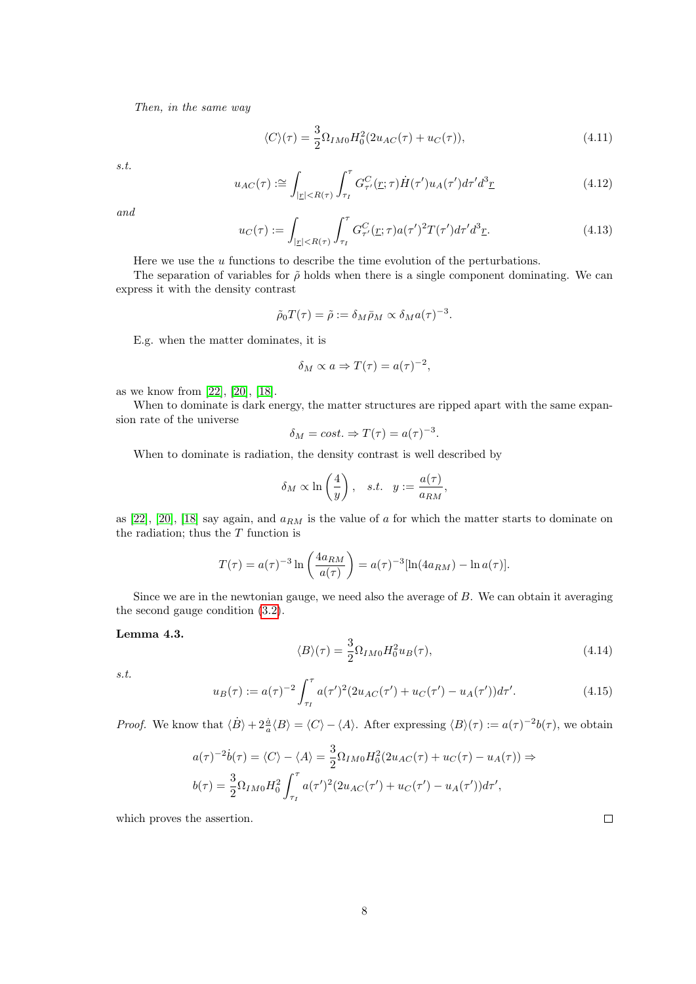Then, in the same way

$$
\langle C \rangle(\tau) = \frac{3}{2} \Omega_{IM0} H_0^2(2u_{AC}(\tau) + u_C(\tau)), \tag{4.11}
$$

s.t.

$$
u_{AC}(\tau) := \int_{|z| < R(\tau)} \int_{\tau_I}^{\tau} G_{\tau'}^C(\underline{r}; \tau) \dot{H}(\tau') u_A(\tau') d\tau' d^3 \underline{r} \tag{4.12}
$$

and

$$
u_C(\tau) := \int_{|\underline{r}| < R(\tau)} \int_{\tau_I}^{\tau} G_{\tau'}^C(\underline{r}; \tau) a(\tau')^2 T(\tau') d\tau' d^3 \underline{r}.\tag{4.13}
$$

Here we use the  $u$  functions to describe the time evolution of the perturbations.

The separation of variables for  $\tilde{\rho}$  holds when there is a single component dominating. We can express it with the density contrast

$$
\tilde{\rho}_0 T(\tau) = \tilde{\rho} := \delta_M \bar{\rho}_M \propto \delta_M a(\tau)^{-3}.
$$

E.g. when the matter dominates, it is

$$
\delta_M \propto a \Rightarrow T(\tau) = a(\tau)^{-2},
$$

as we know from [\[22\]](#page-34-6), [\[20\]](#page-33-16), [\[18\]](#page-33-17).

When to dominate is dark energy, the matter structures are ripped apart with the same expansion rate of the universe

$$
\delta_M = cost. \Rightarrow T(\tau) = a(\tau)^{-3}.
$$

When to dominate is radiation, the density contrast is well described by

$$
\delta_M \propto \ln\left(\frac{4}{y}\right), \quad s.t. \quad y := \frac{a(\tau)}{a_{RM}},
$$

as [\[22\]](#page-34-6), [\[20\]](#page-33-16), [\[18\]](#page-33-17) say again, and  $a_{RM}$  is the value of a for which the matter starts to dominate on the radiation; thus the  $T$  function is

$$
T(\tau) = a(\tau)^{-3} \ln \left( \frac{4a_{RM}}{a(\tau)} \right) = a(\tau)^{-3} [\ln(4a_{RM}) - \ln a(\tau)].
$$

Since we are in the newtonian gauge, we need also the average of B. We can obtain it averaging the second gauge condition [\(3.2\)](#page-5-1).

### <span id="page-7-0"></span>Lemma 4.3.

$$
\langle B \rangle(\tau) = \frac{3}{2} \Omega_{IM0} H_0^2 u_B(\tau), \tag{4.14}
$$

s.t.

<span id="page-7-1"></span>
$$
u_B(\tau) := a(\tau)^{-2} \int_{\tau_I}^{\tau} a(\tau')^2 (2u_{AC}(\tau') + u_C(\tau') - u_A(\tau')) d\tau'. \tag{4.15}
$$

*Proof.* We know that  $\langle \dot{B} \rangle + 2\frac{\dot{a}}{a} \langle B \rangle = \langle C \rangle - \langle A \rangle$ . After expressing  $\langle B \rangle(\tau) := a(\tau)^{-2}b(\tau)$ , we obtain

$$
a(\tau)^{-2}\dot{b}(\tau) = \langle C \rangle - \langle A \rangle = \frac{3}{2} \Omega_{IM0} H_0^2 (2u_{AC}(\tau) + u_C(\tau) - u_A(\tau)) \Rightarrow b(\tau) = \frac{3}{2} \Omega_{IM0} H_0^2 \int_{\tau_I}^{\tau} a(\tau')^2 (2u_{AC}(\tau') + u_C(\tau') - u_A(\tau')) d\tau',
$$

which proves the assertion.

 $\Box$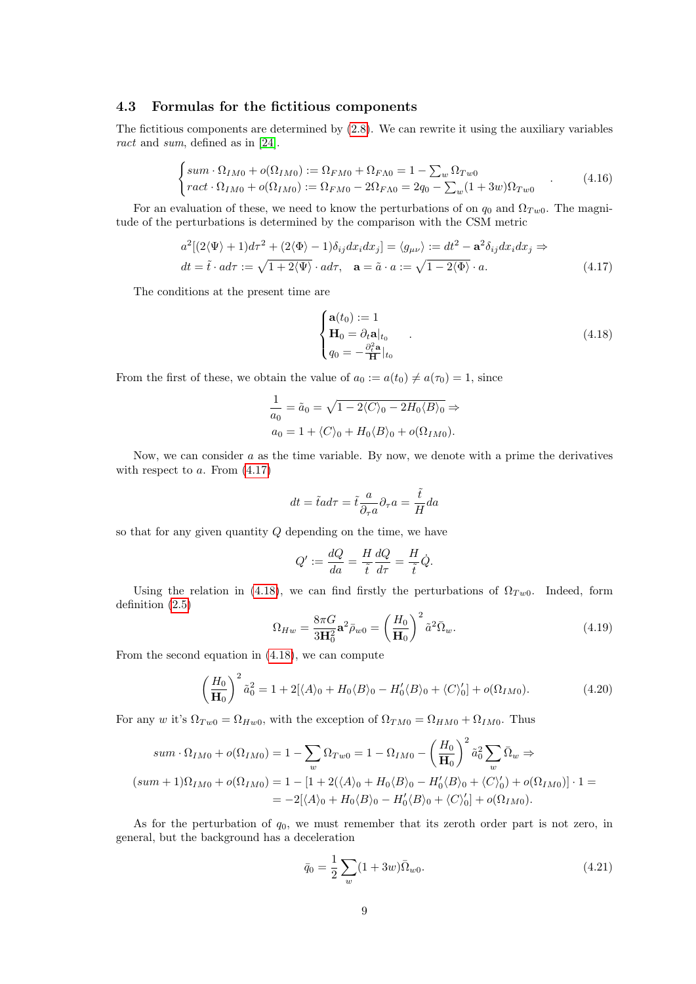#### 4.3 Formulas for the fictitious components

The fictitious components are determined by [\(2.8\)](#page-3-0). We can rewrite it using the auxiliary variables ract and sum, defined as in [\[24\]](#page-34-0).

$$
\begin{cases}\nsum \cdot \Omega_{IM0} + o(\Omega_{IM0}) := \Omega_{FM0} + \Omega_{FA0} = 1 - \sum_{w} \Omega_{Tw0} \\
ract \cdot \Omega_{IM0} + o(\Omega_{IM0}) := \Omega_{FM0} - 2\Omega_{FA0} = 2q_0 - \sum_{w} (1 + 3w)\Omega_{Tw0}\n\end{cases} (4.16)
$$

For an evaluation of these, we need to know the perturbations of on  $q_0$  and  $\Omega_{Tw0}$ . The magnitude of the perturbations is determined by the comparison with the CSM metric

$$
a^{2}[(2\langle\Psi\rangle+1)d\tau^{2}+(2\langle\Phi\rangle-1)\delta_{ij}dx_{i}dx_{j}]=\langle g_{\mu\nu}\rangle:=dt^{2}-\mathbf{a}^{2}\delta_{ij}dx_{i}dx_{j}\Rightarrow dt=\tilde{t}\cdot ad\tau:=\sqrt{1+2\langle\Psi\rangle}\cdot ad\tau, \quad \mathbf{a}=\tilde{a}\cdot a:=\sqrt{1-2\langle\Phi\rangle}\cdot a.
$$
\n(4.17)

The conditions at the present time are

<span id="page-8-1"></span><span id="page-8-0"></span>
$$
\begin{cases}\n\mathbf{a}(t_0) := 1 \\
\mathbf{H}_0 = \partial_t \mathbf{a}|_{t_0} \\
q_0 = -\frac{\partial_t^2 \mathbf{a}}{\mathbf{H}}|_{t_0}\n\end{cases} \tag{4.18}
$$

From the first of these, we obtain the value of  $a_0 := a(t_0) \neq a(\tau_0) = 1$ , since

$$
\frac{1}{a_0} = \tilde{a}_0 = \sqrt{1 - 2\langle C \rangle_0 - 2H_0 \langle B \rangle_0} \Rightarrow
$$
  

$$
a_0 = 1 + \langle C \rangle_0 + H_0 \langle B \rangle_0 + o(\Omega_{IM0}).
$$

Now, we can consider  $a$  as the time variable. By now, we denote with a prime the derivatives with respect to  $a$ . From  $(4.17)$ 

$$
dt = \tilde{t}ad\tau = \tilde{t}\frac{a}{\partial_{\tau}a}\partial_{\tau}a = \frac{\tilde{t}}{H}da
$$

so that for any given quantity Q depending on the time, we have

$$
Q' := \frac{dQ}{da} = \frac{H}{\tilde{t}} \frac{dQ}{d\tau} = \frac{H}{\tilde{t}} \dot{Q}.
$$

Using the relation in [\(4.18\)](#page-8-1), we can find firstly the perturbations of  $\Omega_{Tw0}$ . Indeed, form definition [\(2.5\)](#page-3-1)

<span id="page-8-2"></span>
$$
\Omega_{Hw} = \frac{8\pi G}{3\mathbf{H}_0^2} \mathbf{a}^2 \bar{\rho}_{w0} = \left(\frac{H_0}{\mathbf{H}_0}\right)^2 \tilde{a}^2 \bar{\Omega}_w.
$$
\n(4.19)

From the second equation in [\(4.18\)](#page-8-1), we can compute

$$
\left(\frac{H_0}{\mathbf{H}_0}\right)^2 \tilde{a}_0^2 = 1 + 2[\langle A \rangle_0 + H_0 \langle B \rangle_0 - H_0' \langle B \rangle_0 + \langle C \rangle_0'] + o(\Omega_{IM0}).
$$
\n(4.20)

For any w it's  $\Omega_{Tw0} = \Omega_{Hw0}$ , with the exception of  $\Omega_{TM0} = \Omega_{HM0} + \Omega_{IM0}$ . Thus

$$
sum \cdot \Omega_{IM0} + o(\Omega_{IM0}) = 1 - \sum_{w} \Omega_{Tw0} = 1 - \Omega_{IM0} - \left(\frac{H_0}{H_0}\right)^2 \tilde{a}_0^2 \sum_{w} \bar{\Omega}_w \Rightarrow
$$
  

$$
(sum + 1)\Omega_{IM0} + o(\Omega_{IM0}) = 1 - [1 + 2(\langle A \rangle_0 + H_0 \langle B \rangle_0 - H_0' \langle B \rangle_0 + \langle C \rangle_0') + o(\Omega_{IM0})] \cdot 1 =
$$
  

$$
= -2[\langle A \rangle_0 + H_0 \langle B \rangle_0 - H_0' \langle B \rangle_0 + \langle C \rangle_0'] + o(\Omega_{IM0}).
$$

As for the perturbation of  $q_0$ , we must remember that its zeroth order part is not zero, in general, but the background has a deceleration

$$
\bar{q}_0 = \frac{1}{2} \sum_{w} (1 + 3w) \bar{\Omega}_{w0}.
$$
\n(4.21)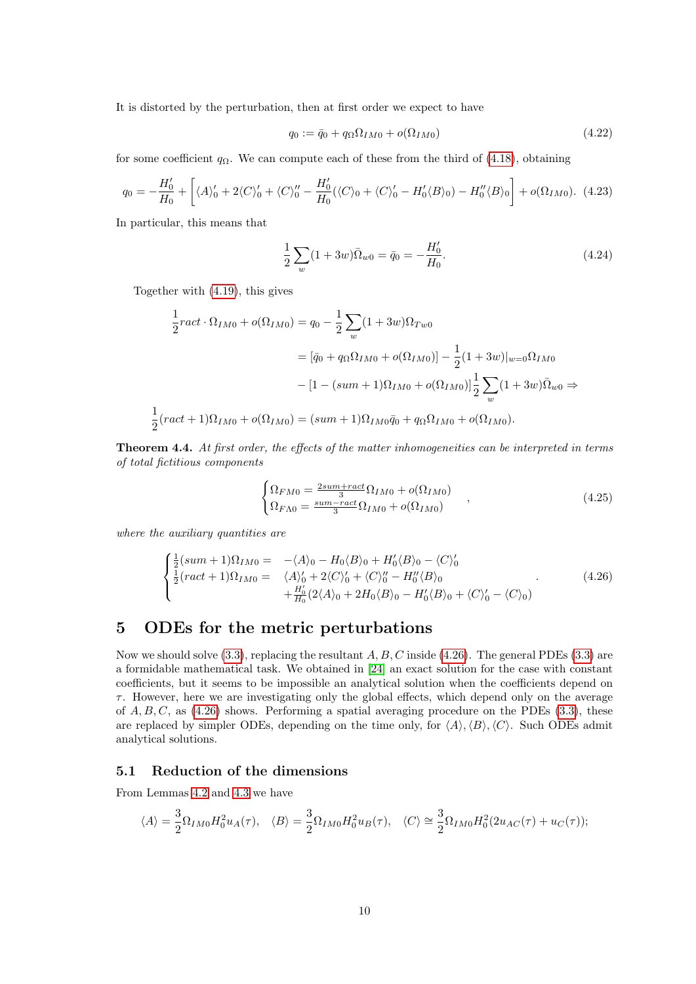It is distorted by the perturbation, then at first order we expect to have

$$
q_0 := \bar{q}_0 + q_\Omega \Omega_{IM0} + o(\Omega_{IM0}) \tag{4.22}
$$

for some coefficient  $q_{\Omega}$ . We can compute each of these from the third of [\(4.18\)](#page-8-1), obtaining

$$
q_0 = -\frac{H'_0}{H_0} + \left[ \langle A \rangle'_0 + 2 \langle C \rangle'_0 + \langle C \rangle''_0 - \frac{H'_0}{H_0} (\langle C \rangle_0 + \langle C \rangle'_0 - H'_0 \langle B \rangle_0) - H''_0 \langle B \rangle_0 \right] + o(\Omega_{IM0}). \tag{4.23}
$$

In particular, this means that

$$
\frac{1}{2}\sum_{w}(1+3w)\overline{\Omega}_{w0} = \overline{q}_0 = -\frac{H'_0}{H_0}.\tag{4.24}
$$

Together with [\(4.19\)](#page-8-2), this gives

$$
\frac{1}{2}ract \cdot \Omega_{IM0} + o(\Omega_{IM0}) = q_0 - \frac{1}{2} \sum_{w} (1 + 3w)\Omega_{Tw0}
$$
\n
$$
= [\bar{q}_0 + q_{\Omega}\Omega_{IM0} + o(\Omega_{IM0})] - \frac{1}{2}(1 + 3w)|_{w=0}\Omega_{IM0}
$$
\n
$$
- [1 - (sum + 1)\Omega_{IM0} + o(\Omega_{IM0})] \frac{1}{2} \sum_{w} (1 + 3w)\bar{\Omega}_{w0} \Rightarrow
$$
\n
$$
(ract + 1)\Omega_{IM0} + o(\Omega_{IM0}) = (sum + 1)\Omega_{IM0}\bar{q}_0 + q_{\Omega}\Omega_{IM0} + o(\Omega_{IM0}).
$$

**Theorem 4.4.** At first order, the effects of the matter inhomogeneities can be interpreted in terms of total fictitious components

$$
\begin{cases} \Omega_{FM0} = \frac{2sum + rate}{3} \Omega_{IM0} + o(\Omega_{IM0}) \\ \Omega_{FA0} = \frac{sum - rate}{3} \Omega_{IM0} + o(\Omega_{IM0}) \end{cases} ,
$$
\n(4.25)

where the auxiliary quantities are

1 2

<span id="page-9-0"></span>
$$
\begin{cases}\n\frac{1}{2}(sum + 1)\Omega_{IM0} = -\langle A\rangle_0 - H_0\langle B\rangle_0 + H'_0\langle B\rangle_0 - \langle C\rangle_0' \\
\frac{1}{2}(ract + 1)\Omega_{IM0} = \langle A\rangle_0' + 2\langle C\rangle_0' + \langle C\rangle_0'' - H''_0\langle B\rangle_0 \\
+ H'_0(2\langle A\rangle_0 + 2H_0\langle B\rangle_0 - H'_0\langle B\rangle_0 + \langle C\rangle_0' - \langle C\rangle_0)\n\end{cases} (4.26)
$$

# 5 ODEs for the metric perturbations

Now we should solve  $(3.3)$ , replacing the resultant A, B, C inside  $(4.26)$ . The general PDEs  $(3.3)$  are a formidable mathematical task. We obtained in [\[24\]](#page-34-0) an exact solution for the case with constant coefficients, but it seems to be impossible an analytical solution when the coefficients depend on  $\tau$ . However, here we are investigating only the global effects, which depend only on the average of  $A, B, C$ , as [\(4.26\)](#page-9-0) shows. Performing a spatial averaging procedure on the PDEs [\(3.3\)](#page-5-0), these are replaced by simpler ODEs, depending on the time only, for  $\langle A \rangle$ ,  $\langle B \rangle$ ,  $\langle C \rangle$ . Such ODEs admit analytical solutions.

### 5.1 Reduction of the dimensions

From Lemmas [4.2](#page-6-0) and [4.3](#page-7-0) we have

$$
\langle A \rangle = \frac{3}{2} \Omega_{IM0} H_0^2 u_A(\tau), \quad \langle B \rangle = \frac{3}{2} \Omega_{IM0} H_0^2 u_B(\tau), \quad \langle C \rangle \cong \frac{3}{2} \Omega_{IM0} H_0^2 (2u_{AC}(\tau) + u_C(\tau));
$$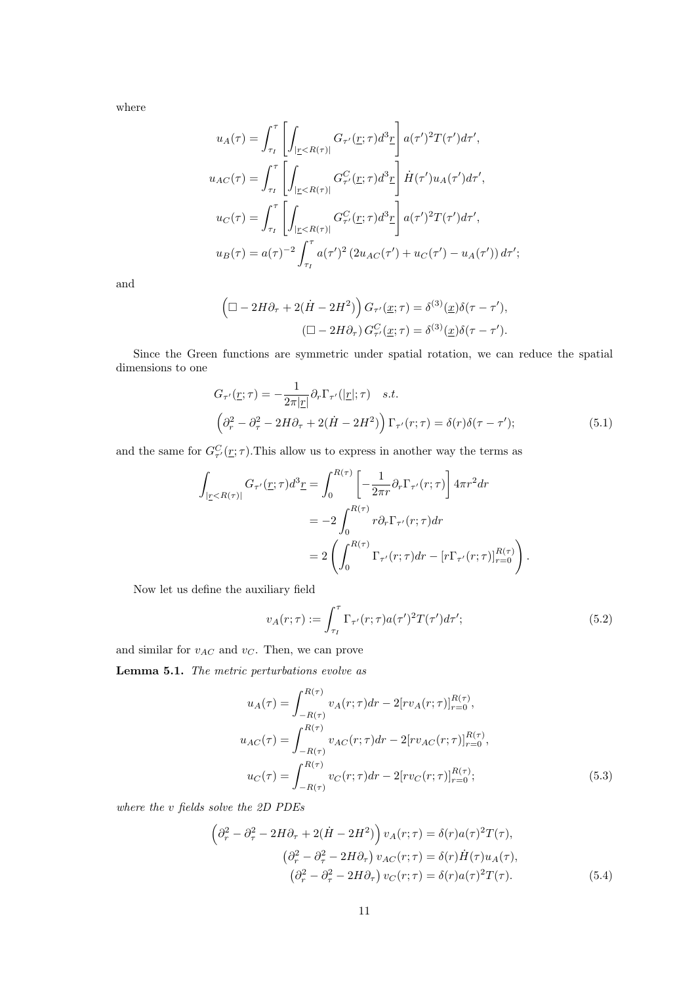where

$$
u_A(\tau) = \int_{\tau_I}^{\tau} \left[ \int_{|z < R(\tau)|} G_{\tau'}(\underline{r}; \tau) d^3 \underline{r} \right] a(\tau')^2 T(\tau') d\tau',
$$
\n
$$
u_{AC}(\tau) = \int_{\tau_I}^{\tau} \left[ \int_{|z < R(\tau)|} G_{\tau'}^C(\underline{r}; \tau) d^3 \underline{r} \right] \dot{H}(\tau') u_A(\tau') d\tau',
$$
\n
$$
u_C(\tau) = \int_{\tau_I}^{\tau} \left[ \int_{|z < R(\tau)|} G_{\tau'}^C(\underline{r}; \tau) d^3 \underline{r} \right] a(\tau')^2 T(\tau') d\tau',
$$
\n
$$
u_B(\tau) = a(\tau)^{-2} \int_{\tau_I}^{\tau} a(\tau')^2 (2u_{AC}(\tau') + u_C(\tau') - u_A(\tau')) d\tau';
$$

and

$$
\left(\Box - 2H\partial_{\tau} + 2(\dot{H} - 2H^2)\right)G_{\tau'}(\underline{x}; \tau) = \delta^{(3)}(\underline{x})\delta(\tau - \tau'),
$$

$$
(\Box - 2H\partial_{\tau})G_{\tau'}^C(\underline{x}; \tau) = \delta^{(3)}(\underline{x})\delta(\tau - \tau').
$$

Since the Green functions are symmetric under spatial rotation, we can reduce the spatial dimensions to one

$$
G_{\tau'}(\underline{r};\tau) = -\frac{1}{2\pi|\underline{r}|}\partial_r \Gamma_{\tau'}(|\underline{r}|;\tau) \quad s.t.
$$
  

$$
\left(\partial_r^2 - \partial_\tau^2 - 2H\partial_\tau + 2(\dot{H} - 2H^2)\right) \Gamma_{\tau'}(r;\tau) = \delta(r)\delta(\tau - \tau');
$$
 (5.1)

and the same for  $G_{\tau}^C(\underline{r};\tau)$ . This allow us to express in another way the terms as

$$
\int_{|_{\Sigma} < R(\tau)|} G_{\tau'}(\underline{r}; \tau) d^3 \underline{r} = \int_0^{R(\tau)} \left[ -\frac{1}{2\pi r} \partial_r \Gamma_{\tau'}(r; \tau) \right] 4\pi r^2 dr
$$

$$
= -2 \int_0^{R(\tau)} r \partial_r \Gamma_{\tau'}(r; \tau) dr
$$

$$
= 2 \left( \int_0^{R(\tau)} \Gamma_{\tau'}(r; \tau) dr - \left[ r \Gamma_{\tau'}(r; \tau) \right]_{r=0}^{R(\tau)} \right).
$$

Now let us define the auxiliary field

$$
v_A(r;\tau) := \int_{\tau_I}^{\tau} \Gamma_{\tau'}(r;\tau) a(\tau')^2 T(\tau') d\tau';\tag{5.2}
$$

and similar for  $v_{AC}$  and  $v_C$ . Then, we can prove

Lemma 5.1. The metric perturbations evolve as

$$
u_A(\tau) = \int_{-R(\tau)}^{R(\tau)} v_A(r;\tau) dr - 2[rv_A(r;\tau)]_{r=0}^{R(\tau)},
$$
  
\n
$$
u_{AC}(\tau) = \int_{-R(\tau)}^{R(\tau)} v_{AC}(r;\tau) dr - 2[rv_{AC}(r;\tau)]_{r=0}^{R(\tau)},
$$
  
\n
$$
u_C(\tau) = \int_{-R(\tau)}^{R(\tau)} v_C(r;\tau) dr - 2[rv_C(r;\tau)]_{r=0}^{R(\tau)};
$$
\n(5.3)

where the v fields solve the 2D PDEs

<span id="page-10-0"></span>
$$
\left(\partial_r^2 - \partial_\tau^2 - 2H\partial_\tau + 2(\dot{H} - 2H^2)\right) v_A(r;\tau) = \delta(r)a(\tau)^2 T(\tau),
$$
  

$$
\left(\partial_r^2 - \partial_\tau^2 - 2H\partial_\tau\right) v_{AC}(r;\tau) = \delta(r)\dot{H}(\tau)u_A(\tau),
$$
  

$$
\left(\partial_r^2 - \partial_\tau^2 - 2H\partial_\tau\right) v_C(r;\tau) = \delta(r)a(\tau)^2 T(\tau).
$$
 (5.4)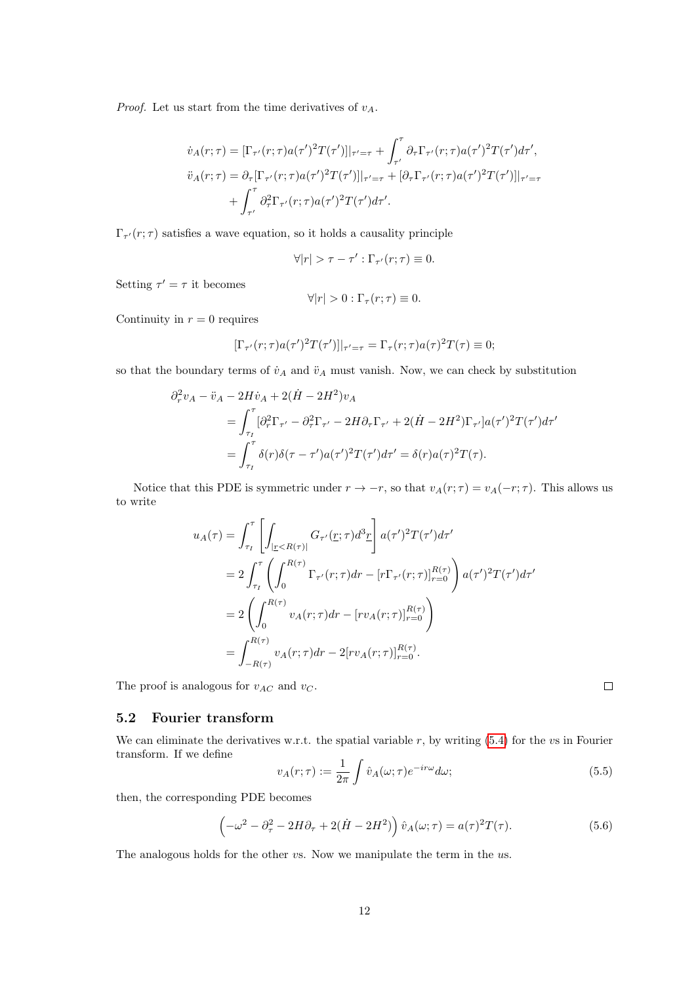*Proof.* Let us start from the time derivatives of  $v_A$ .

$$
\dot{v}_A(r;\tau) = [\Gamma_{\tau'}(r;\tau)a(\tau')^2 T(\tau')]|_{\tau'=\tau} + \int_{\tau'}^{\tau} \partial_{\tau} \Gamma_{\tau'}(r;\tau)a(\tau')^2 T(\tau')d\tau',
$$
  

$$
\ddot{v}_A(r;\tau) = \partial_{\tau} [\Gamma_{\tau'}(r;\tau)a(\tau')^2 T(\tau')]|_{\tau'=\tau} + [\partial_{\tau} \Gamma_{\tau'}(r;\tau)a(\tau')^2 T(\tau')]|_{\tau'=\tau}
$$
  

$$
+ \int_{\tau'}^{\tau} \partial_{\tau}^2 \Gamma_{\tau'}(r;\tau)a(\tau')^2 T(\tau')d\tau'.
$$

 $\Gamma_{\tau}(r;\tau)$  satisfies a wave equation, so it holds a causality principle

$$
\forall |r| > \tau - \tau' : \Gamma_{\tau'}(r; \tau) \equiv 0.
$$

Setting  $\tau' = \tau$  it becomes

$$
\forall |r| > 0 : \Gamma_{\tau}(r; \tau) \equiv 0.
$$

Continuity in  $r = 0$  requires

$$
[\Gamma_{\tau'}(r;\tau)a(\tau')^2T(\tau')]|_{\tau'=\tau}=\Gamma_{\tau}(r;\tau)a(\tau)^2T(\tau)\equiv 0;
$$

so that the boundary terms of  $\dot{v}_A$  and  $\ddot{v}_A$  must vanish. Now, we can check by substitution

$$
\partial_r^2 v_A - \ddot{v}_A - 2H\dot{v}_A + 2(\dot{H} - 2H^2)v_A
$$
  
= 
$$
\int_{\tau_I}^{\tau} [\partial_r^2 \Gamma_{\tau'} - \partial_\tau^2 \Gamma_{\tau'} - 2H\partial_\tau \Gamma_{\tau'} + 2(\dot{H} - 2H^2)\Gamma_{\tau'}]a(\tau')^2 T(\tau')d\tau'
$$
  
= 
$$
\int_{\tau_I}^{\tau} \delta(r)\delta(\tau - \tau')a(\tau')^2 T(\tau')d\tau' = \delta(r)a(\tau)^2 T(\tau).
$$

Notice that this PDE is symmetric under  $r \to -r$ , so that  $v_A(r; \tau) = v_A(-r; \tau)$ . This allows us to write

$$
u_A(\tau) = \int_{\tau_I}^{\tau} \left[ \int_{|\underline{r} < R(\tau)|} G_{\tau'}(\underline{r}; \tau) d^3 \underline{r} \right] a(\tau')^2 T(\tau') d\tau'
$$
\n
$$
= 2 \int_{\tau_I}^{\tau} \left( \int_0^{R(\tau)} \Gamma_{\tau'}(r; \tau) dr - \left[ r \Gamma_{\tau'}(r; \tau) \right]_{r=0}^{R(\tau)} \right) a(\tau')^2 T(\tau') d\tau'
$$
\n
$$
= 2 \left( \int_0^{R(\tau)} v_A(r; \tau) dr - \left[ r v_A(r; \tau) \right]_{r=0}^{R(\tau)} \right)
$$
\n
$$
= \int_{-R(\tau)}^{R(\tau)} v_A(r; \tau) dr - 2 \left[ r v_A(r; \tau) \right]_{r=0}^{R(\tau)}.
$$

The proof is analogous for  $v_{AC}$  and  $v_C$ .

#### 5.2 Fourier transform

We can eliminate the derivatives w.r.t. the spatial variable  $r$ , by writing [\(5.4\)](#page-10-0) for the vs in Fourier transform. If we define

$$
v_A(r;\tau) := \frac{1}{2\pi} \int \hat{v}_A(\omega;\tau) e^{-ir\omega} d\omega;\tag{5.5}
$$

then, the corresponding PDE becomes

<span id="page-11-0"></span>
$$
\left(-\omega^2 - \partial_\tau^2 - 2H\partial_\tau + 2(\dot{H} - 2H^2)\right)\hat{v}_A(\omega;\tau) = a(\tau)^2 T(\tau). \tag{5.6}
$$

The analogous holds for the other vs. Now we manipulate the term in the us.

 $\Box$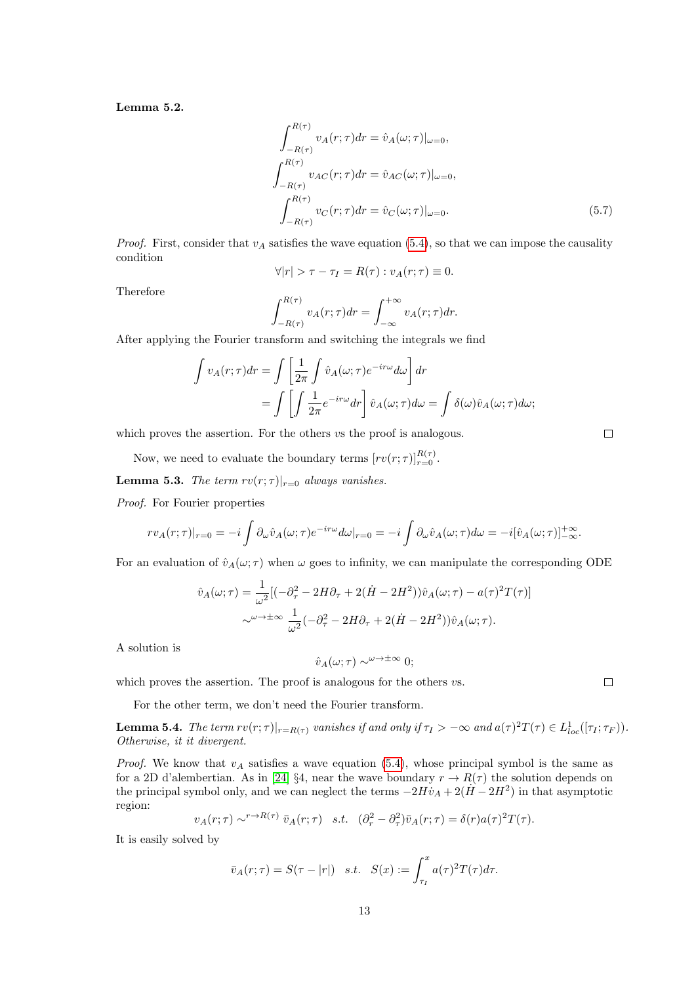<span id="page-12-0"></span>Lemma 5.2.

$$
\int_{-R(\tau)}^{R(\tau)} v_A(r;\tau) dr = \hat{v}_A(\omega;\tau)|_{\omega=0},
$$
  

$$
\int_{-R(\tau)}^{R(\tau)} v_{AC}(r;\tau) dr = \hat{v}_{AC}(\omega;\tau)|_{\omega=0},
$$
  

$$
\int_{-R(\tau)}^{R(\tau)} v_C(r;\tau) dr = \hat{v}_C(\omega;\tau)|_{\omega=0}.
$$
 (5.7)

*Proof.* First, consider that  $v_A$  satisfies the wave equation [\(5.4\)](#page-10-0), so that we can impose the causality condition

$$
\forall |r| > \tau - \tau_I = R(\tau) : v_A(r; \tau) \equiv 0.
$$

Therefore

$$
\int_{-R(\tau)}^{R(\tau)} v_A(r;\tau) dr = \int_{-\infty}^{+\infty} v_A(r;\tau) dr.
$$

After applying the Fourier transform and switching the integrals we find

$$
\int v_A(r;\tau)dr = \int \left[\frac{1}{2\pi} \int \hat{v}_A(\omega;\tau)e^{-ir\omega}d\omega\right]dr
$$

$$
= \int \left[\int \frac{1}{2\pi}e^{-ir\omega}dr\right] \hat{v}_A(\omega;\tau)d\omega = \int \delta(\omega)\hat{v}_A(\omega;\tau)d\omega;
$$

which proves the assertion. For the others vs the proof is analogous.

Now, we need to evaluate the boundary terms  $[rv(r;\tau)]_{r=0}^{R(\tau)}$ .

<span id="page-12-1"></span>**Lemma 5.3.** The term  $rv(r; \tau)|_{r=0}$  always vanishes.

Proof. For Fourier properties

$$
rv_{A}(r;\tau)|_{r=0} = -i \int \partial_{\omega} \hat{v}_{A}(\omega;\tau) e^{-ir\omega} d\omega|_{r=0} = -i \int \partial_{\omega} \hat{v}_{A}(\omega;\tau) d\omega = -i [\hat{v}_{A}(\omega;\tau)]_{-\infty}^{+\infty}.
$$

For an evaluation of  $\hat{v}_A(\omega;\tau)$  when  $\omega$  goes to infinity, we can manipulate the corresponding ODE

$$
\hat{v}_A(\omega;\tau) = \frac{1}{\omega^2} [(-\partial_\tau^2 - 2H\partial_\tau + 2(\dot{H} - 2H^2)) \hat{v}_A(\omega;\tau) - a(\tau)^2 T(\tau)]
$$
  

$$
\sim^{\omega \to \pm \infty} \frac{1}{\omega^2} (-\partial_\tau^2 - 2H\partial_\tau + 2(\dot{H} - 2H^2)) \hat{v}_A(\omega;\tau).
$$

A solution is

$$
\hat{v}_A(\omega;\tau) \sim^{\omega \to \pm \infty} 0;
$$

which proves the assertion. The proof is analogous for the others  $vs.$ 

For the other term, we don't need the Fourier transform.

<span id="page-12-2"></span>**Lemma 5.4.** The term  $rv(r;\tau)|_{r=R(\tau)}$  vanishes if and only if  $\tau_I > -\infty$  and  $a(\tau)^2T(\tau) \in L^1_{loc}([\tau_I;\tau_F))$ . Otherwise, it it divergent.

*Proof.* We know that  $v_A$  satisfies a wave equation [\(5.4\)](#page-10-0), whose principal symbol is the same as for a 2D d'alembertian. As in [\[24\]](#page-34-0) §4, near the wave boundary  $r \to R(\tau)$  the solution depends on the principal symbol only, and we can neglect the terms  $-2H\dot{v}_A + 2(\dot{H} - 2H^2)$  in that asymptotic region:

$$
v_A(r;\tau) \sim^{r \to R(\tau)} \bar{v}_A(r;\tau) \quad s.t. \quad (\partial_r^2 - \partial_\tau^2)\bar{v}_A(r;\tau) = \delta(r)a(\tau)^2 T(\tau).
$$

It is easily solved by

$$
\bar{v}_A(r;\tau) = S(\tau - |r|) \quad s.t. \quad S(x) := \int_{\tau_I}^x a(\tau)^2 T(\tau) d\tau.
$$

 $\Box$ 

 $\Box$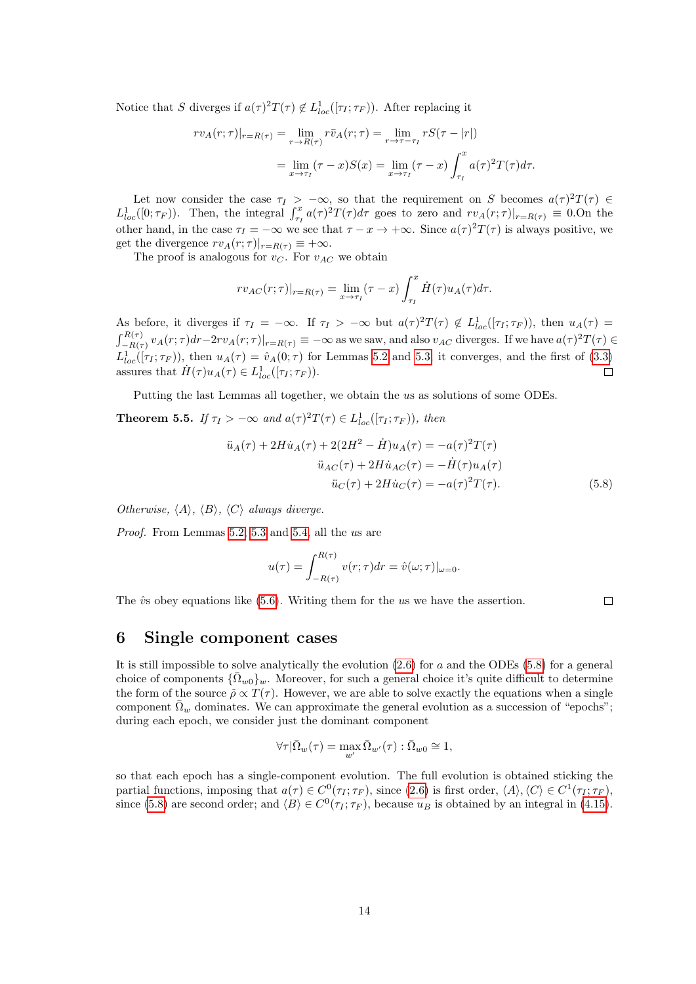Notice that S diverges if  $a(\tau)^2 T(\tau) \notin L^1_{loc}([\tau_I; \tau_F))$ . After replacing it

$$
rv_A(r;\tau)|_{r=R(\tau)} = \lim_{r \to R(\tau)} r\bar{v}_A(r;\tau) = \lim_{r \to \tau - \tau_I} rS(\tau - |r|)
$$
  
= 
$$
\lim_{x \to \tau_I} (\tau - x)S(x) = \lim_{x \to \tau_I} (\tau - x) \int_{\tau_I}^x a(\tau)^2 T(\tau) d\tau.
$$

Let now consider the case  $\tau_I > -\infty$ , so that the requirement on S becomes  $a(\tau)^2 T(\tau) \in$  $L^1_{loc}([0;\tau_F))$ . Then, the integral  $\int_{\tau_I}^x a(\tau)^2 T(\tau) d\tau$  goes to zero and  $rv_A(r;\tau)|_{r=R(\tau)} \equiv 0.0$  the other hand, in the case  $\tau_I = -\infty$  we see that  $\tau - x \to +\infty$ . Since  $a(\tau)^2 T(\tau)$  is always positive, we get the divergence  $rv_A(r;\tau)|_{r=R(\tau)} \equiv +\infty$ .

The proof is analogous for  $v_C$ . For  $v_{AC}$  we obtain

$$
rv_{AC}(r;\tau)|_{r=R(\tau)} = \lim_{x \to \tau_I} (\tau - x) \int_{\tau_I}^x \dot{H}(\tau) u_A(\tau) d\tau.
$$

As before, it diverges if  $\tau_I = -\infty$ . If  $\tau_I > -\infty$  but  $a(\tau)^2 T(\tau) \notin L^1_{loc}([\tau_I; \tau_F))$ , then  $u_A(\tau) =$  $\int_{-R(\tau)}^{R(\tau)} v_A(r;\tau) dr - 2rv_A(r;\tau)|_{r=R(\tau)} \equiv -\infty$  as we saw, and also  $v_{AC}$  diverges. If we have  $a(\tau)^2 T(\tau) \in$  $L_{loc}^1([\tau_I;\tau_F))$ , then  $u_A(\tau) = \hat{v}_A(0;\tau)$  for Lemmas [5.2](#page-12-0) and [5.3;](#page-12-1) it converges, and the first of [\(3.3\)](#page-5-0) assures that  $\dot{H}(\tau)u_A(\tau) \in L^1_{loc}([\tau_I; \tau_F)).$  $\Box$ 

Putting the last Lemmas all together, we obtain the us as solutions of some ODEs.

**Theorem 5.5.** If  $\tau_I > -\infty$  and  $a(\tau)^2 T(\tau) \in L^1_{loc}([\tau_I; \tau_F))$ , then

$$
\ddot{u}_A(\tau) + 2H\dot{u}_A(\tau) + 2(2H^2 - \dot{H})u_A(\tau) = -a(\tau)^2 T(\tau)
$$
  

$$
\ddot{u}_{AC}(\tau) + 2H\dot{u}_{AC}(\tau) = -\dot{H}(\tau)u_A(\tau)
$$
  

$$
\ddot{u}_C(\tau) + 2H\dot{u}_C(\tau) = -a(\tau)^2 T(\tau).
$$
 (5.8)

Otherwise,  $\langle A \rangle$ ,  $\langle B \rangle$ ,  $\langle C \rangle$  always diverge.

Proof. From Lemmas [5.2,](#page-12-0) [5.3](#page-12-1) and [5.4,](#page-12-2) all the us are

$$
u(\tau) = \int_{-R(\tau)}^{R(\tau)} v(r;\tau) dr = \hat{v}(\omega;\tau)|_{\omega=0}.
$$

The  $\hat{v}$ s obey equations like [\(5.6\)](#page-11-0). Writing them for the us we have the assertion.

<span id="page-13-0"></span> $\Box$ 

# 6 Single component cases

It is still impossible to solve analytically the evolution  $(2.6)$  for a and the ODEs  $(5.8)$  for a general choice of components  $\{\bar{\Omega}_{w0}\}_w$ . Moreover, for such a general choice it's quite difficult to determine the form of the source  $\tilde{\rho} \propto T(\tau)$ . However, we are able to solve exactly the equations when a single component  $\Omega_w$  dominates. We can approximate the general evolution as a succession of "epochs"; during each epoch, we consider just the dominant component

$$
\forall \tau | \bar{\Omega}_w(\tau) = \max_{w'} \bar{\Omega}_{w'}(\tau) : \bar{\Omega}_{w0} \cong 1,
$$

so that each epoch has a single-component evolution. The full evolution is obtained sticking the partial functions, imposing that  $a(\tau) \in C^0(\tau_I; \tau_F)$ , since  $(2.6)$  is first order,  $\langle A \rangle$ ,  $\langle C \rangle \in C^1(\tau_I; \tau_F)$ , since [\(5.8\)](#page-13-0) are second order; and  $\langle B \rangle \in C^0(\tau_I; \tau_F)$ , because  $u_B$  is obtained by an integral in [\(4.15\)](#page-7-1).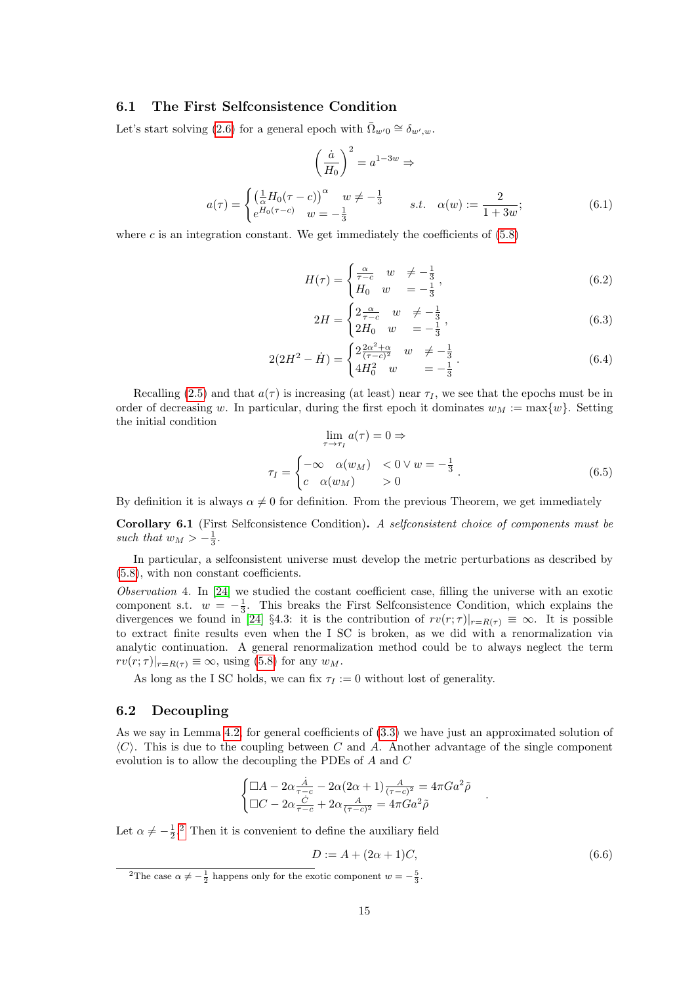#### 6.1 The First Selfconsistence Condition

Let's start solving [\(2.6\)](#page-3-2) for a general epoch with  $\overline{\Omega}_{w'0} \cong \delta_{w',w}$ .

<span id="page-14-1"></span>
$$
\left(\frac{\dot{a}}{H_0}\right)^2 = a^{1-3w} \Rightarrow
$$
\n
$$
a(\tau) = \begin{cases}\n\left(\frac{1}{\alpha}H_0(\tau - c)\right)^\alpha & w \neq -\frac{1}{3} \\
e^{H_0(\tau - c)} & w = -\frac{1}{3}\n\end{cases} \qquad s.t. \quad \alpha(w) := \frac{2}{1+3w};
$$
\n(6.1)

where c is an integration constant. We get immediately the coefficients of  $(5.8)$ 

$$
H(\tau) = \begin{cases} \frac{\alpha}{\tau - c} & w \neq -\frac{1}{3} \\ H_0 & w = -\frac{1}{3} \end{cases},
$$
 (6.2)

$$
2H = \begin{cases} 2\frac{\alpha}{\tau - c} & w \neq -\frac{1}{3} \\ 2H_0 & w = -\frac{1}{3} \end{cases},
$$
(6.3)

$$
2(2H^2 - \dot{H}) = \begin{cases} 2\frac{2\alpha^2 + \alpha}{(\tau - c)^2} & w \neq -\frac{1}{3} \\ 4H_0^2 & w = -\frac{1}{3} \end{cases} . \tag{6.4}
$$

Recalling [\(2.5\)](#page-3-1) and that  $a(\tau)$  is increasing (at least) near  $\tau_I$ , we see that the epochs must be in order of decreasing w. In particular, during the first epoch it dominates  $w_M := \max\{w\}$ . Setting the initial condition

$$
\lim_{\tau \to \tau_I} a(\tau) = 0 \Rightarrow
$$
  

$$
\tau_I = \begin{cases} -\infty & \alpha(w_M) < 0 \lor w = -\frac{1}{3} \\ c & \alpha(w_M) > 0 \end{cases} \tag{6.5}
$$

By definition it is always  $\alpha \neq 0$  for definition. From the previous Theorem, we get immediately

Corollary 6.1 (First Selfconsistence Condition). A selfconsistent choice of components must be such that  $w_M > -\frac{1}{3}$ .

In particular, a selfconsistent universe must develop the metric perturbations as described by [\(5.8\)](#page-13-0), with non constant coefficients.

Observation 4. In [\[24\]](#page-34-0) we studied the costant coefficient case, filling the universe with an exotic component s.t.  $w = -\frac{1}{3}$ . This breaks the First Selfconsistence Condition, which explains the divergences we found in [\[24\]](#page-34-0) §4.3: it is the contribution of  $rv(r;\tau)|_{r=R(\tau)} \equiv \infty$ . It is possible to extract finite results even when the I SC is broken, as we did with a renormalization via analytic continuation. A general renormalization method could be to always neglect the term  $rv(r;\tau)|_{r=R(\tau)} \equiv \infty$ , using [\(5.8\)](#page-13-0) for any  $w_M$ .

As long as the I SC holds, we can fix  $\tau_I := 0$  without lost of generality.

#### 6.2 Decoupling

As we say in Lemma [4.2,](#page-6-0) for general coefficients of [\(3.3\)](#page-5-0) we have just an approximated solution of  $\langle C \rangle$ . This is due to the coupling between C and A. Another advantage of the single component evolution is to allow the decoupling the PDEs of A and C

$$
\begin{cases} \Box A - 2\alpha \frac{\dot{A}}{\tau - c} - 2\alpha (2\alpha + 1) \frac{A}{(\tau - c)^2} = 4\pi G a^2 \tilde{\rho} \\ \Box C - 2\alpha \frac{\dot{C}}{\tau - c} + 2\alpha \frac{A}{(\tau - c)^2} = 4\pi G a^2 \tilde{\rho} \end{cases}
$$

Let  $\alpha \neq -\frac{1}{2}$  $\alpha \neq -\frac{1}{2}$  $\alpha \neq -\frac{1}{2}$ .<sup>2</sup> Then it is convenient to define the auxiliary field

$$
D := A + (2\alpha + 1)C,\tag{6.6}
$$

.

<span id="page-14-0"></span><sup>&</sup>lt;sup>2</sup>The case  $\alpha \neq -\frac{1}{2}$  happens only for the exotic component  $w = -\frac{5}{3}$ .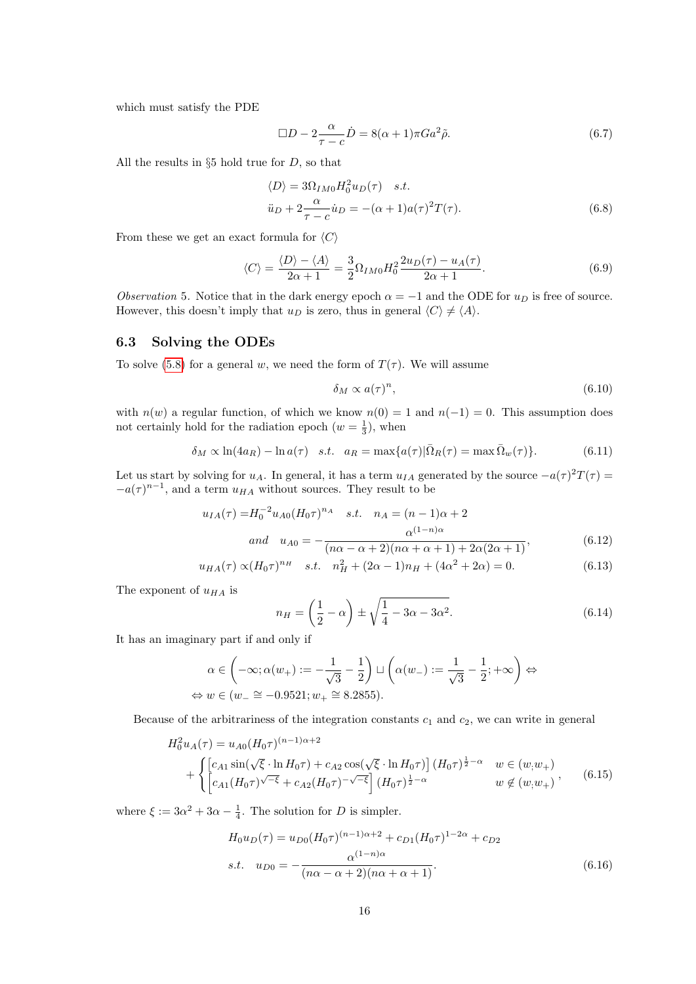which must satisfy the PDE

$$
\Box D - 2 \frac{\alpha}{\tau - c} \dot{D} = 8(\alpha + 1)\pi G a^2 \tilde{\rho}.
$$
\n(6.7)

All the results in  $\S5$  hold true for D, so that

$$
\langle D \rangle = 3\Omega_{IM0} H_0^2 u_D(\tau) \quad s.t. \n\ddot{u}_D + 2 \frac{\alpha}{\tau - c} \dot{u}_D = -(\alpha + 1)a(\tau)^2 T(\tau).
$$
\n(6.8)

From these we get an exact formula for  $\langle C \rangle$ 

$$
\langle C \rangle = \frac{\langle D \rangle - \langle A \rangle}{2\alpha + 1} = \frac{3}{2} \Omega_{IM0} H_0^2 \frac{2u_D(\tau) - u_A(\tau)}{2\alpha + 1}.
$$
\n(6.9)

Observation 5. Notice that in the dark energy epoch  $\alpha = -1$  and the ODE for  $u_D$  is free of source. However, this doesn't imply that  $u_D$  is zero, thus in general  $\langle C \rangle \neq \langle A \rangle$ .

### 6.3 Solving the ODEs

To solve [\(5.8\)](#page-13-0) for a general w, we need the form of  $T(\tau)$ . We will assume

$$
\delta_M \propto a(\tau)^n,\tag{6.10}
$$

with  $n(w)$  a regular function, of which we know  $n(0) = 1$  and  $n(-1) = 0$ . This assumption does not certainly hold for the radiation epoch  $(w = \frac{1}{3})$ , when

$$
\delta_M \propto \ln(4a_R) - \ln a(\tau) \quad s.t. \quad a_R = \max\{a(\tau)|\bar{\Omega}_R(\tau) = \max\bar{\Omega}_w(\tau)\}.
$$
 (6.11)

Let us start by solving for  $u_A$ . In general, it has a term  $u_{IA}$  generated by the source  $-a(\tau)^2T(\tau) =$  $-a(\tau)^{n-1}$ , and a term  $u_{HA}$  without sources. They result to be

$$
u_{IA}(\tau) = H_0^{-2} u_{A0} (H_0 \tau)^{n_A} \quad s.t. \quad n_A = (n-1)\alpha + 2
$$
  
\nand 
$$
u_{A0} = -\frac{\alpha^{(1-n)\alpha}}{(n\alpha - \alpha + 2)(n\alpha + \alpha + 1) + 2\alpha(2\alpha + 1)},
$$
\n(6.12)

$$
u_{HA}(\tau) \propto (H_0 \tau)^{n_H} \quad s.t. \quad n_H^2 + (2\alpha - 1)n_H + (4\alpha^2 + 2\alpha) = 0. \tag{6.13}
$$

The exponent of  $u_{HA}$  is

<span id="page-15-0"></span>
$$
n_H = \left(\frac{1}{2} - \alpha\right) \pm \sqrt{\frac{1}{4} - 3\alpha - 3\alpha^2}.\tag{6.14}
$$

It has an imaginary part if and only if

$$
\alpha \in \left( -\infty; \alpha(w_+) := -\frac{1}{\sqrt{3}} - \frac{1}{2} \right) \sqcup \left( \alpha(w_-) := \frac{1}{\sqrt{3}} - \frac{1}{2}; +\infty \right) \Leftrightarrow
$$
  

$$
\Leftrightarrow w \in (w_- \cong -0.9521; w_+ \cong 8.2855).
$$

Because of the arbitrariness of the integration constants  $c_1$  and  $c_2$ , we can write in general

$$
H_0^2 u_A(\tau) = u_{A0} (H_0 \tau)^{(n-1)\alpha+2}
$$
  
+ 
$$
\begin{cases} [c_{A1} \sin(\sqrt{\xi} \cdot \ln H_0 \tau) + c_{A2} \cos(\sqrt{\xi} \cdot \ln H_0 \tau)] (H_0 \tau)^{\frac{1}{2} - \alpha} & w \in (w, w_+) \\ [c_{A1} (H_0 \tau)^{\sqrt{-\xi}} + c_{A2} (H_0 \tau)^{-\sqrt{-\xi}}] (H_0 \tau)^{\frac{1}{2} - \alpha} & w \notin (w, w_+) \end{cases}
$$
(6.15)

where  $\xi := 3\alpha^2 + 3\alpha - \frac{1}{4}$ . The solution for D is simpler.

$$
H_0 u_D(\tau) = u_{D0} (H_0 \tau)^{(n-1)\alpha+2} + c_{D1} (H_0 \tau)^{1-2\alpha} + c_{D2}
$$
  
s.t.  $u_{D0} = -\frac{\alpha^{(1-n)\alpha}}{(n\alpha - \alpha + 2)(n\alpha + \alpha + 1)}.$  (6.16)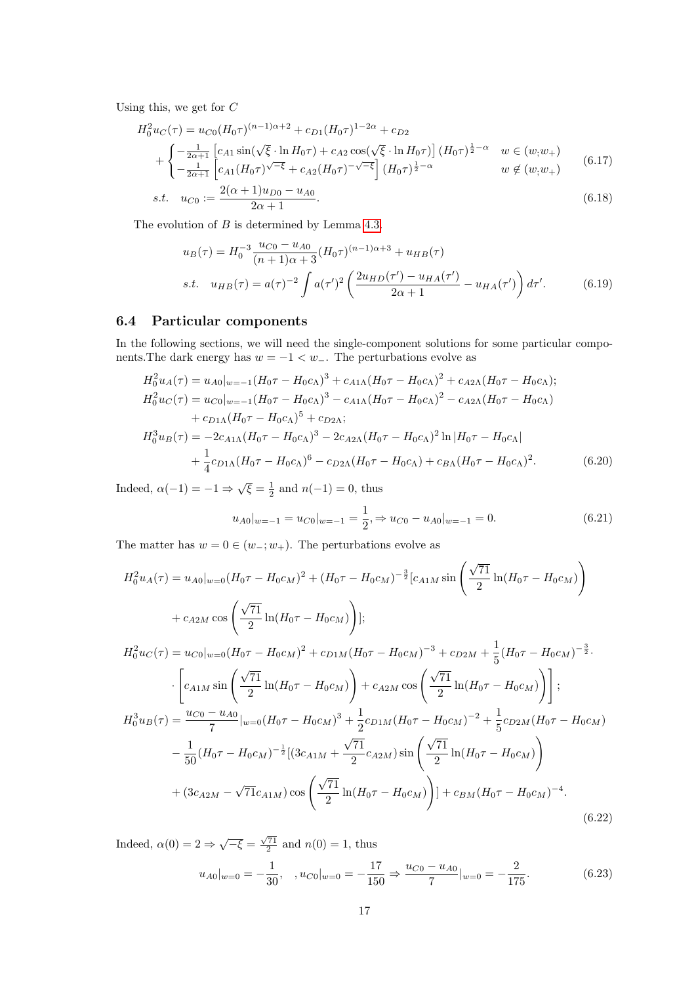Using this, we get for  ${\cal C}$ 

$$
H_0^2 u_C(\tau) = u_{C0} (H_0 \tau)^{(n-1)\alpha+2} + c_{D1} (H_0 \tau)^{1-2\alpha} + c_{D2}
$$
  
+ 
$$
\begin{cases} -\frac{1}{2\alpha+1} \left[ c_{A1} \sin(\sqrt{\xi} \cdot \ln H_0 \tau) + c_{A2} \cos(\sqrt{\xi} \cdot \ln H_0 \tau) \right] (H_0 \tau)^{\frac{1}{2}-\alpha} & w \in (w, w_+) \\ -\frac{1}{2\alpha+1} \left[ c_{A1} (H_0 \tau)^{\sqrt{-\xi}} + c_{A2} (H_0 \tau)^{-\sqrt{-\xi}} \right] (H_0 \tau)^{\frac{1}{2}-\alpha} & w \notin (w, w_+) \end{cases}
$$
(6.17)

s.t. 
$$
u_{C0} := \frac{2(\alpha + 1)u_{D0} - u_{A0}}{2\alpha + 1}
$$
. (6.18)

The evolution of B is determined by Lemma [4.3.](#page-7-0)

<span id="page-16-1"></span><span id="page-16-0"></span>
$$
u_B(\tau) = H_0^{-3} \frac{u_{C0} - u_{A0}}{(n+1)\alpha + 3} (H_0 \tau)^{(n-1)\alpha + 3} + u_{HB}(\tau)
$$
  
s.t. 
$$
u_{HB}(\tau) = a(\tau)^{-2} \int a(\tau')^2 \left(\frac{2u_{HD}(\tau') - u_{HA}(\tau')}{2\alpha + 1} - u_{HA}(\tau')\right) d\tau'.
$$
 (6.19)

#### 6.4 Particular components

In the following sections, we will need the single-component solutions for some particular components. The dark energy has  $w = -1 < w_-\$ . The perturbations evolve as

$$
H_0^2 u_A(\tau) = u_{A0}|_{w=-1} (H_0 \tau - H_0 c_A)^3 + c_{A1\Lambda} (H_0 \tau - H_0 c_A)^2 + c_{A2\Lambda} (H_0 \tau - H_0 c_A);
$$
  
\n
$$
H_0^2 u_C(\tau) = u_{C0}|_{w=-1} (H_0 \tau - H_0 c_A)^3 - c_{A1\Lambda} (H_0 \tau - H_0 c_A)^2 - c_{A2\Lambda} (H_0 \tau - H_0 c_A)
$$
  
\n
$$
+ c_{D1\Lambda} (H_0 \tau - H_0 c_A)^5 + c_{D2\Lambda};
$$
  
\n
$$
H_0^3 u_B(\tau) = -2c_{A1\Lambda} (H_0 \tau - H_0 c_A)^3 - 2c_{A2\Lambda} (H_0 \tau - H_0 c_A)^2 \ln |H_0 \tau - H_0 c_A|
$$
  
\n
$$
+ \frac{1}{4} c_{D1\Lambda} (H_0 \tau - H_0 c_A)^6 - c_{D2\Lambda} (H_0 \tau - H_0 c_A) + c_{B\Lambda} (H_0 \tau - H_0 c_A)^2.
$$
 (6.20)

Indeed,  $\alpha(-1) = -1 \Rightarrow \sqrt{\xi} = \frac{1}{2}$  and  $n(-1) = 0$ , thus

<span id="page-16-3"></span><span id="page-16-2"></span>
$$
u_{A0}|_{w=-1} = u_{C0}|_{w=-1} = \frac{1}{2}, \Rightarrow u_{C0} - u_{A0}|_{w=-1} = 0.
$$
\n(6.21)

The matter has  $w = 0 \in (w_-, w_+)$ . The perturbations evolve as

$$
H_0^2 u_A(\tau) = u_{A0}|_{w=0} (H_0 \tau - H_0 c_M)^2 + (H_0 \tau - H_0 c_M)^{-\frac{3}{2}} [c_{A1M} \sin\left(\frac{\sqrt{71}}{2} \ln(H_0 \tau - H_0 c_M)\right)
$$
  
+  $c_{A2M} \cos\left(\frac{\sqrt{71}}{2} \ln(H_0 \tau - H_0 c_M)\right);$   

$$
H_0^2 u_C(\tau) = u_{C0}|_{w=0} (H_0 \tau - H_0 c_M)^2 + c_{D1M} (H_0 \tau - H_0 c_M)^{-3} + c_{D2M} + \frac{1}{5} (H_0 \tau - H_0 c_M)^{-\frac{3}{2}}.
$$
  

$$
\cdot \left[c_{A1M} \sin\left(\frac{\sqrt{71}}{2} \ln(H_0 \tau - H_0 c_M)\right) + c_{A2M} \cos\left(\frac{\sqrt{71}}{2} \ln(H_0 \tau - H_0 c_M)\right)\right];
$$
  

$$
H_0^3 u_B(\tau) = \frac{u_{C0} - u_{A0}}{7} |_{w=0} (H_0 \tau - H_0 c_M)^3 + \frac{1}{2} c_{D1M} (H_0 \tau - H_0 c_M)^{-2} + \frac{1}{5} c_{D2M} (H_0 \tau - H_0 c_M)
$$
  

$$
- \frac{1}{50} (H_0 \tau - H_0 c_M)^{-\frac{1}{2}} [(3c_{A1M} + \frac{\sqrt{71}}{2} c_{A2M}) \sin\left(\frac{\sqrt{71}}{2} \ln(H_0 \tau - H_0 c_M)\right)
$$
  
+  $(3c_{A2M} - \sqrt{71} c_{A1M}) \cos\left(\frac{\sqrt{71}}{2} \ln(H_0 \tau - H_0 c_M)\right)] + c_{BM} (H_0 \tau - H_0 c_M)^{-4}.$   
(6.22)

Indeed,  $\alpha(0) = 2 \Rightarrow \sqrt{-\xi} = \frac{\sqrt{71}}{2}$  and  $n(0) = 1$ , thus  $u_{A0}|_{w=0} = -\frac{1}{20}$  $\frac{1}{30}$ ,  $u_{C0}|_{w=0} = -\frac{17}{150}$  $\frac{17}{150} \Rightarrow \frac{u_{C0} - u_{A0}}{7}$  $\frac{-u_{A0}}{7}|_{w=0} = -\frac{2}{17}$ 175  $(6.23)$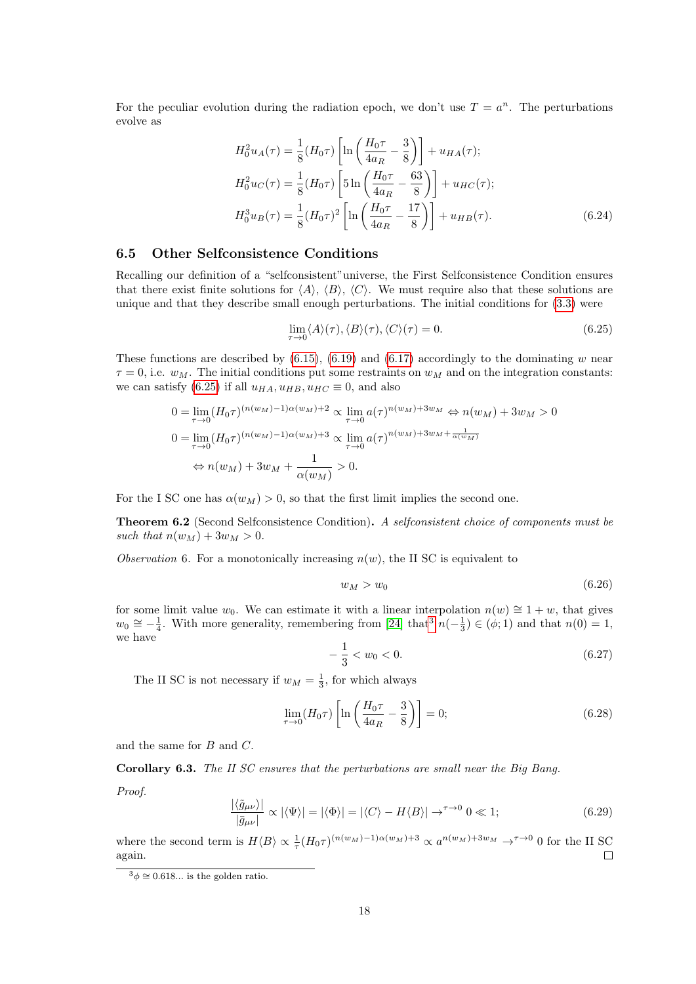For the peculiar evolution during the radiation epoch, we don't use  $T = a^n$ . The perturbations evolve as

$$
H_0^2 u_A(\tau) = \frac{1}{8} (H_0 \tau) \left[ \ln \left( \frac{H_0 \tau}{4a_R} - \frac{3}{8} \right) \right] + u_{HA}(\tau);
$$
  
\n
$$
H_0^2 u_C(\tau) = \frac{1}{8} (H_0 \tau) \left[ 5 \ln \left( \frac{H_0 \tau}{4a_R} - \frac{63}{8} \right) \right] + u_{HC}(\tau);
$$
  
\n
$$
H_0^3 u_B(\tau) = \frac{1}{8} (H_0 \tau)^2 \left[ \ln \left( \frac{H_0 \tau}{4a_R} - \frac{17}{8} \right) \right] + u_{HB}(\tau).
$$
\n(6.24)

### 6.5 Other Selfconsistence Conditions

Recalling our definition of a "selfconsistent"universe, the First Selfconsistence Condition ensures that there exist finite solutions for  $\langle A \rangle$ ,  $\langle B \rangle$ ,  $\langle C \rangle$ . We must require also that these solutions are unique and that they describe small enough perturbations. The initial conditions for [\(3.3\)](#page-5-0) were

<span id="page-17-2"></span><span id="page-17-0"></span>
$$
\lim_{\tau \to 0} \langle A \rangle(\tau), \langle B \rangle(\tau), \langle C \rangle(\tau) = 0. \tag{6.25}
$$

These functions are described by  $(6.15)$ ,  $(6.19)$  and  $(6.17)$  accordingly to the dominating w near  $\tau = 0$ , i.e.  $w_M$ . The initial conditions put some restraints on  $w_M$  and on the integration constants: we can satisfy [\(6.25\)](#page-17-0) if all  $u_{HA}$ ,  $u_{HB}$ ,  $u_{HC} \equiv 0$ , and also

$$
0 = \lim_{\tau \to 0} (H_0 \tau)^{(n(w_M) - 1)\alpha(w_M) + 2} \propto \lim_{\tau \to 0} a(\tau)^{n(w_M) + 3w_M} \Leftrightarrow n(w_M) + 3w_M > 0
$$
  
\n
$$
0 = \lim_{\tau \to 0} (H_0 \tau)^{(n(w_M) - 1)\alpha(w_M) + 3} \propto \lim_{\tau \to 0} a(\tau)^{n(w_M) + 3w_M + \frac{1}{\alpha(w_M)}}
$$
  
\n
$$
\Leftrightarrow n(w_M) + 3w_M + \frac{1}{\alpha(w_M)} > 0.
$$

For the I SC one has  $\alpha(w_M) > 0$ , so that the first limit implies the second one.

Theorem 6.2 (Second Selfconsistence Condition). A selfconsistent choice of components must be such that  $n(w_M) + 3w_M > 0$ .

Observation 6. For a monotonically increasing  $n(w)$ , the II SC is equivalent to

$$
w_M > w_0 \tag{6.26}
$$

for some limit value w<sub>0</sub>. We can estimate it with a linear interpolation  $n(w) \approx 1 + w$ , that gives  $w_0 \approx -\frac{1}{4}$ . With more generality, remembering from [\[24\]](#page-34-0) that  $n(-\frac{1}{3}) \in (\phi, 1)$  $n(-\frac{1}{3}) \in (\phi, 1)$  $n(-\frac{1}{3}) \in (\phi, 1)$  and that  $n(0) = 1$ , we have

$$
-\frac{1}{3} < w_0 < 0. \tag{6.27}
$$

The II SC is not necessary if  $w_M = \frac{1}{3}$ , for which always

$$
\lim_{\tau \to 0} (H_0 \tau) \left[ \ln \left( \frac{H_0 \tau}{4a_R} - \frac{3}{8} \right) \right] = 0; \tag{6.28}
$$

and the same for B and C.

Corollary 6.3. The II SC ensures that the perturbations are small near the Big Bang.

Proof.

$$
\frac{|\langle \tilde{g}_{\mu\nu} \rangle|}{|\bar{g}_{\mu\nu}|} \propto |\langle \Psi \rangle| = |\langle \Phi \rangle| = |\langle C \rangle - H \langle B \rangle| \to^{\tau \to 0} 0 \ll 1; \tag{6.29}
$$

where the second term is  $H\langle B\rangle \propto \frac{1}{\tau} (H_0\tau)^{(n(w_M)-1)\alpha(w_M)+3} \propto a^{n(w_M)+3w_M} \to^{\tau\to 0} 0$  for the II SC again.  $\Box$ 

<span id="page-17-1"></span> $3\phi \cong 0.618...$  is the golden ratio.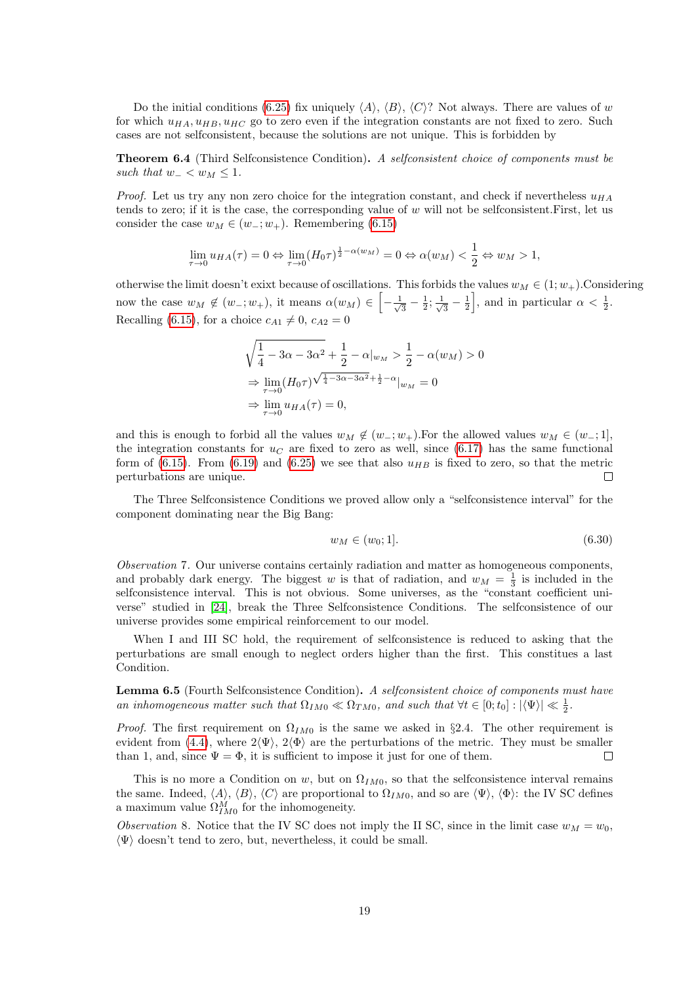Do the initial conditions [\(6.25\)](#page-17-0) fix uniquely  $\langle A \rangle$ ,  $\langle B \rangle$ ,  $\langle C \rangle$ ? Not always. There are values of w for which  $u_{HA}$ ,  $u_{HB}$ ,  $u_{HC}$  go to zero even if the integration constants are not fixed to zero. Such cases are not selfconsistent, because the solutions are not unique. This is forbidden by

Theorem 6.4 (Third Selfconsistence Condition). A selfconsistent choice of components must be such that  $w_-\lt w_M\leq 1$ .

*Proof.* Let us try any non zero choice for the integration constant, and check if nevertheless  $u_{HA}$ tends to zero; if it is the case, the corresponding value of w will not be selfconsistent.First, let us consider the case  $w_M \in (w_-; w_+)$ . Remembering [\(6.15\)](#page-15-0)

$$
\lim_{\tau \to 0} u_{HA}(\tau) = 0 \Leftrightarrow \lim_{\tau \to 0} (H_0 \tau)^{\frac{1}{2} - \alpha(w_M)} = 0 \Leftrightarrow \alpha(w_M) < \frac{1}{2} \Leftrightarrow w_M > 1,
$$

otherwise the limit doesn't exixt because of oscillations. This forbids the values  $w_M \in (1; w_+)$ . Considering now the case  $w_M \notin (w_-; w_+)$ , it means  $\alpha(w_M) \in \left[-\frac{1}{\sqrt{2}}\right]$  $\frac{1}{3} - \frac{1}{2}; \frac{1}{\sqrt{2}}$  $\frac{1}{3} - \frac{1}{2}$ , and in particular  $\alpha < \frac{1}{2}$ . Recalling [\(6.15\)](#page-15-0), for a choice  $c_{A1} \neq 0$ ,  $c_{A2} = 0$ 

$$
\sqrt{\frac{1}{4} - 3\alpha - 3\alpha^2} + \frac{1}{2} - \alpha|_{w_M} > \frac{1}{2} - \alpha(w_M) > 0
$$
  
\n
$$
\Rightarrow \lim_{\tau \to 0} (H_0 \tau)^{\sqrt{\frac{1}{4} - 3\alpha - 3\alpha^2} + \frac{1}{2} - \alpha}|_{w_M} = 0
$$
  
\n
$$
\Rightarrow \lim_{\tau \to 0} u_{HA}(\tau) = 0,
$$

and this is enough to forbid all the values  $w_M \notin (w_-, w_+)$ . For the allowed values  $w_M \in (w_-, 1]$ , the integration constants for  $u_C$  are fixed to zero as well, since [\(6.17\)](#page-16-1) has the same functional form of [\(6.15\)](#page-15-0). From [\(6.19\)](#page-16-0) and [\(6.25\)](#page-17-0) we see that also  $u_{HB}$  is fixed to zero, so that the metric perturbations are unique.  $\Box$ 

The Three Selfconsistence Conditions we proved allow only a "selfconsistence interval" for the component dominating near the Big Bang:

$$
w_M \in (w_0; 1]. \tag{6.30}
$$

Observation 7. Our universe contains certainly radiation and matter as homogeneous components, and probably dark energy. The biggest w is that of radiation, and  $w_M = \frac{1}{3}$  is included in the selfconsistence interval. This is not obvious. Some universes, as the "constant coefficient universe" studied in [\[24\]](#page-34-0), break the Three Selfconsistence Conditions. The selfconsistence of our universe provides some empirical reinforcement to our model.

When I and III SC hold, the requirement of selfconsistence is reduced to asking that the perturbations are small enough to neglect orders higher than the first. This constitues a last Condition.

Lemma 6.5 (Fourth Selfconsistence Condition). A selfconsistent choice of components must have an inhomogeneous matter such that  $\Omega_{IM0} \ll \Omega_{TM0}$ , and such that  $\forall t \in [0; t_0] : |\langle \Psi \rangle| \ll \frac{1}{2}$ .

*Proof.* The first requirement on  $\Omega_{IM0}$  is the same we asked in §2.4. The other requirement is evident from [\(4.4\)](#page-6-1), where  $2\langle\Psi\rangle$ ,  $2\langle\Phi\rangle$  are the perturbations of the metric. They must be smaller than 1, and, since  $\Psi = \Phi$ , it is sufficient to impose it just for one of them.  $\Box$ 

This is no more a Condition on w, but on  $\Omega_{IM0}$ , so that the selfconsistence interval remains the same. Indeed,  $\langle A \rangle$ ,  $\langle B \rangle$ ,  $\langle C \rangle$  are proportional to  $\Omega_{IM0}$ , and so are  $\langle \Psi \rangle$ ,  $\langle \Phi \rangle$ : the IV SC defines a maximum value  $\Omega_{IM0}^M$  for the inhomogeneity.

Observation 8. Notice that the IV SC does not imply the II SC, since in the limit case  $w_M = w_0$ ,  $\langle \Psi \rangle$  doesn't tend to zero, but, nevertheless, it could be small.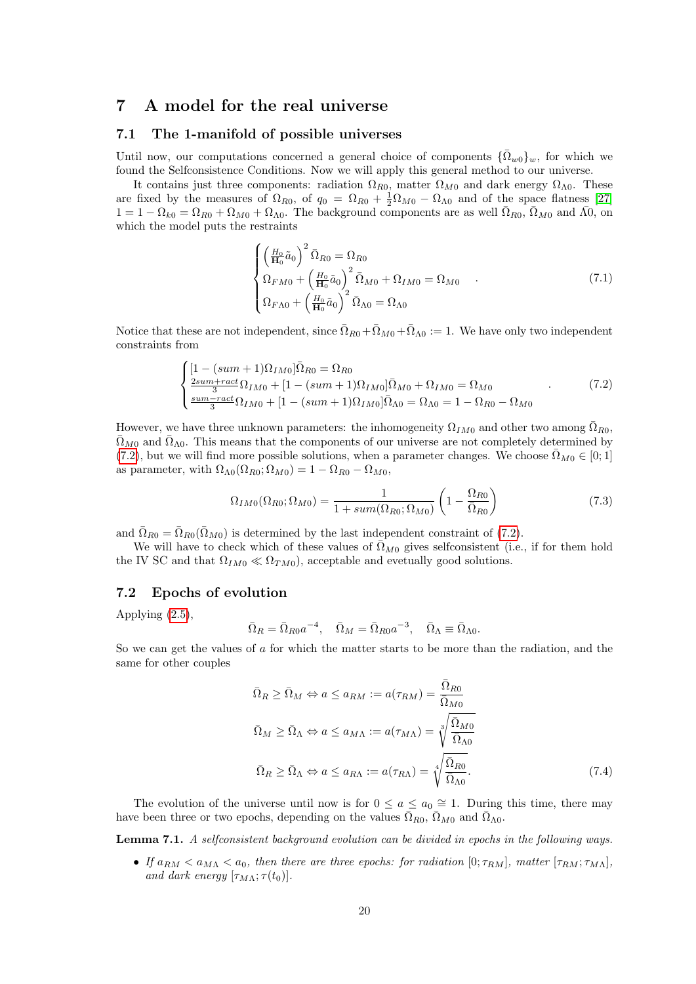# 7 A model for the real universe

#### 7.1 The 1-manifold of possible universes

Until now, our computations concerned a general choice of components  $\{\Omega_{w0}\}_w$ , for which we found the Selfconsistence Conditions. Now we will apply this general method to our universe.

It contains just three components: radiation  $\Omega_{R0}$ , matter  $\Omega_{M0}$  and dark energy  $\Omega_{\Lambda0}$ . These are fixed by the measures of  $\Omega_{R0}$ , of  $q_0 = \Omega_{R0} + \frac{1}{2}\Omega_{M0} - \Omega_{\Lambda 0}$  and of the space flatness [\[27\]](#page-34-7)  $1 = 1 - \Omega_{k0} = \Omega_{R0} + \Omega_{M0} + \Omega_{\Lambda 0}$ . The background components are as well  $\overline{\Omega}_{R0}$ ,  $\overline{\Omega}_{M0}$  and  $\overline{\Lambda 0}$ , on which the model puts the restraints

$$
\begin{cases} \left(\frac{H_0}{\mathbf{H}_0}\tilde{a}_0\right)^2 \bar{\Omega}_{R0} = \Omega_{R0} \\ \Omega_{F M 0} + \left(\frac{H_0}{\mathbf{H}_0}\tilde{a}_0\right)^2 \bar{\Omega}_{M 0} + \Omega_{I M 0} = \Omega_{M 0} \\ \Omega_{F \Lambda 0} + \left(\frac{H_0}{\mathbf{H}_0}\tilde{a}_0\right)^2 \bar{\Omega}_{\Lambda 0} = \Omega_{\Lambda 0} \end{cases} (7.1)
$$

Notice that these are not independent, since  $\overline{\Omega}_{R0}+\overline{\Omega}_{M0}+\overline{\Omega}_{\Lambda0} := 1$ . We have only two independent constraints from

<span id="page-19-0"></span>
$$
\begin{cases}\n[1 - (sum + 1)\Omega_{IM0}]\bar{\Omega}_{R0} = \Omega_{R0} \\
\frac{2sum + rect}{3}\Omega_{IM0} + [1 - (sum + 1)\Omega_{IM0}]\bar{\Omega}_{M0} + \Omega_{IM0} = \Omega_{M0} \\
\frac{sum - rect}{3}\Omega_{IM0} + [1 - (sum + 1)\Omega_{IM0}]\bar{\Omega}_{\Lambda0} = \Omega_{\Lambda0} = 1 - \Omega_{R0} - \Omega_{M0}\n\end{cases} (7.2)
$$

However, we have three unknown parameters: the inhomogeneity  $\Omega_{IM0}$  and other two among  $\overline{\Omega}_{R0}$ ,  $\bar{\Omega}_{M0}$  and  $\bar{\Omega}_{\Lambda 0}$ . This means that the components of our universe are not completely determined by [\(7.2\)](#page-19-0), but we will find more possible solutions, when a parameter changes. We choose  $\bar{\Omega}_{MO} \in [0,1]$ as parameter, with  $\Omega_{\Lambda 0}(\Omega_{R0}; \Omega_{M0}) = 1 - \Omega_{R0} - \Omega_{M0}$ ,

$$
\Omega_{IM0}(\Omega_{R0}; \Omega_{M0}) = \frac{1}{1 + sum(\Omega_{R0}; \Omega_{M0})} \left(1 - \frac{\Omega_{R0}}{\bar{\Omega}_{R0}}\right)
$$
(7.3)

and  $\overline{\Omega}_{R0} = \overline{\Omega}_{R0}(\overline{\Omega}_{M0})$  is determined by the last independent constraint of [\(7.2\)](#page-19-0).

We will have to check which of these values of  $\overline{\Omega}_{M0}$  gives selfconsistent (i.e., if for them hold the IV SC and that  $\Omega_{IM0} \ll \Omega_{TM0}$ , acceptable and evetually good solutions.

### 7.2 Epochs of evolution

Applying [\(2.5\)](#page-3-1),

$$
\bar{\Omega}_R = \bar{\Omega}_{R0} a^{-4}, \quad \bar{\Omega}_M = \bar{\Omega}_{R0} a^{-3}, \quad \bar{\Omega}_{\Lambda} \equiv \bar{\Omega}_{\Lambda 0}.
$$

So we can get the values of a for which the matter starts to be more than the radiation, and the same for other couples

$$
\bar{\Omega}_R \ge \bar{\Omega}_M \Leftrightarrow a \le a_{RM} := a(\tau_{RM}) = \frac{\bar{\Omega}_{R0}}{\bar{\Omega}_{M0}}
$$
\n
$$
\bar{\Omega}_M \ge \bar{\Omega}_\Lambda \Leftrightarrow a \le a_{M\Lambda} := a(\tau_{M\Lambda}) = \sqrt[3]{\frac{\bar{\Omega}_{M0}}{\bar{\Omega}_{\Lambda0}}}
$$
\n
$$
\bar{\Omega}_R \ge \bar{\Omega}_\Lambda \Leftrightarrow a \le a_{R\Lambda} := a(\tau_{R\Lambda}) = \sqrt[4]{\frac{\bar{\Omega}_{R0}}{\bar{\Omega}_{\Lambda0}}}.
$$
\n(7.4)

The evolution of the universe until now is for  $0 \le a \le a_0 \approx 1$ . During this time, there may have been three or two epochs, depending on the values  $\bar{\Omega}_{R0}$ ,  $\bar{\Omega}_{M0}$  and  $\bar{\Omega}_{\Lambda0}$ .

<span id="page-19-1"></span>Lemma 7.1. A selfconsistent background evolution can be divided in epochs in the following ways.

• If  $a_{RM} < a_{M\Lambda} < a_0$ , then there are three epochs: for radiation  $[0; \tau_{RM}]$ , matter  $[\tau_{RM}; \tau_{M\Lambda}]$ , and dark energy  $[\tau_{M\Lambda};\tau(t_0)].$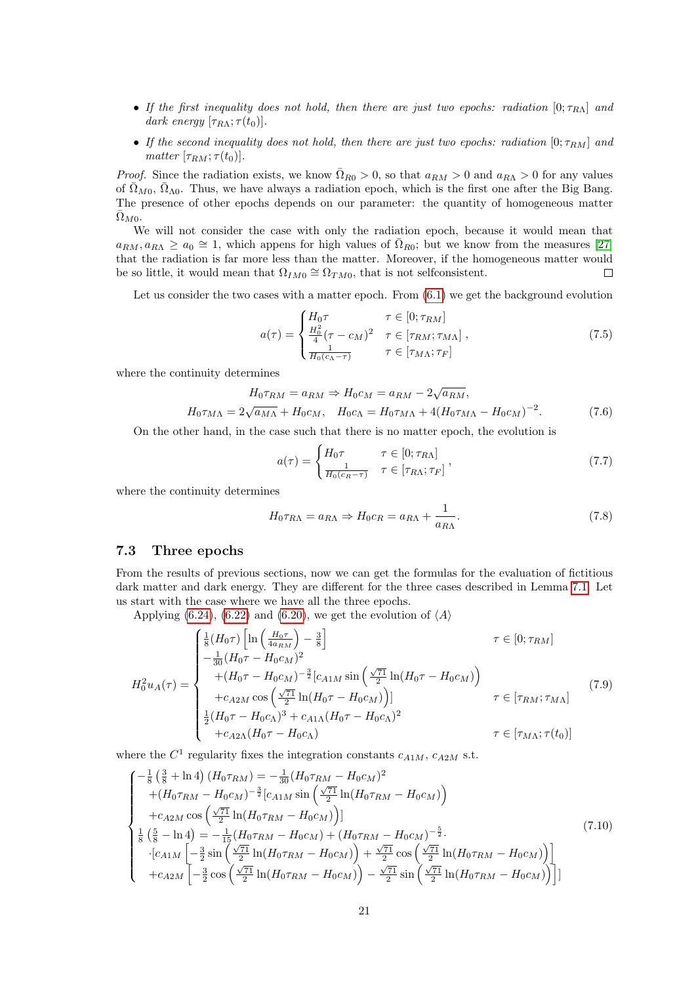- If the first inequality does not hold, then there are just two epochs: radiation  $[0; \tau_{R\Lambda}]$  and dark energy  $[\tau_{R\Lambda}; \tau(t_0)].$
- If the second inequality does not hold, then there are just two epochs: radiation  $[0; \tau_{RM}]$  and matter  $[\tau_{RM}; \tau(t_0)].$

*Proof.* Since the radiation exists, we know  $\overline{\Omega}_{R0} > 0$ , so that  $a_{RM} > 0$  and  $a_{R\Lambda} > 0$  for any values of  $\overline{\Omega}_{M0}$ ,  $\overline{\Omega}_{\Lambda0}$ . Thus, we have always a radiation epoch, which is the first one after the Big Bang. The presence of other epochs depends on our parameter: the quantity of homogeneous matter  $\bar{\Omega}_{M0}.$ 

We will not consider the case with only the radiation epoch, because it would mean that  $a_{RM}, a_{R\Lambda} \ge a_0 \cong 1$ , which appens for high values of  $\bar{\Omega}_{R0}$ ; but we know from the measures [\[27\]](#page-34-7) that the radiation is far more less than the matter. Moreover, if the homogeneous matter would be so little, it would mean that  $\Omega_{IM0} \cong \Omega_{TM0}$ , that is not selfconsistent.  $\Box$ 

Let us consider the two cases with a matter epoch. From  $(6.1)$  we get the background evolution

$$
a(\tau) = \begin{cases} H_0 \tau & \tau \in [0; \tau_{RM}] \\ \frac{H_0^2}{4} (\tau - c_M)^2 & \tau \in [\tau_{RM}; \tau_{M\Lambda}] \\ \frac{1}{H_0(c_{\Lambda} - \tau)} & \tau \in [\tau_{M\Lambda}; \tau_F] \end{cases}
$$
(7.5)

where the continuity determines

$$
H_0 \tau_{RM} = a_{RM} \Rightarrow H_0 c_M = a_{RM} - 2\sqrt{a_{RM}},
$$
  

$$
H_0 \tau_{M\Lambda} = 2\sqrt{a_{M\Lambda}} + H_0 c_M, \quad H_0 c_{\Lambda} = H_0 \tau_{M\Lambda} + 4(H_0 \tau_{M\Lambda} - H_0 c_M)^{-2}.
$$
 (7.6)

On the other hand, in the case such that there is no matter epoch, the evolution is

$$
a(\tau) = \begin{cases} H_0 \tau & \tau \in [0; \tau_{R\Lambda}] \\ \frac{1}{H_0(c_R - \tau)} & \tau \in [\tau_{R\Lambda}; \tau_F] \end{cases},
$$
\n(7.7)

where the continuity determines

$$
H_0 \tau_{R\Lambda} = a_{R\Lambda} \Rightarrow H_0 c_R = a_{R\Lambda} + \frac{1}{a_{R\Lambda}}.\tag{7.8}
$$

#### 7.3 Three epochs

From the results of previous sections, now we can get the formulas for the evaluation of fictitious dark matter and dark energy. They are different for the three cases described in Lemma [7.1.](#page-19-1) Let us start with the case where we have all the three epochs.

Applying [\(6.24\)](#page-17-2), [\(6.22\)](#page-16-2) and [\(6.20\)](#page-16-3), we get the evolution of  $\langle A \rangle$ 

$$
H_0^2 u_A(\tau) = \begin{cases} \frac{1}{8} (H_0 \tau) \left[ \ln \left( \frac{H_0 \tau}{4a_{RM}} \right) - \frac{3}{8} \right] & \tau \in [0; \tau_{RM}] \\ -\frac{1}{30} (H_0 \tau - H_0 c_M)^2 & (7.9) \\ + (H_0 \tau - H_0 c_M)^{-\frac{3}{2}} [c_{A1M} \sin \left( \frac{\sqrt{71}}{2} \ln (H_0 \tau - H_0 c_M) \right) & \tau \in [\tau_{RM}; \tau_{M\Lambda}] \\ \frac{1}{2} (H_0 \tau - H_0 c_A)^3 + c_{A1\Lambda} (H_0 \tau - H_0 c_A)^2 & \tau \in [\tau_{M\Lambda}; \tau(t_0)] \\ + c_{A2\Lambda} (H_0 \tau - H_0 c_A) & \tau \in [\tau_{M\Lambda}; \tau(t_0)] \end{cases}
$$
 (7.9)

where the  $C^1$  regularity fixes the integration constants  $c_{A1M}$ ,  $c_{A2M}$  s.t.

$$
\begin{cases}\n-\frac{1}{8} \left(\frac{3}{8} + \ln 4\right) (H_0 \tau_{RM}) = -\frac{1}{30} (H_0 \tau_{RM} - H_0 c_M)^2 \\
+ (H_0 \tau_{RM} - H_0 c_M)^{-\frac{3}{2}} [c_{A1M} \sin \left(\frac{\sqrt{71}}{2} \ln(H_0 \tau_{RM} - H_0 c_M)\right) \\
+ c_{A2M} \cos \left(\frac{\sqrt{71}}{2} \ln(H_0 \tau_{RM} - H_0 c_M)\right)] \\
\frac{1}{8} \left(\frac{5}{8} - \ln 4\right) = -\frac{1}{15} (H_0 \tau_{RM} - H_0 c_M) + (H_0 \tau_{RM} - H_0 c_M)^{-\frac{5}{2}} \\
\cdot [c_{A1M} \left[ -\frac{3}{2} \sin \left(\frac{\sqrt{71}}{2} \ln(H_0 \tau_{RM} - H_0 c_M)\right) + \frac{\sqrt{71}}{2} \cos \left(\frac{\sqrt{71}}{2} \ln(H_0 \tau_{RM} - H_0 c_M)\right) \right] \\
+ c_{A2M} \left[ -\frac{3}{2} \cos \left(\frac{\sqrt{71}}{2} \ln(H_0 \tau_{RM} - H_0 c_M)\right) - \frac{\sqrt{71}}{2} \sin \left(\frac{\sqrt{71}}{2} \ln(H_0 \tau_{RM} - H_0 c_M)\right) \right]\n\end{cases} (7.10)
$$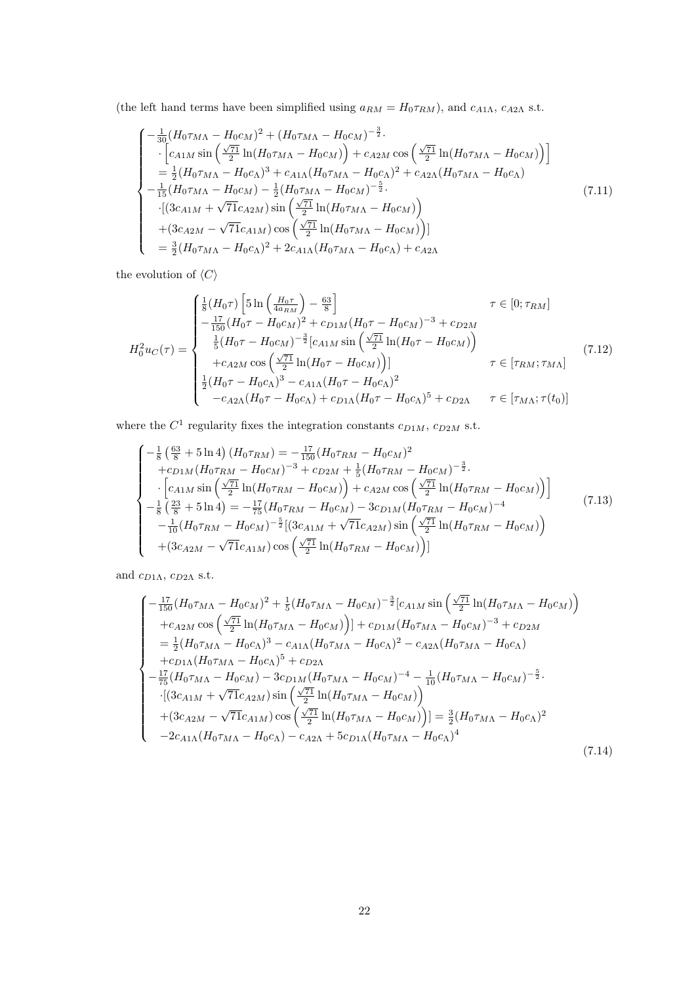(the left hand terms have been simplified using  $a_{RM} = H_0 \tau_{RM}$ ), and  $c_{A1\Lambda}$ ,  $c_{A2\Lambda}$  s.t.

$$
\begin{cases}\n-\frac{1}{30}(H_0\tau_{M\Lambda} - H_0c_M)^2 + (H_0\tau_{M\Lambda} - H_0c_M)^{-\frac{3}{2}} \\
\cdot \left[c_{A1M}\sin\left(\frac{\sqrt{71}}{2}\ln(H_0\tau_{M\Lambda} - H_0c_M)\right) + c_{A2M}\cos\left(\frac{\sqrt{71}}{2}\ln(H_0\tau_{M\Lambda} - H_0c_M)\right)\right] \\
= \frac{1}{2}(H_0\tau_{M\Lambda} - H_0c_M)^3 + c_{A1\Lambda}(H_0\tau_{M\Lambda} - H_0c_M)^2 + c_{A2\Lambda}(H_0\tau_{M\Lambda} - H_0c_\Lambda) \\
-\frac{1}{15}(H_0\tau_{M\Lambda} - H_0c_M) - \frac{1}{2}(H_0\tau_{M\Lambda} - H_0c_M)^{-\frac{5}{2}}.\n\end{cases} (7.11)
$$
\n
$$
\begin{cases}\n(3c_{A1M} + \sqrt{71}c_{A2M})\sin\left(\frac{\sqrt{71}}{2}\ln(H_0\tau_{M\Lambda} - H_0c_M)\right) \\
+ (3c_{A2M} - \sqrt{71}c_{A1M})\cos\left(\frac{\sqrt{71}}{2}\ln(H_0\tau_{M\Lambda} - H_0c_M)\right)\end{cases} (7.12)
$$
\n
$$
= \frac{3}{2}(H_0\tau_{M\Lambda} - H_0c_\Lambda)^2 + 2c_{A1\Lambda}(H_0\tau_{M\Lambda} - H_0c_\Lambda) + c_{A2\Lambda}
$$

the evolution of  $\langle C\rangle$ 

$$
H_0^2 u_C(\tau) = \begin{cases} \frac{1}{8} (H_0 \tau) \left[ 5 \ln \left( \frac{H_0 \tau}{4 a_{RM}} \right) - \frac{63}{8} \right] & \tau \in [0; \tau_{RM}] \\ -\frac{17}{150} (H_0 \tau - H_0 c_M)^2 + c_{D1M} (H_0 \tau - H_0 c_M)^{-3} + c_{D2M} \\ \frac{1}{5} (H_0 \tau - H_0 c_M)^{-\frac{3}{2}} [c_{A1M} \sin \left( \frac{\sqrt{\tau_1}}{2} \ln(H_0 \tau - H_0 c_M) \right) \\ + c_{A2M} \cos \left( \frac{\sqrt{\tau_1}}{2} \ln(H_0 \tau - H_0 c_M) \right) ] & \tau \in [\tau_{RM}; \tau_{M\Lambda}] \\ \frac{1}{2} (H_0 \tau - H_0 c_\Lambda)^3 - c_{A1\Lambda} (H_0 \tau - H_0 c_\Lambda)^2 \\ - c_{A2\Lambda} (H_0 \tau - H_0 c_\Lambda) + c_{D1\Lambda} (H_0 \tau - H_0 c_\Lambda)^5 + c_{D2\Lambda} & \tau \in [\tau_{M\Lambda}; \tau(t_0)] \end{cases}
$$
(7.12)

where the  $C^1$  regularity fixes the integration constants  $c_{D1M}$ ,  $c_{D2M}$  s.t.

$$
\begin{cases}\n-\frac{1}{8} \left(\frac{63}{8} + 5 \ln 4\right) (H_0 \tau_{RM}) = -\frac{17}{150} (H_0 \tau_{RM} - H_0 c_M)^2 \\
+ c_{D1M} (H_0 \tau_{RM} - H_0 c_M)^{-3} + c_{D2M} + \frac{1}{5} (H_0 \tau_{RM} - H_0 c_M)^{-\frac{3}{2}} \\
\cdot \left[c_{A1M} \sin \left(\frac{\sqrt{71}}{2} \ln(H_0 \tau_{RM} - H_0 c_M)\right) + c_{A2M} \cos \left(\frac{\sqrt{71}}{2} \ln(H_0 \tau_{RM} - H_0 c_M)\right)\right] \\
-\frac{1}{8} \left(\frac{23}{8} + 5 \ln 4\right) = -\frac{17}{75} (H_0 \tau_{RM} - H_0 c_M) - 3 c_{D1M} (H_0 \tau_{RM} - H_0 c_M)^{-4} \\
-\frac{1}{10} (H_0 \tau_{RM} - H_0 c_M)^{-\frac{5}{2}} [(3 c_{A1M} + \sqrt{71} c_{A2M}) \sin \left(\frac{\sqrt{71}}{2} \ln(H_0 \tau_{RM} - H_0 c_M)\right) \\
+ (3 c_{A2M} - \sqrt{71} c_{A1M}) \cos \left(\frac{\sqrt{71}}{2} \ln(H_0 \tau_{RM} - H_0 c_M)\right)]\n\end{cases} \tag{7.13}
$$

and  $c_{D1\Lambda}$ ,  $c_{D2\Lambda}$  s.t.

$$
\begin{cases}\n-\frac{17}{150}(H_0\tau_{M\Lambda} - H_0c_M)^2 + \frac{1}{5}(H_0\tau_{M\Lambda} - H_0c_M)^{-\frac{3}{2}}[c_{A1M}\sin\left(\frac{\sqrt{71}}{2}\ln(H_0\tau_{M\Lambda} - H_0c_M)\right) \\
+ c_{A2M}\cos\left(\frac{\sqrt{71}}{2}\ln(H_0\tau_{M\Lambda} - H_0c_M)\right)] + c_{D1M}(H_0\tau_{M\Lambda} - H_0c_M)^{-3} + c_{D2M} \\
= \frac{1}{2}(H_0\tau_{M\Lambda} - H_0c_\Lambda)^3 - c_{A1\Lambda}(H_0\tau_{M\Lambda} - H_0c_\Lambda)^2 - c_{A2\Lambda}(H_0\tau_{M\Lambda} - H_0c_\Lambda) \\
+ c_{D1\Lambda}(H_0\tau_{M\Lambda} - H_0c_\Lambda)^5 + c_{D2\Lambda} \\
-\frac{17}{75}(H_0\tau_{M\Lambda} - H_0c_M) - 3c_{D1M}(H_0\tau_{M\Lambda} - H_0c_M)^{-4} - \frac{1}{10}(H_0\tau_{M\Lambda} - H_0c_M)^{-\frac{5}{2}}.\n\cdot[(3c_{A1M} + \sqrt{71}c_{A2M})\sin\left(\frac{\sqrt{71}}{2}\ln(H_0\tau_{M\Lambda} - H_0c_M)\right) \\
+ (3c_{A2M} - \sqrt{71}c_{A1M})\cos\left(\frac{\sqrt{71}}{2}\ln(H_0\tau_{M\Lambda} - H_0c_M)\right)] = \frac{3}{2}(H_0\tau_{M\Lambda} - H_0c_\Lambda)^2 \\
- 2c_{A1\Lambda}(H_0\tau_{M\Lambda} - H_0c_\Lambda) - c_{A2\Lambda} + 5c_{D1\Lambda}(H_0\tau_{M\Lambda} - H_0c_\Lambda)^4\n\end{cases} (7.14)
$$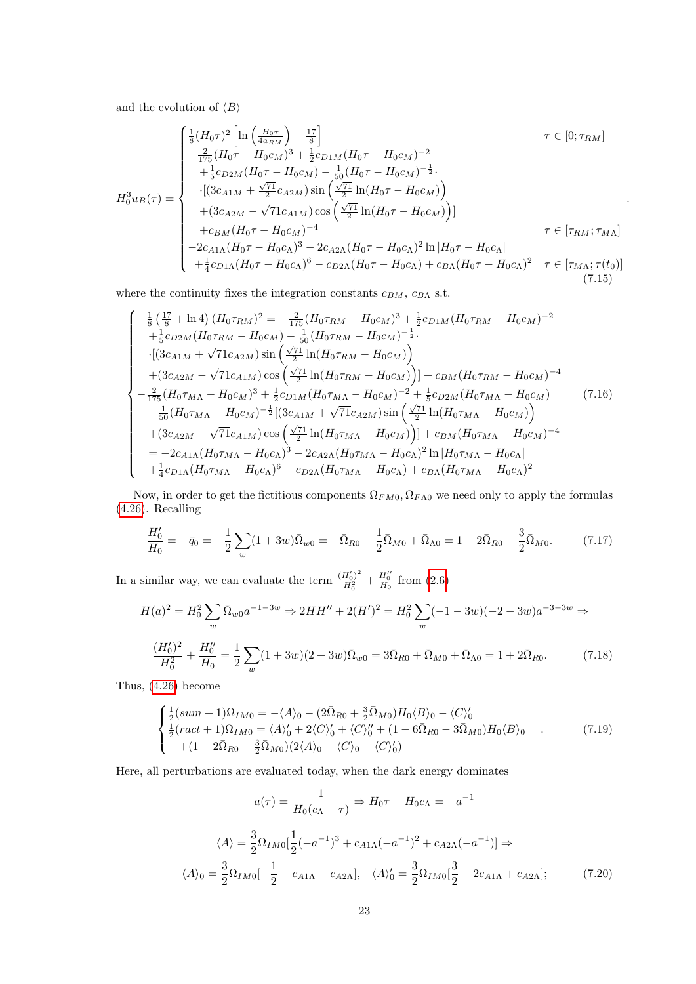and the evolution of  $\langle B \rangle$ 

$$
H_0^3 u_B(\tau) = \begin{cases} \frac{1}{8} (H_0 \tau)^2 \left[ \ln \left( \frac{H_0 \tau}{4a_{RM}} \right) - \frac{17}{8} \right] & \tau \in [0; \tau_{RM}] \\ -\frac{2}{175} (H_0 \tau - H_0 c_M)^3 + \frac{1}{2} c_{D1M} (H_0 \tau - H_0 c_M)^{-2} \\ + \frac{1}{5} c_{D2M} (H_0 \tau - H_0 c_M) - \frac{1}{50} (H_0 \tau - H_0 c_M)^{-\frac{1}{2}} \\ \cdot \left[ (3c_{A1M} + \frac{\sqrt{\tau_1}}{2} c_{A2M}) \sin \left( \frac{\sqrt{\tau_1}}{2} \ln (H_0 \tau - H_0 c_M) \right) \right] \\ + (3c_{A2M} - \sqrt{71} c_{A1M}) \cos \left( \frac{\sqrt{\tau_1}}{2} \ln (H_0 \tau - H_0 c_M) \right)] \\ + c_{BM} (H_0 \tau - H_0 c_M)^{-4} & \tau \in [\tau_{RM}; \tau_{M\Lambda}] \\ -2c_{A1\Lambda} (H_0 \tau - H_0 c_\Lambda)^3 - 2c_{A2\Lambda} (H_0 \tau - H_0 c_\Lambda)^2 \ln |H_0 \tau - H_0 c_\Lambda| \\ + \frac{1}{4} c_{D1\Lambda} (H_0 \tau - H_0 c_\Lambda)^6 - c_{D2\Lambda} (H_0 \tau - H_0 c_\Lambda) + c_{B\Lambda} (H_0 \tau - H_0 c_\Lambda)^2 & \tau \in [\tau_{M\Lambda}; \tau(t_0)] \end{cases}
$$
(7.15)

.

where the continuity fixes the integration constants  $c_{BM}$ ,  $c_{BA}$  s.t.

$$
\begin{cases}\n-\frac{1}{8} \left(\frac{17}{8} + \ln 4\right) (H_0 \tau_{RM})^2 = -\frac{2}{175} (H_0 \tau_{RM} - H_0 c_M)^3 + \frac{1}{2} c_{D1M} (H_0 \tau_{RM} - H_0 c_M)^{-2} \\
+ \frac{1}{5} c_{D2M} (H_0 \tau_{RM} - H_0 c_M) - \frac{1}{50} (H_0 \tau_{RM} - H_0 c_M)^{-\frac{1}{2}} \\
\cdot \left[ (3c_{A1M} + \sqrt{71} c_{A2M}) \sin \left(\frac{\sqrt{71}}{2} \ln(H_0 \tau_{RM} - H_0 c_M)\right) \right] \\
+ (3c_{A2M} - \sqrt{71} c_{A1M}) \cos \left(\frac{\sqrt{71}}{2} \ln(H_0 \tau_{RM} - H_0 c_M)\right) \right] + c_{BM} (H_0 \tau_{RM} - H_0 c_M)^{-4} \\
-\frac{2}{175} (H_0 \tau_{M\Lambda} - H_0 c_M)^3 + \frac{1}{2} c_{D1M} (H_0 \tau_{M\Lambda} - H_0 c_M)^{-2} + \frac{1}{5} c_{D2M} (H_0 \tau_{M\Lambda} - H_0 c_M) \\
-\frac{1}{50} (H_0 \tau_{M\Lambda} - H_0 c_M)^{-\frac{1}{2}} \left[ (3c_{A1M} + \sqrt{71} c_{A2M}) \sin \left(\frac{\sqrt{71}}{2} \ln(H_0 \tau_{M\Lambda} - H_0 c_M)\right) \right. \\
\left. + (3c_{A2M} - \sqrt{71} c_{A1M}) \cos \left(\frac{\sqrt{71}}{2} \ln(H_0 \tau_{M\Lambda} - H_0 c_M)\right) \right] + c_{BM} (H_0 \tau_{M\Lambda} - H_0 c_M)^{-4} \\
= -2c_{A1\Lambda} (H_0 \tau_{M\Lambda} - H_0 c_\Lambda)^3 - 2c_{A2\Lambda} (H_0 \tau_{M\Lambda} - H_0 c_\Lambda)^2 \ln(H_0 \tau_{M\Lambda} - H_0 c_\Lambda) \\
+ \frac{1}{4} c_{D1\Lambda} (H_0 \tau_{M\Lambda} - H_0 c_\Lambda)^6 - c_{D2\Lambda} (H_0 \tau_{M\Lambda} - H_0 c_\Lambda) + c_{BM} (H_0 \tau_{M\Lambda}
$$

Now, in order to get the fictitious components  $\Omega_{FM0}, \Omega_{FA0}$  we need only to apply the formulas [\(4.26\)](#page-9-0). Recalling

$$
\frac{H_0'}{H_0} = -\bar{q}_0 = -\frac{1}{2} \sum_w (1 + 3w)\bar{\Omega}_{w0} = -\bar{\Omega}_{R0} - \frac{1}{2}\bar{\Omega}_{M0} + \bar{\Omega}_{\Lambda 0} = 1 - 2\bar{\Omega}_{R0} - \frac{3}{2}\bar{\Omega}_{M0}.
$$
 (7.17)

In a similar way, we can evaluate the term  $\frac{(H_0')^2}{H^2}$  $\frac{H_0^{\prime})^2}{H_0^2} + \frac{H_0^{\prime\prime}}{H_0}$  from [\(2.6\)](#page-3-2)

$$
H(a)^{2} = H_{0}^{2} \sum_{w} \bar{\Omega}_{w0} a^{-1-3w} \Rightarrow 2HH'' + 2(H')^{2} = H_{0}^{2} \sum_{w} (-1 - 3w)(-2 - 3w)a^{-3-3w} \Rightarrow
$$

$$
\frac{(H'_{0})^{2}}{H_{0}^{2}} + \frac{H''_{0}}{H_{0}} = \frac{1}{2} \sum_{w} (1 + 3w)(2 + 3w)\bar{\Omega}_{w0} = 3\bar{\Omega}_{R0} + \bar{\Omega}_{M0} + \bar{\Omega}_{\Lambda0} = 1 + 2\bar{\Omega}_{R0}.
$$
(7.18)

Thus, [\(4.26\)](#page-9-0) become

<span id="page-22-1"></span>
$$
\begin{cases}\n\frac{1}{2}(sum + 1)\Omega_{IM0} = -\langle A\rangle_0 - (2\bar{\Omega}_{R0} + \frac{3}{2}\bar{\Omega}_{M0})H_0\langle B\rangle_0 - \langle C\rangle_0' \\
\frac{1}{2}(ract + 1)\Omega_{IM0} = \langle A\rangle_0' + 2\langle C\rangle_0' + \langle C\rangle_0'' + (1 - 6\bar{\Omega}_{R0} - 3\bar{\Omega}_{M0})H_0\langle B\rangle_0 \\
+(1 - 2\bar{\Omega}_{R0} - \frac{3}{2}\bar{\Omega}_{M0})(2\langle A\rangle_0 - \langle C\rangle_0 + \langle C\rangle_0')\n\end{cases} (7.19)
$$

Here, all perturbations are evaluated today, when the dark energy dominates

<span id="page-22-0"></span>
$$
a(\tau) = \frac{1}{H_0(c_{\Lambda} - \tau)} \Rightarrow H_0 \tau - H_0 c_{\Lambda} = -a^{-1}
$$

$$
\langle A \rangle = \frac{3}{2} \Omega_{IM0} \left[ \frac{1}{2} (-a^{-1})^3 + c_{A1\Lambda} (-a^{-1})^2 + c_{A2\Lambda} (-a^{-1}) \right] \Rightarrow
$$

$$
\langle A \rangle_0 = \frac{3}{2} \Omega_{IM0} \left[ -\frac{1}{2} + c_{A1\Lambda} - c_{A2\Lambda} \right], \quad \langle A \rangle_0' = \frac{3}{2} \Omega_{IM0} \left[ \frac{3}{2} - 2c_{A1\Lambda} + c_{A2\Lambda} \right]; \tag{7.20}
$$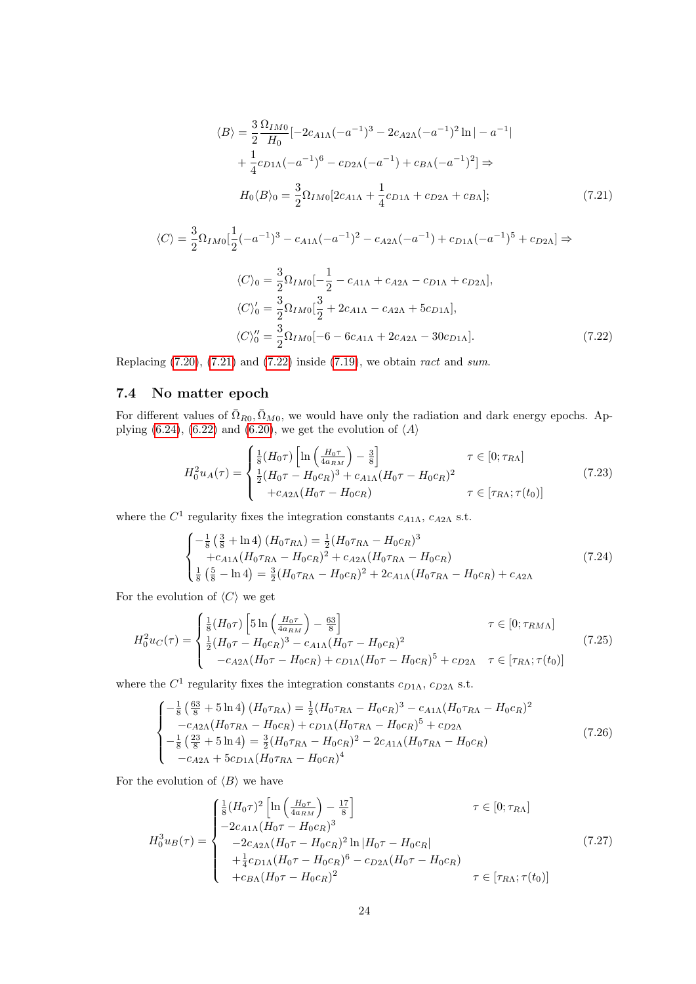<span id="page-23-0"></span>
$$
\langle B \rangle = \frac{3}{2} \frac{\Omega_{IM0}}{H_0} \left[ -2c_{A1\Lambda} (-a^{-1})^3 - 2c_{A2\Lambda} (-a^{-1})^2 \ln |-a^{-1}| \right. \n+ \frac{1}{4} c_{D1\Lambda} (-a^{-1})^6 - c_{D2\Lambda} (-a^{-1}) + c_{B\Lambda} (-a^{-1})^2 \right] \Rightarrow \nH_0 \langle B \rangle_0 = \frac{3}{2} \Omega_{IM0} [2c_{A1\Lambda} + \frac{1}{4} c_{D1\Lambda} + c_{D2\Lambda} + c_{B\Lambda}];
$$
\n(7.21)

$$
\langle C \rangle = \frac{3}{2} \Omega_{IM0} \left[ \frac{1}{2} (-a^{-1})^3 - c_{A1\Lambda} (-a^{-1})^2 - c_{A2\Lambda} (-a^{-1}) + c_{D1\Lambda} (-a^{-1})^5 + c_{D2\Lambda} \right] \Rightarrow
$$
  
\n
$$
\langle C \rangle_0 = \frac{3}{2} \Omega_{IM0} \left[ -\frac{1}{2} - c_{A1\Lambda} + c_{A2\Lambda} - c_{D1\Lambda} + c_{D2\Lambda} \right],
$$
  
\n
$$
\langle C \rangle_0' = \frac{3}{2} \Omega_{IM0} \left[ \frac{3}{2} + 2c_{A1\Lambda} - c_{A2\Lambda} + 5c_{D1\Lambda} \right],
$$
  
\n
$$
\langle C \rangle_0'' = \frac{3}{2} \Omega_{IM0} [-6 - 6c_{A1\Lambda} + 2c_{A2\Lambda} - 30c_{D1\Lambda}].
$$
\n(7.22)

Replacing  $(7.20)$ ,  $(7.21)$  and  $(7.22)$  inside  $(7.19)$ , we obtain ract and sum.

# 7.4 No matter epoch

For different values of  $\bar{\Omega}_{R0}, \bar{\Omega}_{M0}$ , we would have only the radiation and dark energy epochs. Ap-plying [\(6.24\)](#page-17-2), [\(6.22\)](#page-16-2) and [\(6.20\)](#page-16-3), we get the evolution of  $\langle A \rangle$ 

<span id="page-23-1"></span>
$$
H_0^2 u_A(\tau) = \begin{cases} \frac{1}{8} (H_0 \tau) \left[ \ln \left( \frac{H_0 \tau}{4 a_{RM}} \right) - \frac{3}{8} \right] & \tau \in [0; \tau_{RA}] \\ \frac{1}{2} (H_0 \tau - H_0 c_R)^3 + c_{A1\Lambda} (H_0 \tau - H_0 c_R)^2 & \tau \in [\tau_{RA}; \tau(t_0)] \\ + c_{A2\Lambda} (H_0 \tau - H_0 c_R) & \tau \in [\tau_{RA}; \tau(t_0)] \end{cases}
$$
(7.23)

where the  $C^1$  regularity fixes the integration constants  $c_{A1\Lambda}$ ,  $c_{A2\Lambda}$  s.t.

$$
\begin{cases}\n-\frac{1}{8} \left(\frac{3}{8} + \ln 4\right) (H_0 \tau_{R\Lambda}) = \frac{1}{2} (H_0 \tau_{R\Lambda} - H_0 c_R)^3 \\
+ c_{A1\Lambda} (H_0 \tau_{R\Lambda} - H_0 c_R)^2 + c_{A2\Lambda} (H_0 \tau_{R\Lambda} - H_0 c_R) \\
\frac{1}{8} \left(\frac{5}{8} - \ln 4\right) = \frac{3}{2} (H_0 \tau_{R\Lambda} - H_0 c_R)^2 + 2c_{A1\Lambda} (H_0 \tau_{R\Lambda} - H_0 c_R) + c_{A2\Lambda}\n\end{cases}
$$
\n(7.24)

For the evolution of  $\langle C \rangle$  we get

$$
H_0^2 u_C(\tau) = \begin{cases} \frac{1}{8} (H_0 \tau) \left[ 5 \ln \left( \frac{H_0 \tau}{4 a_{RM}} \right) - \frac{63}{8} \right] & \tau \in [0; \tau_{RMA}] \\ \frac{1}{2} (H_0 \tau - H_0 c_R)^3 - c_{A1\Lambda} (H_0 \tau - H_0 c_R)^2 & (-c_{A2\Lambda} (H_0 \tau - H_0 c_R) + c_{D1\Lambda} (H_0 \tau - H_0 c_R)^5 + c_{D2\Lambda} & \tau \in [\tau_{R\Lambda}; \tau(t_0)] \end{cases}
$$
(7.25)

where the  $C^1$  regularity fixes the integration constants  $c_{D1\Lambda}$ ,  $c_{D2\Lambda}$  s.t.

$$
\begin{cases}\n-\frac{1}{8} \left( \frac{63}{8} + 5 \ln 4 \right) (H_0 \tau_{R\Lambda}) = \frac{1}{2} (H_0 \tau_{R\Lambda} - H_0 c_R)^3 - c_{A1\Lambda} (H_0 \tau_{R\Lambda} - H_0 c_R)^2 \\
-c_{A2\Lambda} (H_0 \tau_{R\Lambda} - H_0 c_R) + c_{D1\Lambda} (H_0 \tau_{R\Lambda} - H_0 c_R)^5 + c_{D2\Lambda} \\
-\frac{1}{8} \left( \frac{23}{8} + 5 \ln 4 \right) = \frac{3}{2} (H_0 \tau_{R\Lambda} - H_0 c_R)^2 - 2c_{A1\Lambda} (H_0 \tau_{R\Lambda} - H_0 c_R) \\
-c_{A2\Lambda} + 5c_{D1\Lambda} (H_0 \tau_{R\Lambda} - H_0 c_R)^4\n\end{cases} \tag{7.26}
$$

For the evolution of  $\langle B \rangle$  we have

$$
H_0^3 u_B(\tau) = \begin{cases} \frac{1}{8} (H_0 \tau)^2 \left[ \ln \left( \frac{H_0 \tau}{4 a_{RM}} \right) - \frac{17}{8} \right] & \tau \in [0; \tau_{R\Lambda}] \\ -2c_{A1\Lambda} (H_0 \tau - H_0 c_R)^3 & \\ -2c_{A2\Lambda} (H_0 \tau - H_0 c_R)^2 \ln |H_0 \tau - H_0 c_R| & \\ + \frac{1}{4} c_{D1\Lambda} (H_0 \tau - H_0 c_R)^6 - c_{D2\Lambda} (H_0 \tau - H_0 c_R) & \\ + c_{B\Lambda} (H_0 \tau - H_0 c_R)^2 & \tau \in [\tau_{R\Lambda}; \tau(t_0)] \end{cases}
$$
(7.27)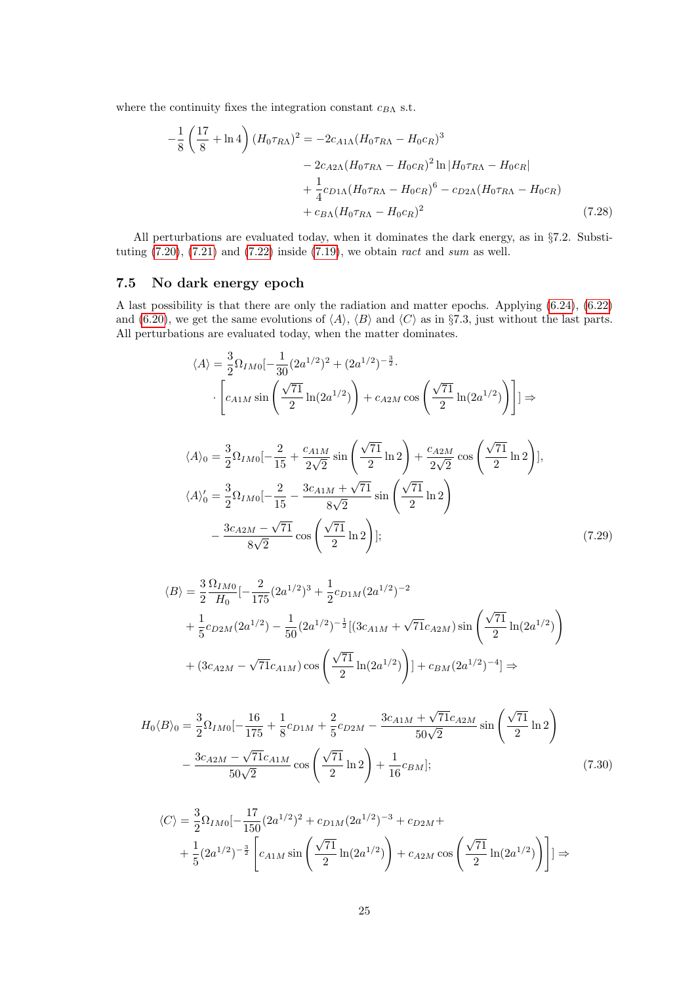where the continuity fixes the integration constant  $c_{B\Lambda}$  s.t.

$$
-\frac{1}{8} \left( \frac{17}{8} + \ln 4 \right) (H_0 \tau_{R\Lambda})^2 = -2c_{A1\Lambda} (H_0 \tau_{R\Lambda} - H_0 c_R)^3
$$
  

$$
-2c_{A2\Lambda} (H_0 \tau_{R\Lambda} - H_0 c_R)^2 \ln |H_0 \tau_{R\Lambda} - H_0 c_R|
$$
  

$$
+ \frac{1}{4} c_{D1\Lambda} (H_0 \tau_{R\Lambda} - H_0 c_R)^6 - c_{D2\Lambda} (H_0 \tau_{R\Lambda} - H_0 c_R)
$$
  

$$
+ c_{B\Lambda} (H_0 \tau_{R\Lambda} - H_0 c_R)^2
$$
(7.28)

All perturbations are evaluated today, when it dominates the dark energy, as in §7.2. Substituting  $(7.20)$ ,  $(7.21)$  and  $(7.22)$  inside  $(7.19)$ , we obtain ract and sum as well.

### 7.5 No dark energy epoch

A last possibility is that there are only the radiation and matter epochs. Applying [\(6.24\)](#page-17-2), [\(6.22\)](#page-16-2) and [\(6.20\)](#page-16-3), we get the same evolutions of  $\langle A \rangle$ ,  $\langle B \rangle$  and  $\langle C \rangle$  as in §7.3, just without the last parts. All perturbations are evaluated today, when the matter dominates.

$$
\langle A \rangle = \frac{3}{2} \Omega_{IM0} \left[ -\frac{1}{30} (2a^{1/2})^2 + (2a^{1/2})^{-\frac{3}{2}} \right]
$$
  

$$
\cdot \left[ c_{AIM} \sin \left( \frac{\sqrt{71}}{2} \ln(2a^{1/2}) \right) + c_{A2M} \cos \left( \frac{\sqrt{71}}{2} \ln(2a^{1/2}) \right) \right] \right] \Rightarrow
$$
  

$$
\langle A \rangle_0 = \frac{3}{2} \Omega_{IM0} \left[ -\frac{2}{15} + \frac{c_{A1M}}{2\sqrt{2}} \sin \left( \frac{\sqrt{71}}{2} \ln 2 \right) + \frac{c_{A2M}}{2\sqrt{2}} \cos \left( \frac{\sqrt{71}}{2} \ln 2 \right) \right],
$$
  

$$
\langle A \rangle_0' = \frac{3}{2} \Omega_{IM0} \left[ -\frac{2}{15} - \frac{3c_{A1M} + \sqrt{71}}{8\sqrt{2}} \sin \left( \frac{\sqrt{71}}{2} \ln 2 \right) - \frac{3c_{A2M} - \sqrt{71}}{8\sqrt{2}} \cos \left( \frac{\sqrt{71}}{2} \ln 2 \right) \right];
$$
(7.29)

<span id="page-24-0"></span>
$$
\langle B \rangle = \frac{3}{2} \frac{\Omega_{IM0}}{H_0} \left[ -\frac{2}{175} (2a^{1/2})^3 + \frac{1}{2} c_{D1M} (2a^{1/2})^{-2} \right.
$$
  
+ 
$$
\frac{1}{5} c_{D2M} (2a^{1/2}) - \frac{1}{50} (2a^{1/2})^{-\frac{1}{2}} \left[ (3c_{A1M} + \sqrt{71} c_{A2M}) \sin \left( \frac{\sqrt{71}}{2} \ln(2a^{1/2}) \right) \right.
$$
  
+ 
$$
(3c_{A2M} - \sqrt{71} c_{A1M}) \cos \left( \frac{\sqrt{71}}{2} \ln(2a^{1/2}) \right) \left] + c_{BM} (2a^{1/2})^{-4} \right] \Rightarrow
$$

$$
H_0 \langle B \rangle_0 = \frac{3}{2} \Omega_{IM0} \left[ -\frac{16}{175} + \frac{1}{8} c_{D1M} + \frac{2}{5} c_{D2M} - \frac{3 c_{A1M} + \sqrt{71} c_{A2M}}{50\sqrt{2}} \sin\left(\frac{\sqrt{71}}{2} \ln 2\right) - \frac{3 c_{A2M} - \sqrt{71} c_{A1M}}{50\sqrt{2}} \cos\left(\frac{\sqrt{71}}{2} \ln 2\right) + \frac{1}{16} c_{BM} \right];
$$
\n(7.30)

<span id="page-24-1"></span>
$$
\langle C \rangle = \frac{3}{2} \Omega_{IM0} \left[ -\frac{17}{150} (2a^{1/2})^2 + c_{D1M} (2a^{1/2})^{-3} + c_{D2M} + \frac{1}{5} (2a^{1/2})^{-\frac{3}{2}} \left[ c_{A1M} \sin \left( \frac{\sqrt{71}}{2} \ln(2a^{1/2}) \right) + c_{A2M} \cos \left( \frac{\sqrt{71}}{2} \ln(2a^{1/2}) \right) \right] \right] \Rightarrow
$$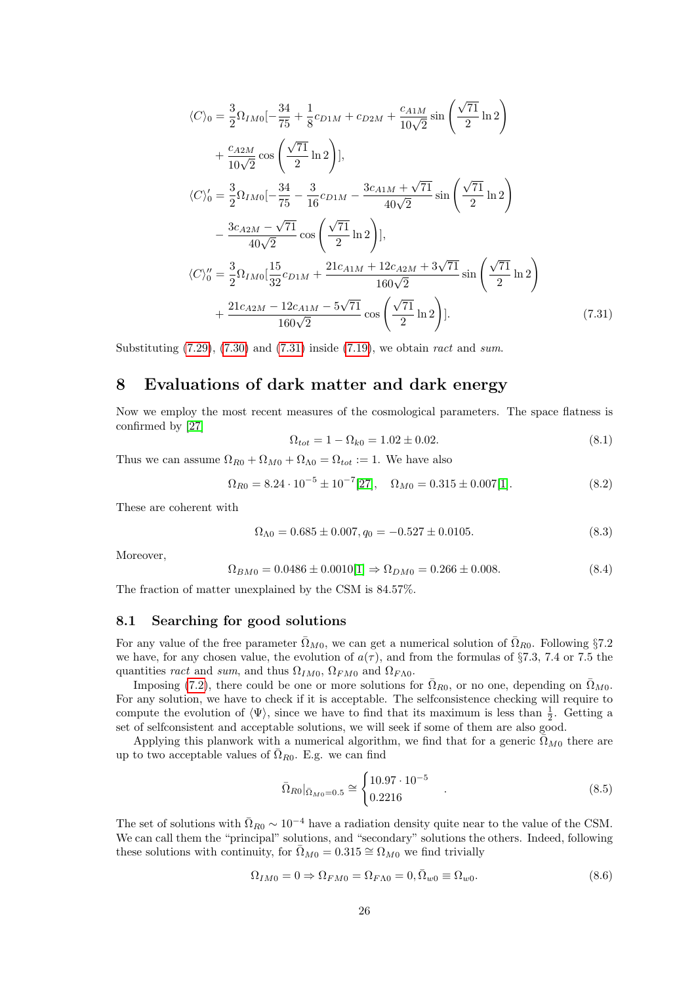$$
\langle C \rangle_0 = \frac{3}{2} \Omega_{IM0} \left[ -\frac{34}{75} + \frac{1}{8} c_{D1M} + c_{D2M} + \frac{c_{A1M}}{10\sqrt{2}} \sin\left(\frac{\sqrt{71}}{2} \ln 2\right) \right] \n+ \frac{c_{A2M}}{10\sqrt{2}} \cos\left(\frac{\sqrt{71}}{2} \ln 2\right) \left], \n\langle C \rangle_0' = \frac{3}{2} \Omega_{IM0} \left[ -\frac{34}{75} - \frac{3}{16} c_{D1M} - \frac{3c_{A1M} + \sqrt{71}}{40\sqrt{2}} \sin\left(\frac{\sqrt{71}}{2} \ln 2\right) \right] \n- \frac{3c_{A2M} - \sqrt{71}}{40\sqrt{2}} \cos\left(\frac{\sqrt{71}}{2} \ln 2\right) \left], \n\langle C \rangle_0'' = \frac{3}{2} \Omega_{IM0} \left[ \frac{15}{32} c_{D1M} + \frac{21c_{A1M} + 12c_{A2M} + 3\sqrt{71}}{160\sqrt{2}} \sin\left(\frac{\sqrt{71}}{2} \ln 2\right) \right] \n+ \frac{21c_{A2M} - 12c_{A1M} - 5\sqrt{71}}{160\sqrt{2}} \cos\left(\frac{\sqrt{71}}{2} \ln 2\right) \left].
$$
\n(7.31)

Substituting  $(7.29)$ ,  $(7.30)$  and  $(7.31)$  inside  $(7.19)$ , we obtain ract and sum.

# 8 Evaluations of dark matter and dark energy

Now we employ the most recent measures of the cosmological parameters. The space flatness is confirmed by [\[27\]](#page-34-7)

<span id="page-25-0"></span>
$$
\Omega_{tot} = 1 - \Omega_{k0} = 1.02 \pm 0.02. \tag{8.1}
$$

Thus we can assume  $\Omega_{R0} + \Omega_{M0} + \Omega_{\Lambda 0} = \Omega_{tot} := 1$ . We have also

$$
\Omega_{R0} = 8.24 \cdot 10^{-5} \pm 10^{-7} [27], \quad \Omega_{M0} = 0.315 \pm 0.007 [1]. \tag{8.2}
$$

These are coherent with

$$
\Omega_{\Lambda 0} = 0.685 \pm 0.007, q_0 = -0.527 \pm 0.0105. \tag{8.3}
$$

Moreover,

$$
\Omega_{BM0} = 0.0486 \pm 0.0010[1] \Rightarrow \Omega_{DM0} = 0.266 \pm 0.008. \tag{8.4}
$$

The fraction of matter unexplained by the CSM is 84.57%.

### 8.1 Searching for good solutions

For any value of the free parameter  $\overline{\Omega}_{M0}$ , we can get a numerical solution of  $\overline{\Omega}_{R0}$ . Following §7.2 we have, for any chosen value, the evolution of  $a(\tau)$ , and from the formulas of §7.3, 7.4 or 7.5 the quantities ract and sum, and thus  $\Omega_{IM0}$ ,  $\Omega_{FM0}$  and  $\Omega_{F\Lambda0}$ .

Imposing [\(7.2\)](#page-19-0), there could be one or more solutions for  $\overline{\Omega}_{R0}$ , or no one, depending on  $\overline{\Omega}_{M0}$ . For any solution, we have to check if it is acceptable. The selfconsistence checking will require to compute the evolution of  $\langle \Psi \rangle$ , since we have to find that its maximum is less than  $\frac{1}{2}$ . Getting a set of selfconsistent and acceptable solutions, we will seek if some of them are also good.

Applying this planwork with a numerical algorithm, we find that for a generic  $\bar{\Omega}_{M0}$  there are up to two acceptable values of  $\overline{\Omega}_{R0}$ . E.g. we can find

$$
\bar{\Omega}_{R0}|_{\bar{\Omega}_{M0}=0.5} \cong \begin{cases} 10.97 \cdot 10^{-5} \\ 0.2216 \end{cases} . \tag{8.5}
$$

The set of solutions with  $\bar{\Omega}_{R0} \sim 10^{-4}$  have a radiation density quite near to the value of the CSM. We can call them the "principal" solutions, and "secondary" solutions the others. Indeed, following these solutions with continuity, for  $\overline{\Omega}_{M0} = 0.315 \cong \Omega_{M0}$  we find trivially

$$
\Omega_{IM0} = 0 \Rightarrow \Omega_{FM0} = \Omega_{FA0} = 0, \bar{\Omega}_{w0} \equiv \Omega_{w0}.
$$
\n(8.6)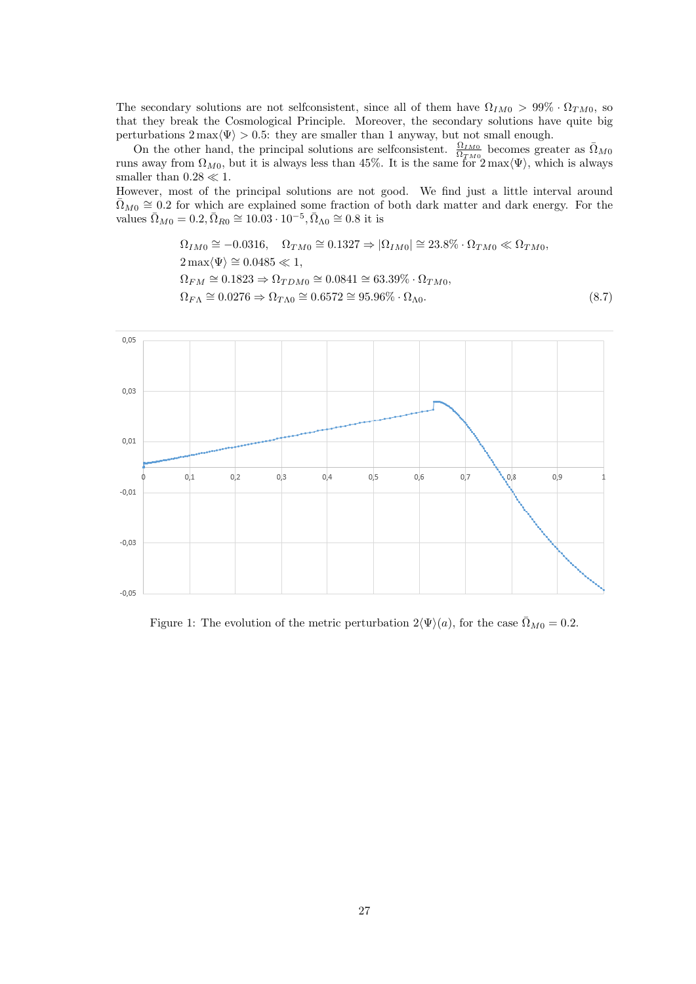The secondary solutions are not selfconsistent, since all of them have  $\Omega_{IM0} > 99\% \cdot \Omega_{TM0}$ , so that they break the Cosmological Principle. Moreover, the secondary solutions have quite big perturbations  $2 \max(\Psi) > 0.5$ : they are smaller than 1 anyway, but not small enough.

On the other hand, the principal solutions are selfconsistent.  $\frac{\Omega_{IM0}}{\Omega_{TM0}}$  becomes greater as  $\overline{\Omega}_{MQ}$ runs away from  $\Omega_{M0}$ , but it is always less than 45%. It is the same for  $2 \max \langle \Psi \rangle$ , which is always smaller than  $0.28 \ll 1$ .

However, most of the principal solutions are not good. We find just a little interval around  $\overline{\Omega}_{M0} \cong 0.2$  for which are explained some fraction of both dark matter and dark energy. For the values  $\bar{\Omega}_{M0} = 0.2, \bar{\Omega}_{R0} \cong 10.03 \cdot 10^{-5}, \bar{\Omega}_{\Lambda 0} \cong 0.8$  it is

$$
\Omega_{IM0} \cong -0.0316, \quad \Omega_{TM0} \cong 0.1327 \Rightarrow |\Omega_{IM0}| \cong 23.8\% \cdot \Omega_{TM0} \ll \Omega_{TM0},
$$
  
\n
$$
2 \max \langle \Psi \rangle \cong 0.0485 \ll 1,
$$
  
\n
$$
\Omega_{FM} \cong 0.1823 \Rightarrow \Omega_{TDM0} \cong 0.0841 \cong 63.39\% \cdot \Omega_{TM0},
$$
  
\n
$$
\Omega_{F\Lambda} \cong 0.0276 \Rightarrow \Omega_{T\Lambda0} \cong 0.6572 \cong 95.96\% \cdot \Omega_{\Lambda0}.
$$
\n(8.7)



Figure 1: The evolution of the metric perturbation  $2\langle\Psi\rangle(a)$ , for the case  $\bar{\Omega}_{M0} = 0.2$ .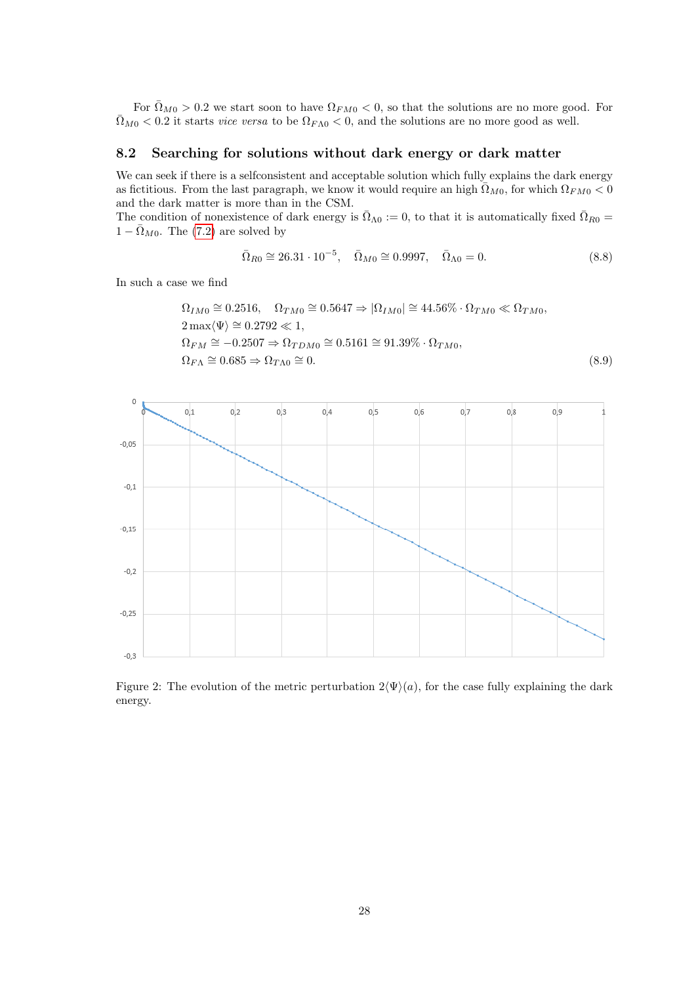For  $\bar{\Omega}_{M0} > 0.2$  we start soon to have  $\Omega_{FM0} < 0$ , so that the solutions are no more good. For  $\bar{\Omega}_{M0}$  < 0.2 it starts *vice versa* to be  $\Omega_{F\Lambda0}$  < 0, and the solutions are no more good as well.

### 8.2 Searching for solutions without dark energy or dark matter

We can seek if there is a selfconsistent and acceptable solution which fully explains the dark energy as fictitious. From the last paragraph, we know it would require an high  $\bar{\Omega}_{M0}$ , for which  $\Omega_{FMO} < 0$ and the dark matter is more than in the CSM.

The condition of nonexistence of dark energy is  $\overline{\Omega}_{\Lambda 0} := 0$ , to that it is automatically fixed  $\overline{\Omega}_{R0} =$  $1 - \bar{\Omega}_{M0}$ . The [\(7.2\)](#page-19-0) are solved by

$$
\bar{\Omega}_{R0} \cong 26.31 \cdot 10^{-5}, \quad \bar{\Omega}_{M0} \cong 0.9997, \quad \bar{\Omega}_{\Lambda 0} = 0. \tag{8.8}
$$

In such a case we find

$$
\Omega_{IM0} \cong 0.2516, \quad \Omega_{TM0} \cong 0.5647 \Rightarrow |\Omega_{IM0}| \cong 44.56\% \cdot \Omega_{TM0} \ll \Omega_{TM0},
$$
  
\n
$$
2 \max \langle \Psi \rangle \cong 0.2792 \ll 1,
$$
  
\n
$$
\Omega_{FM} \cong -0.2507 \Rightarrow \Omega_{TDM0} \cong 0.5161 \cong 91.39\% \cdot \Omega_{TMO},
$$
  
\n
$$
\Omega_{FA} \cong 0.685 \Rightarrow \Omega_{TAO} \cong 0.
$$
\n(8.9)



Figure 2: The evolution of the metric perturbation  $2\Psi(a)$ , for the case fully explaining the dark energy.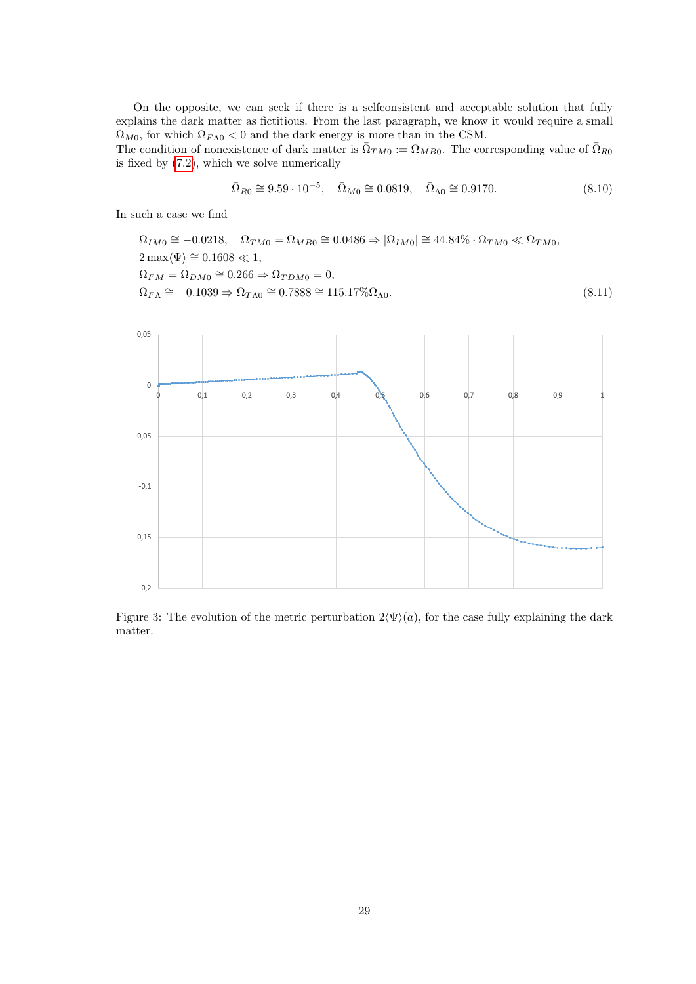On the opposite, we can seek if there is a selfconsistent and acceptable solution that fully explains the dark matter as fictitious. From the last paragraph, we know it would require a small  $\overline{\Omega}_{M0}$ , for which  $\Omega_{F\Lambda0}$  < 0 and the dark energy is more than in the CSM.

The condition of nonexistence of dark matter is  $\bar{\Omega}_{TM0} := \Omega_{MB0}$ . The corresponding value of  $\bar{\Omega}_{RG}$ is fixed by [\(7.2\)](#page-19-0), which we solve numerically

$$
\bar{\Omega}_{R0} \cong 9.59 \cdot 10^{-5}, \quad \bar{\Omega}_{M0} \cong 0.0819, \quad \bar{\Omega}_{\Lambda 0} \cong 0.9170. \tag{8.10}
$$

In such a case we find

 $\Omega_{IM0} \cong -0.0218$ ,  $\Omega_{TM0} = \Omega_{MB0} \cong 0.0486 \Rightarrow |\Omega_{IM0}| \cong 44.84\% \cdot \Omega_{TM0} \ll \Omega_{TM0}$  $2 \max{\langle \Psi \rangle} \cong 0.1608 \ll 1,$  $\Omega_{FM} = \Omega_{DM0} \cong 0.266 \Rightarrow \Omega_{TDM0} = 0,$  $\Omega_{F\Lambda} \cong -0.1039 \Rightarrow \Omega_{T\Lambda 0} \cong 0.7888 \cong 115.17\% \Omega_{\Lambda 0}.$ (8.11)



Figure 3: The evolution of the metric perturbation  $2\Psi(a)$ , for the case fully explaining the dark matter.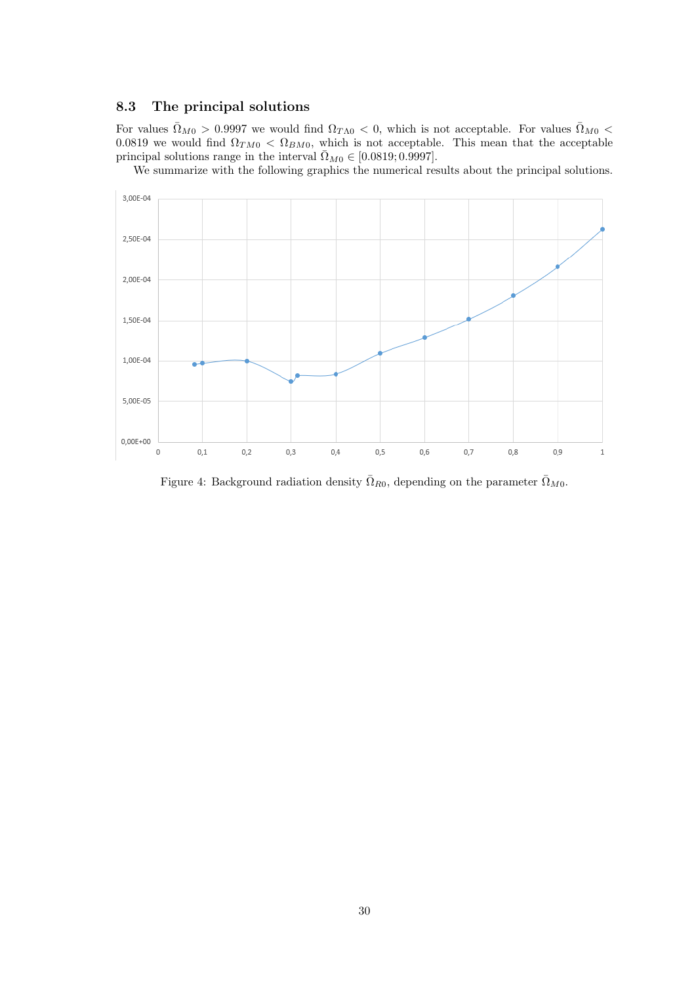# 8.3 The principal solutions

For values  $\bar{\Omega}_{M0} > 0.9997$  we would find  $\Omega_{T\Lambda0} < 0$ , which is not acceptable. For values  $\bar{\Omega}_{M0} <$ 0.0819 we would find  $\Omega_{TM0} < \Omega_{BM0}$ , which is not acceptable. This mean that the acceptable principal solutions range in the interval  $\overline{\Omega}_{M0} \in [0.0819; 0.9997]$ .

We summarize with the following graphics the numerical results about the principal solutions.



Figure 4: Background radiation density  $\overline{\Omega}_{R0}$ , depending on the parameter  $\overline{\Omega}_{M0}$ .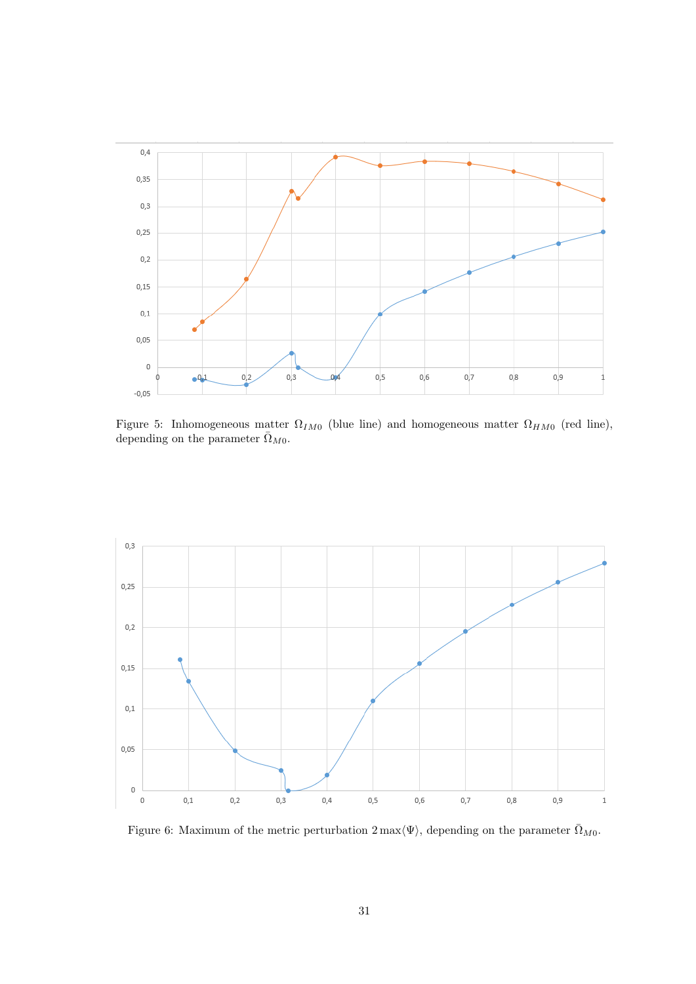

Figure 5: Inhomogeneous matter  $\Omega_{IM0}$  (blue line) and homogeneous matter  $\Omega_{HM0}$  (red line), depending on the parameter  $\bar{\Omega}_{M0}$ .



Figure 6: Maximum of the metric perturbation  $2 \max \langle \Psi \rangle$ , depending on the parameter  $\bar{\Omega}_{M0}$ .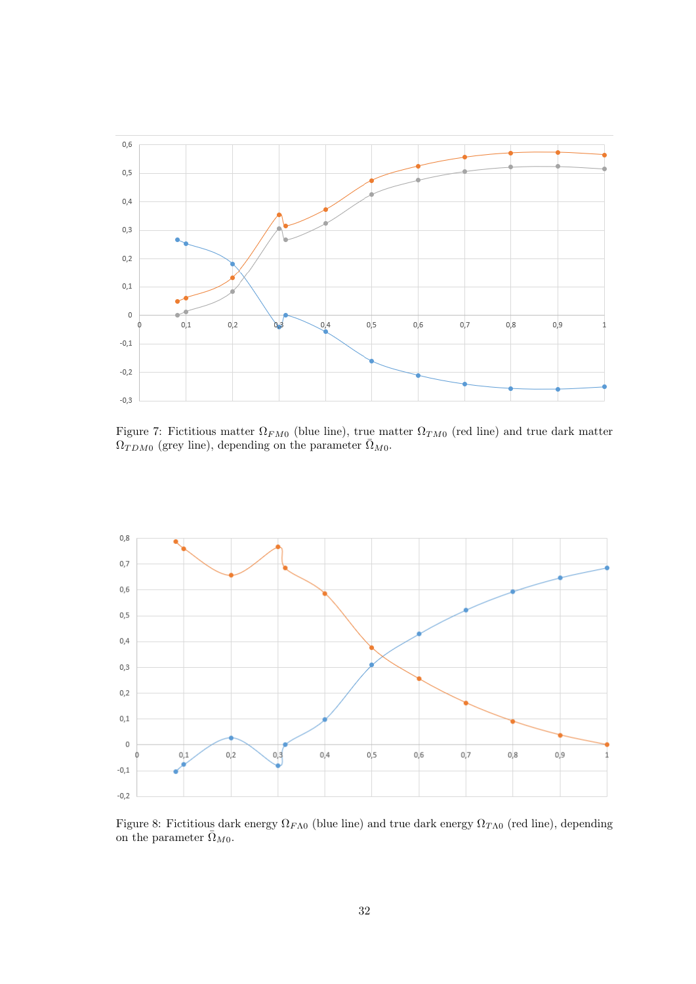

Figure 7: Fictitious matter  $\Omega_{FMO}$  (blue line), true matter  $\Omega_{TMO}$  (red line) and true dark matter  $\Omega_{TDM0}$  (grey line), depending on the parameter  $\bar{\Omega}_{M0}$ .



Figure 8: Fictitious dark energy  $\Omega_{F\Lambda0}$  (blue line) and true dark energy  $\Omega_{T\Lambda0}$  (red line), depending on the parameter  $\bar{\Omega}_{M0}$ .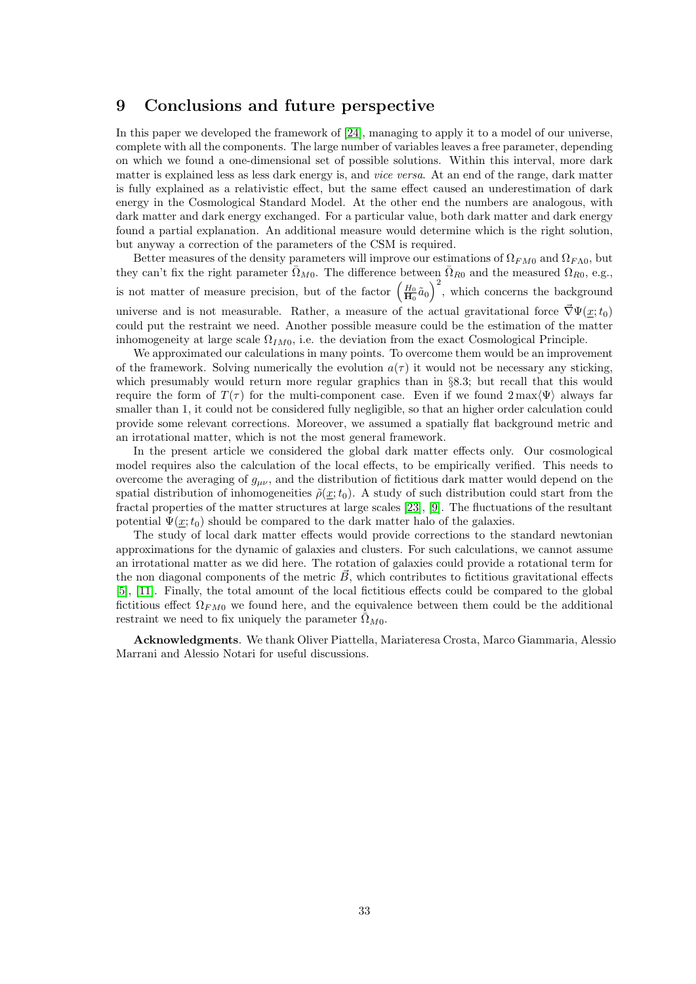# 9 Conclusions and future perspective

In this paper we developed the framework of [\[24\]](#page-34-0), managing to apply it to a model of our universe, complete with all the components. The large number of variables leaves a free parameter, depending on which we found a one-dimensional set of possible solutions. Within this interval, more dark matter is explained less as less dark energy is, and *vice versa*. At an end of the range, dark matter is fully explained as a relativistic effect, but the same effect caused an underestimation of dark energy in the Cosmological Standard Model. At the other end the numbers are analogous, with dark matter and dark energy exchanged. For a particular value, both dark matter and dark energy found a partial explanation. An additional measure would determine which is the right solution, but anyway a correction of the parameters of the CSM is required.

Better measures of the density parameters will improve our estimations of  $\Omega_{FMO}$  and  $\Omega_{FAO}$ , but they can't fix the right parameter  $\overline{\Omega}_{M0}$ . The difference between  $\overline{\Omega}_{R0}$  and the measured  $\Omega_{R0}$ , e.g., is not matter of measure precision, but of the factor  $\left(\frac{H_0}{H_0}\tilde{a}_0\right)^2$ , which concerns the background universe and is not measurable. Rather, a measure of the actual gravitational force  $\nabla \Psi(x;t_0)$ could put the restraint we need. Another possible measure could be the estimation of the matter inhomogeneity at large scale  $\Omega_{IM0}$ , i.e. the deviation from the exact Cosmological Principle.

We approximated our calculations in many points. To overcome them would be an improvement of the framework. Solving numerically the evolution  $a(\tau)$  it would not be necessary any sticking, which presumably would return more regular graphics than in §8.3; but recall that this would require the form of  $T(\tau)$  for the multi-component case. Even if we found  $2 \max \langle \Psi \rangle$  always far smaller than 1, it could not be considered fully negligible, so that an higher order calculation could provide some relevant corrections. Moreover, we assumed a spatially flat background metric and an irrotational matter, which is not the most general framework.

In the present article we considered the global dark matter effects only. Our cosmological model requires also the calculation of the local effects, to be empirically verified. This needs to overcome the averaging of  $g_{\mu\nu}$ , and the distribution of fictitious dark matter would depend on the spatial distribution of inhomogeneities  $\tilde{\rho}(\underline{x};t_0)$ . A study of such distribution could start from the fractal properties of the matter structures at large scales [\[23\]](#page-34-8), [\[9\]](#page-33-19). The fluctuations of the resultant potential  $\Psi(\underline{x};t_0)$  should be compared to the dark matter halo of the galaxies.

The study of local dark matter effects would provide corrections to the standard newtonian approximations for the dynamic of galaxies and clusters. For such calculations, we cannot assume an irrotational matter as we did here. The rotation of galaxies could provide a rotational term for the non diagonal components of the metric  $\vec{B}$ , which contributes to fictitious gravitational effects [\[5\]](#page-33-12), [\[11\]](#page-33-13). Finally, the total amount of the local fictitious effects could be compared to the global fictitious effect  $\Omega_{FMO}$  we found here, and the equivalence between them could be the additional restraint we need to fix uniquely the parameter  $\Omega_{M0}$ .

Acknowledgments. We thank Oliver Piattella, Mariateresa Crosta, Marco Giammaria, Alessio Marrani and Alessio Notari for useful discussions.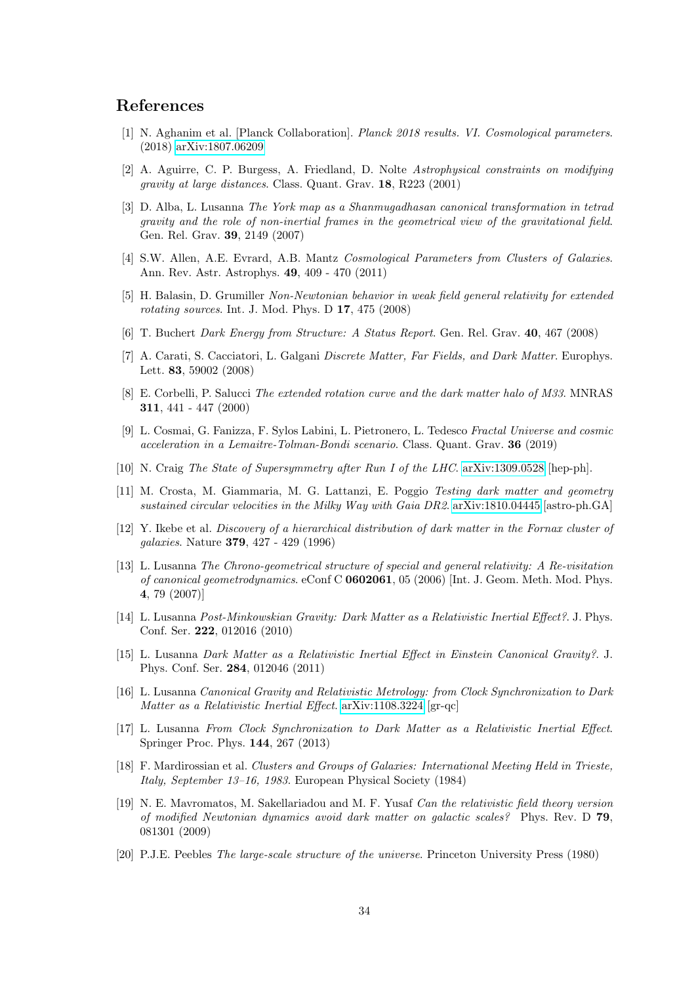# References

- <span id="page-33-18"></span>[1] N. Aghanim et al. [Planck Collaboration]. Planck 2018 results. VI. Cosmological parameters. (2018) [arXiv:1807.06209](http://arxiv.org/abs/1807.06209)
- <span id="page-33-4"></span>[2] A. Aguirre, C. P. Burgess, A. Friedland, D. Nolte Astrophysical constraints on modifying gravity at large distances. Class. Quant. Grav. 18, R223 (2001)
- <span id="page-33-6"></span>[3] D. Alba, L. Lusanna The York map as a Shanmugadhasan canonical transformation in tetrad gravity and the role of non-inertial frames in the geometrical view of the gravitational field. Gen. Rel. Grav. 39, 2149 (2007)
- <span id="page-33-1"></span>[4] S.W. Allen, A.E. Evrard, A.B. Mantz Cosmological Parameters from Clusters of Galaxies. Ann. Rev. Astr. Astrophys. 49, 409 - 470 (2011)
- <span id="page-33-12"></span>[5] H. Balasin, D. Grumiller Non-Newtonian behavior in weak field general relativity for extended rotating sources. Int. J. Mod. Phys. D 17, 475 (2008)
- <span id="page-33-14"></span>[6] T. Buchert Dark Energy from Structure: A Status Report. Gen. Rel. Grav. 40, 467 (2008)
- <span id="page-33-15"></span>[7] A. Carati, S. Cacciatori, L. Galgani Discrete Matter, Far Fields, and Dark Matter. Europhys. Lett. 83, 59002 (2008)
- <span id="page-33-0"></span>[8] E. Corbelli, P. Salucci The extended rotation curve and the dark matter halo of M33. MNRAS 311, 441 - 447 (2000)
- <span id="page-33-19"></span>[9] L. Cosmai, G. Fanizza, F. Sylos Labini, L. Pietronero, L. Tedesco Fractal Universe and cosmic acceleration in a Lemaitre-Tolman-Bondi scenario. Class. Quant. Grav. 36 (2019)
- <span id="page-33-2"></span>[10] N. Craig The State of Supersymmetry after Run I of the LHC. [arXiv:1309.0528](http://arxiv.org/abs/1309.0528) [hep-ph].
- <span id="page-33-13"></span>[11] M. Crosta, M. Giammaria, M. G. Lattanzi, E. Poggio Testing dark matter and geometry sustained circular velocities in the Milky Way with Gaia DR2. [arXiv:1810.04445](http://arxiv.org/abs/1810.04445) [astro-ph.GA]
- <span id="page-33-3"></span>[12] Y. Ikebe et al. Discovery of a hierarchical distribution of dark matter in the Fornax cluster of galaxies. Nature 379, 427 - 429 (1996)
- <span id="page-33-7"></span>[13] L. Lusanna The Chrono-geometrical structure of special and general relativity: A Re-visitation of canonical geometrodynamics. eConf C 0602061, 05 (2006) [Int. J. Geom. Meth. Mod. Phys. 4, 79 (2007)]
- <span id="page-33-8"></span>[14] L. Lusanna Post-Minkowskian Gravity: Dark Matter as a Relativistic Inertial Effect?. J. Phys. Conf. Ser. 222, 012016 (2010)
- <span id="page-33-9"></span>[15] L. Lusanna Dark Matter as a Relativistic Inertial Effect in Einstein Canonical Gravity?. J. Phys. Conf. Ser. 284, 012046 (2011)
- <span id="page-33-10"></span>[16] L. Lusanna Canonical Gravity and Relativistic Metrology: from Clock Synchronization to Dark Matter as a Relativistic Inertial Effect. [arXiv:1108.3224](http://arxiv.org/abs/1108.3224) [gr-qc]
- <span id="page-33-11"></span>[17] L. Lusanna From Clock Synchronization to Dark Matter as a Relativistic Inertial Effect. Springer Proc. Phys. 144, 267 (2013)
- <span id="page-33-17"></span>[18] F. Mardirossian et al. Clusters and Groups of Galaxies: International Meeting Held in Trieste, Italy, September 13–16, 1983. European Physical Society (1984)
- <span id="page-33-5"></span>[19] N. E. Mavromatos, M. Sakellariadou and M. F. Yusaf Can the relativistic field theory version of modified Newtonian dynamics avoid dark matter on galactic scales? Phys. Rev. D 79, 081301 (2009)
- <span id="page-33-16"></span>[20] P.J.E. Peebles The large-scale structure of the universe. Princeton University Press (1980)